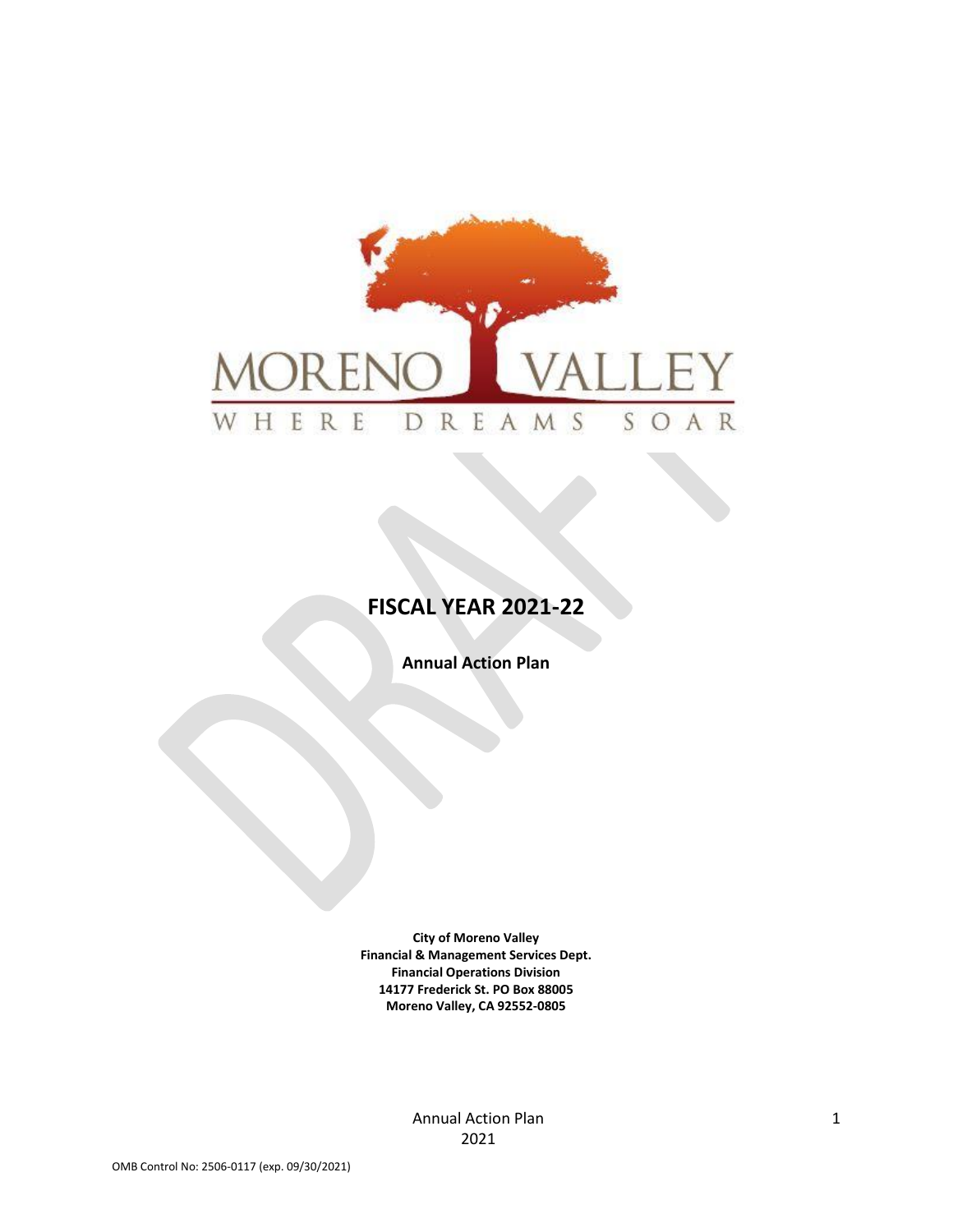

# **FISCAL YEAR 2021-22**

**Annual Action Plan**

**City of Moreno Valley Financial & Management Services Dept. Financial Operations Division 14177 Frederick St. PO Box 88005 Moreno Valley, CA 92552-0805**

> Annual Action Plan 2021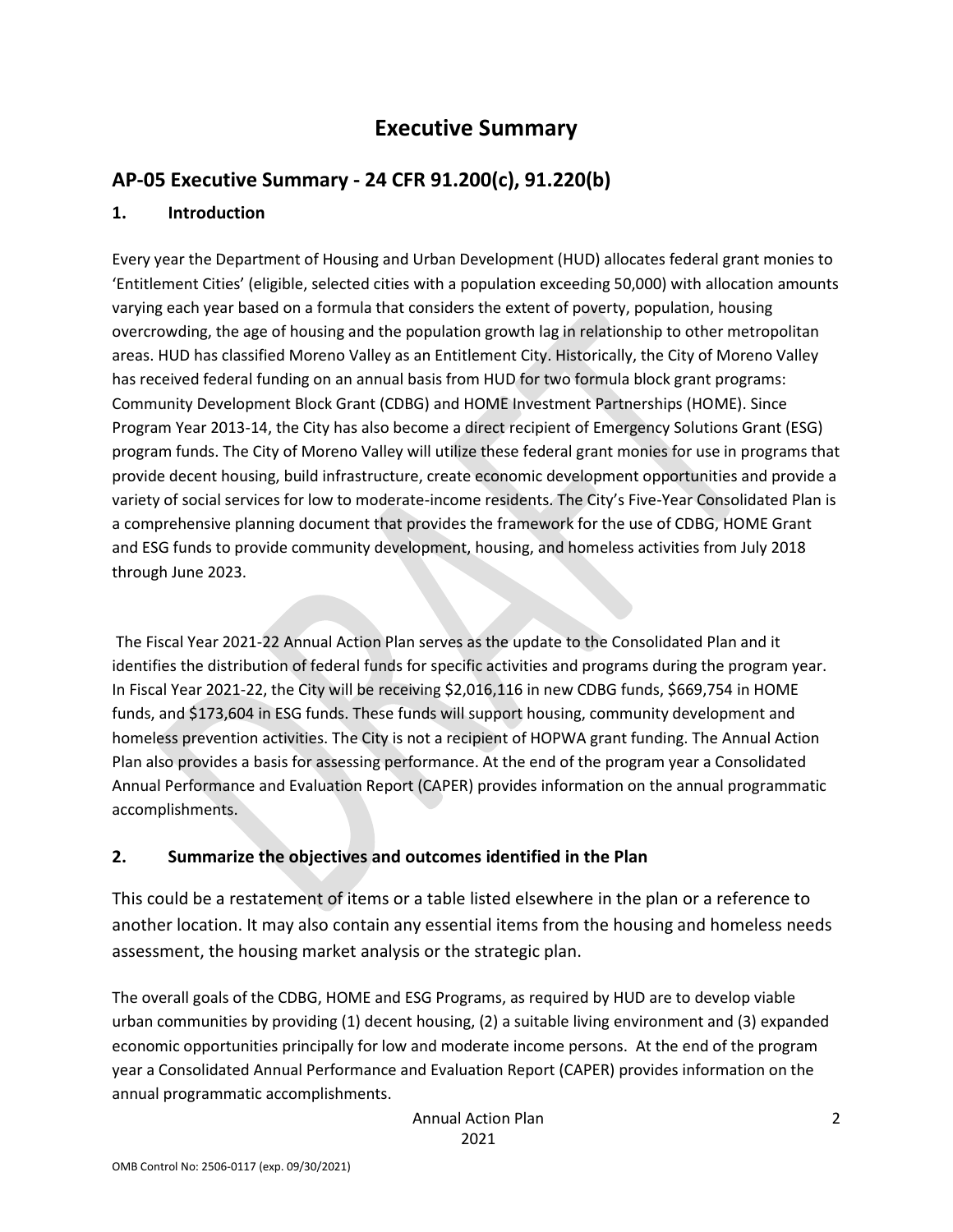# **Executive Summary**

## **AP-05 Executive Summary - 24 CFR 91.200(c), 91.220(b)**

### **1. Introduction**

Every year the Department of Housing and Urban Development (HUD) allocates federal grant monies to 'Entitlement Cities' (eligible, selected cities with a population exceeding 50,000) with allocation amounts varying each year based on a formula that considers the extent of poverty, population, housing overcrowding, the age of housing and the population growth lag in relationship to other metropolitan areas. HUD has classified Moreno Valley as an Entitlement City. Historically, the City of Moreno Valley has received federal funding on an annual basis from HUD for two formula block grant programs: Community Development Block Grant (CDBG) and HOME Investment Partnerships (HOME). Since Program Year 2013-14, the City has also become a direct recipient of Emergency Solutions Grant (ESG) program funds. The City of Moreno Valley will utilize these federal grant monies for use in programs that provide decent housing, build infrastructure, create economic development opportunities and provide a variety of social services for low to moderate-income residents. The City's Five-Year Consolidated Plan is a comprehensive planning document that provides the framework for the use of CDBG, HOME Grant and ESG funds to provide community development, housing, and homeless activities from July 2018 through June 2023.

The Fiscal Year 2021-22 Annual Action Plan serves as the update to the Consolidated Plan and it identifies the distribution of federal funds for specific activities and programs during the program year. In Fiscal Year 2021-22, the City will be receiving \$2,016,116 in new CDBG funds, \$669,754 in HOME funds, and \$173,604 in ESG funds. These funds will support housing, community development and homeless prevention activities. The City is not a recipient of HOPWA grant funding. The Annual Action Plan also provides a basis for assessing performance. At the end of the program year a Consolidated Annual Performance and Evaluation Report (CAPER) provides information on the annual programmatic accomplishments.

## **2. Summarize the objectives and outcomes identified in the Plan**

This could be a restatement of items or a table listed elsewhere in the plan or a reference to another location. It may also contain any essential items from the housing and homeless needs assessment, the housing market analysis or the strategic plan.

The overall goals of the CDBG, HOME and ESG Programs, as required by HUD are to develop viable urban communities by providing (1) decent housing, (2) a suitable living environment and (3) expanded economic opportunities principally for low and moderate income persons. At the end of the program year a Consolidated Annual Performance and Evaluation Report (CAPER) provides information on the annual programmatic accomplishments.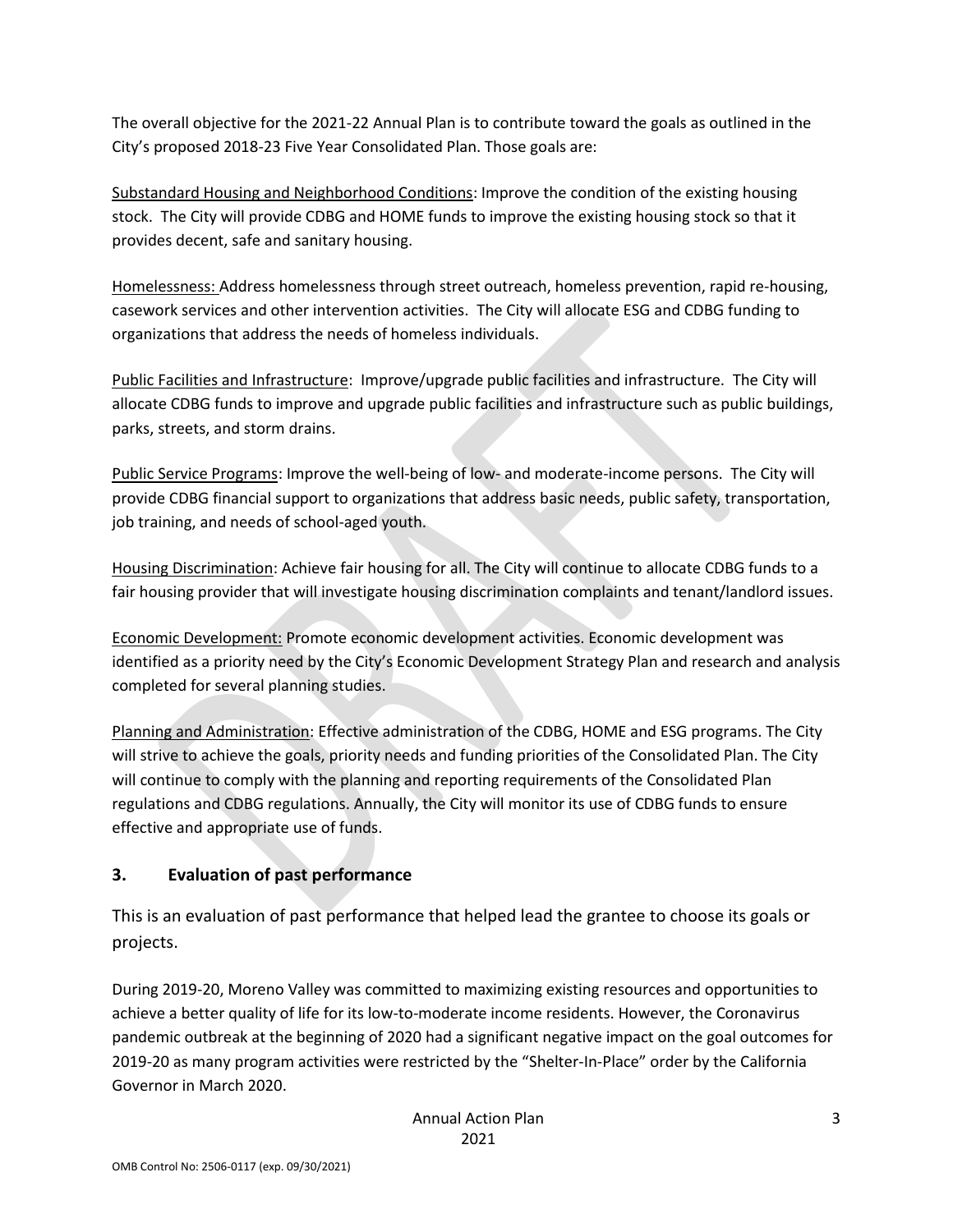The overall objective for the 2021-22 Annual Plan is to contribute toward the goals as outlined in the City's proposed 2018-23 Five Year Consolidated Plan. Those goals are:

Substandard Housing and Neighborhood Conditions: Improve the condition of the existing housing stock. The City will provide CDBG and HOME funds to improve the existing housing stock so that it provides decent, safe and sanitary housing.

Homelessness: Address homelessness through street outreach, homeless prevention, rapid re-housing, casework services and other intervention activities. The City will allocate ESG and CDBG funding to organizations that address the needs of homeless individuals.

Public Facilities and Infrastructure: Improve/upgrade public facilities and infrastructure. The City will allocate CDBG funds to improve and upgrade public facilities and infrastructure such as public buildings, parks, streets, and storm drains.

Public Service Programs: Improve the well-being of low- and moderate-income persons. The City will provide CDBG financial support to organizations that address basic needs, public safety, transportation, job training, and needs of school-aged youth.

Housing Discrimination: Achieve fair housing for all. The City will continue to allocate CDBG funds to a fair housing provider that will investigate housing discrimination complaints and tenant/landlord issues.

Economic Development: Promote economic development activities. Economic development was identified as a priority need by the City's Economic Development Strategy Plan and research and analysis completed for several planning studies.

Planning and Administration: Effective administration of the CDBG, HOME and ESG programs. The City will strive to achieve the goals, priority needs and funding priorities of the Consolidated Plan. The City will continue to comply with the planning and reporting requirements of the Consolidated Plan regulations and CDBG regulations. Annually, the City will monitor its use of CDBG funds to ensure effective and appropriate use of funds.

## **3. Evaluation of past performance**

This is an evaluation of past performance that helped lead the grantee to choose its goals or projects.

During 2019-20, Moreno Valley was committed to maximizing existing resources and opportunities to achieve a better quality of life for its low-to-moderate income residents. However, the Coronavirus pandemic outbreak at the beginning of 2020 had a significant negative impact on the goal outcomes for 2019-20 as many program activities were restricted by the "Shelter-In-Place" order by the California Governor in March 2020.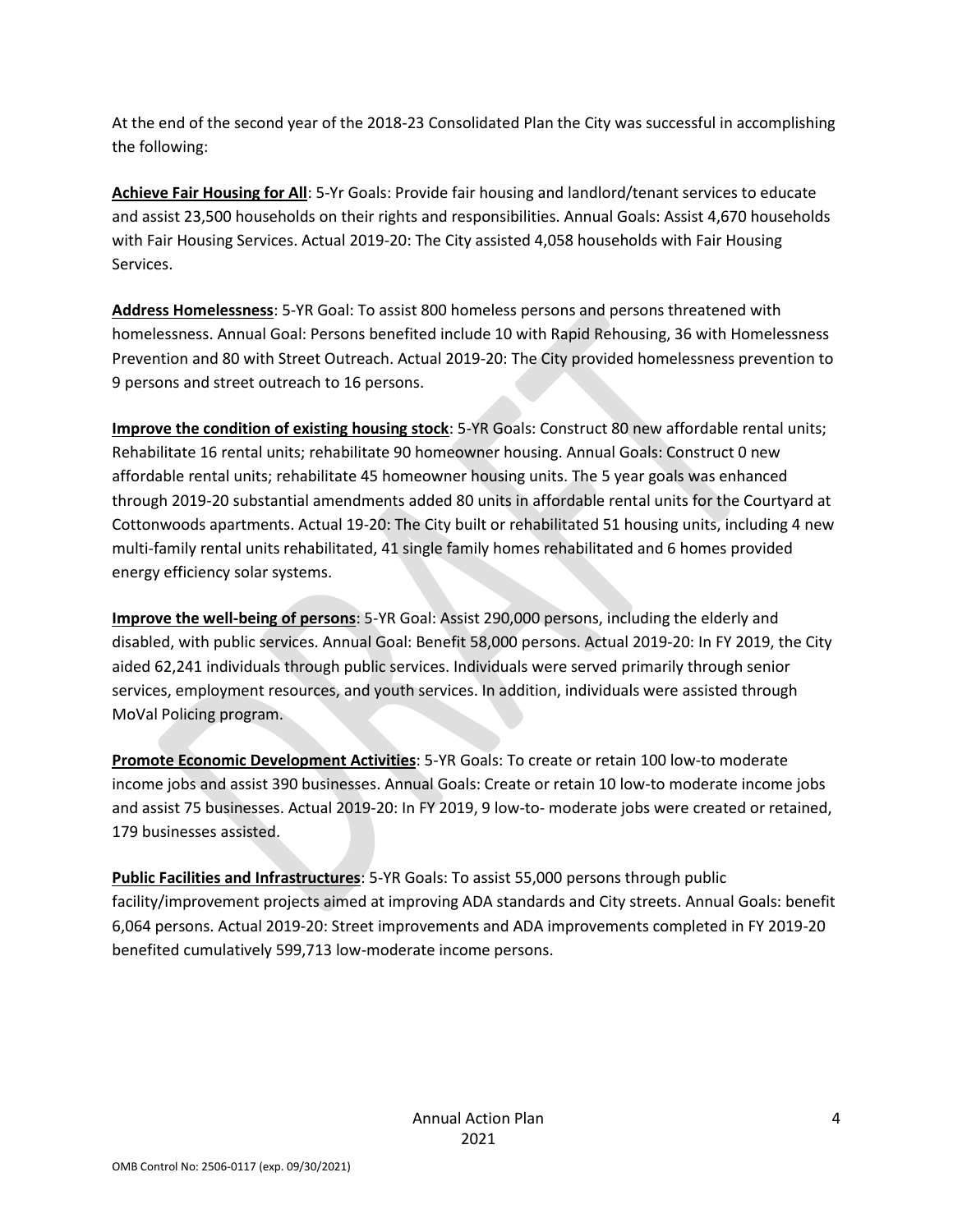At the end of the second year of the 2018-23 Consolidated Plan the City was successful in accomplishing the following:

**Achieve Fair Housing for All**: 5-Yr Goals: Provide fair housing and landlord/tenant services to educate and assist 23,500 households on their rights and responsibilities. Annual Goals: Assist 4,670 households with Fair Housing Services. Actual 2019-20: The City assisted 4,058 households with Fair Housing Services.

**Address Homelessness**: 5-YR Goal: To assist 800 homeless persons and persons threatened with homelessness. Annual Goal: Persons benefited include 10 with Rapid Rehousing, 36 with Homelessness Prevention and 80 with Street Outreach. Actual 2019-20: The City provided homelessness prevention to 9 persons and street outreach to 16 persons.

**Improve the condition of existing housing stock**: 5-YR Goals: Construct 80 new affordable rental units; Rehabilitate 16 rental units; rehabilitate 90 homeowner housing. Annual Goals: Construct 0 new affordable rental units; rehabilitate 45 homeowner housing units. The 5 year goals was enhanced through 2019-20 substantial amendments added 80 units in affordable rental units for the Courtyard at Cottonwoods apartments. Actual 19-20: The City built or rehabilitated 51 housing units, including 4 new multi-family rental units rehabilitated, 41 single family homes rehabilitated and 6 homes provided energy efficiency solar systems.

**Improve the well-being of persons**: 5-YR Goal: Assist 290,000 persons, including the elderly and disabled, with public services. Annual Goal: Benefit 58,000 persons. Actual 2019-20: In FY 2019, the City aided 62,241 individuals through public services. Individuals were served primarily through senior services, employment resources, and youth services. In addition, individuals were assisted through MoVal Policing program.

**Promote Economic Development Activities**: 5-YR Goals: To create or retain 100 low-to moderate income jobs and assist 390 businesses. Annual Goals: Create or retain 10 low-to moderate income jobs and assist 75 businesses. Actual 2019-20: In FY 2019, 9 low-to- moderate jobs were created or retained, 179 businesses assisted.

**Public Facilities and Infrastructures**: 5-YR Goals: To assist 55,000 persons through public facility/improvement projects aimed at improving ADA standards and City streets. Annual Goals: benefit 6,064 persons. Actual 2019-20: Street improvements and ADA improvements completed in FY 2019-20 benefited cumulatively 599,713 low-moderate income persons.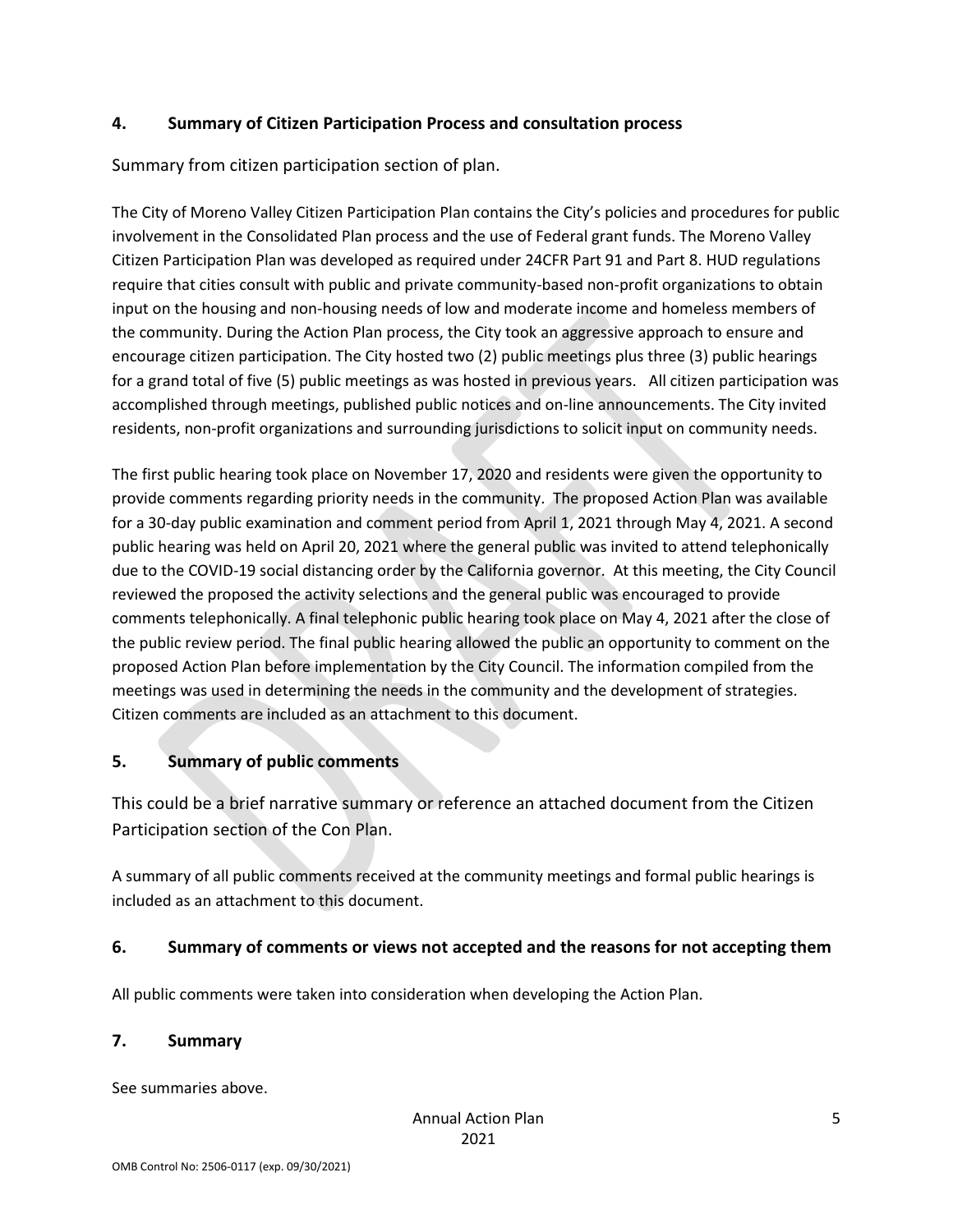### **4. Summary of Citizen Participation Process and consultation process**

Summary from citizen participation section of plan.

The City of Moreno Valley Citizen Participation Plan contains the City's policies and procedures for public involvement in the Consolidated Plan process and the use of Federal grant funds. The Moreno Valley Citizen Participation Plan was developed as required under 24CFR Part 91 and Part 8. HUD regulations require that cities consult with public and private community-based non-profit organizations to obtain input on the housing and non-housing needs of low and moderate income and homeless members of the community. During the Action Plan process, the City took an aggressive approach to ensure and encourage citizen participation. The City hosted two (2) public meetings plus three (3) public hearings for a grand total of five (5) public meetings as was hosted in previous years. All citizen participation was accomplished through meetings, published public notices and on-line announcements. The City invited residents, non-profit organizations and surrounding jurisdictions to solicit input on community needs.

The first public hearing took place on November 17, 2020 and residents were given the opportunity to provide comments regarding priority needs in the community. The proposed Action Plan was available for a 30-day public examination and comment period from April 1, 2021 through May 4, 2021. A second public hearing was held on April 20, 2021 where the general public was invited to attend telephonically due to the COVID-19 social distancing order by the California governor. At this meeting, the City Council reviewed the proposed the activity selections and the general public was encouraged to provide comments telephonically. A final telephonic public hearing took place on May 4, 2021 after the close of the public review period. The final public hearing allowed the public an opportunity to comment on the proposed Action Plan before implementation by the City Council. The information compiled from the meetings was used in determining the needs in the community and the development of strategies. Citizen comments are included as an attachment to this document.

## **5. Summary of public comments**

This could be a brief narrative summary or reference an attached document from the Citizen Participation section of the Con Plan.

A summary of all public comments received at the community meetings and formal public hearings is included as an attachment to this document.

### **6. Summary of comments or views not accepted and the reasons for not accepting them**

All public comments were taken into consideration when developing the Action Plan.

### **7. Summary**

See summaries above.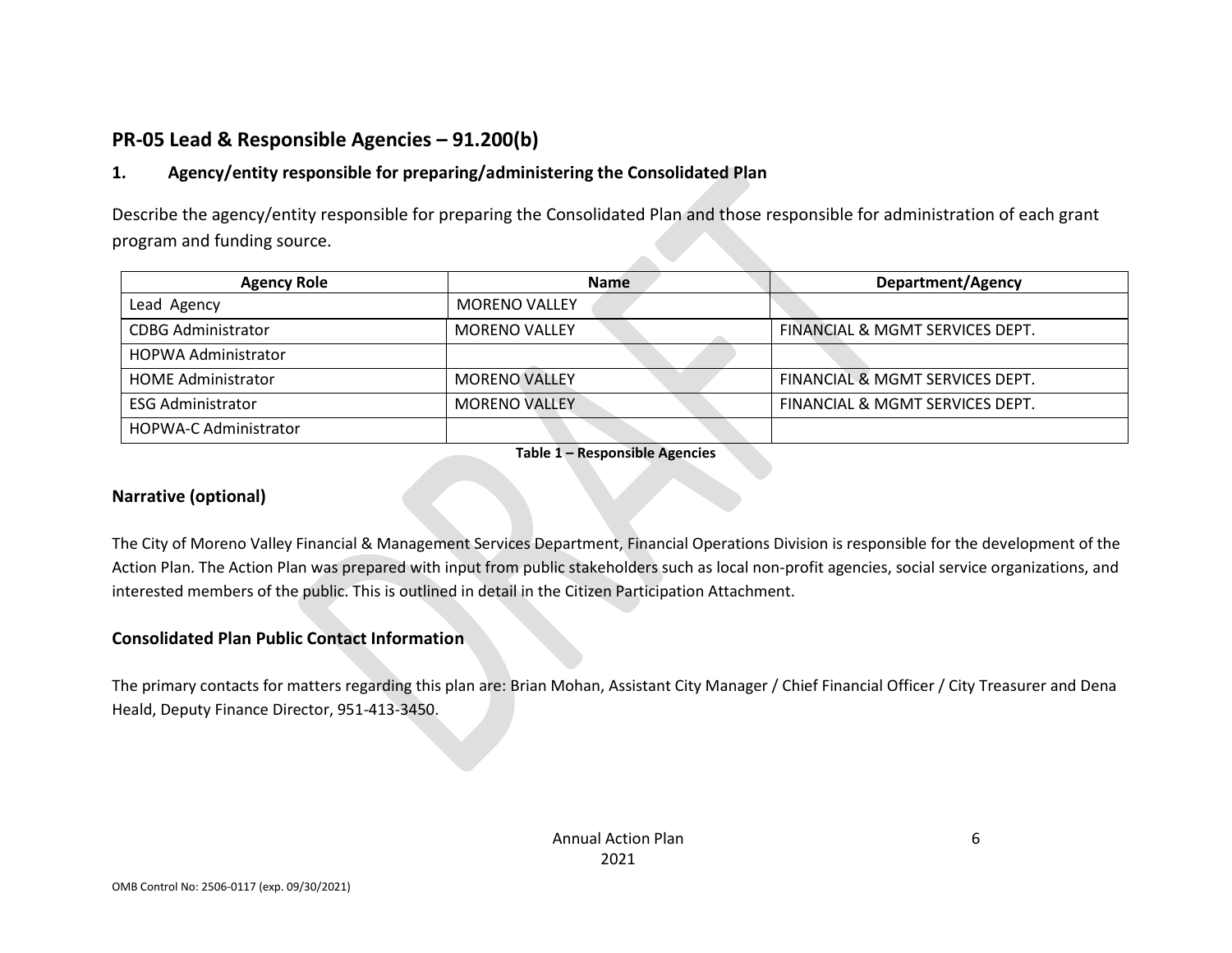## **PR-05 Lead & Responsible Agencies – 91.200(b)**

## **1. Agency/entity responsible for preparing/administering the Consolidated Plan**

Describe the agency/entity responsible for preparing the Consolidated Plan and those responsible for administration of each grant program and funding source.

| <b>Agency Role</b>           | <b>Name</b>          | <b>Department/Agency</b>        |
|------------------------------|----------------------|---------------------------------|
| Lead Agency                  | <b>MORENO VALLEY</b> |                                 |
| <b>CDBG Administrator</b>    | <b>MORENO VALLEY</b> | FINANCIAL & MGMT SERVICES DEPT. |
| <b>HOPWA Administrator</b>   |                      |                                 |
| <b>HOME Administrator</b>    | <b>MORENO VALLEY</b> | FINANCIAL & MGMT SERVICES DEPT. |
| <b>ESG Administrator</b>     | <b>MORENO VALLEY</b> | FINANCIAL & MGMT SERVICES DEPT. |
| <b>HOPWA-C Administrator</b> |                      |                                 |

**Table 1 – Responsible Agencies**

#### **Narrative (optional)**

The City of Moreno Valley Financial & Management Services Department, Financial Operations Division is responsible for the development of the Action Plan. The Action Plan was prepared with input from public stakeholders such as local non-profit agencies, social service organizations, and interested members of the public. This is outlined in detail in the Citizen Participation Attachment.

### **Consolidated Plan Public Contact Information**

The primary contacts for matters regarding this plan are: Brian Mohan, Assistant City Manager / Chief Financial Officer / City Treasurer and Dena Heald, Deputy Finance Director, 951-413-3450.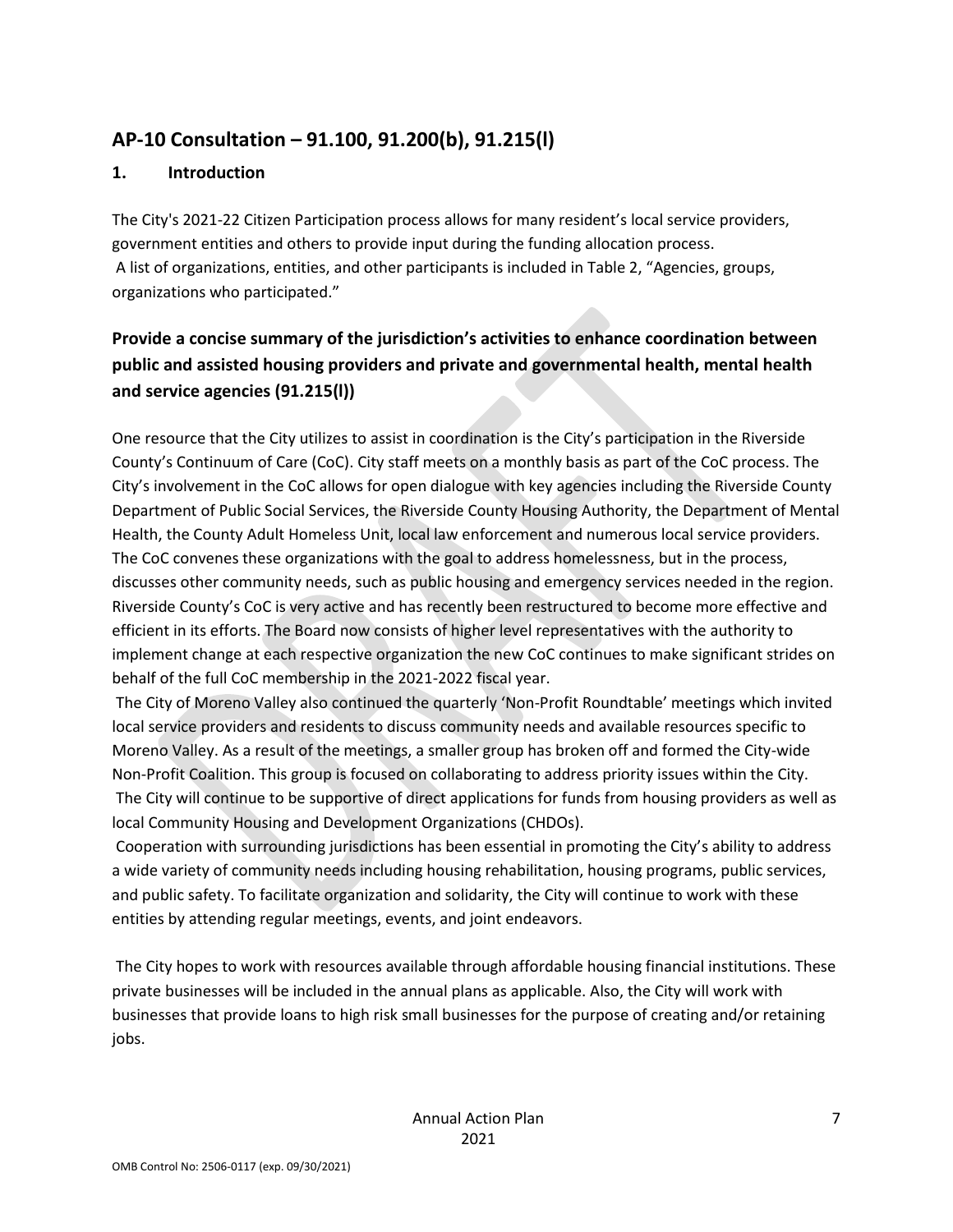## **AP-10 Consultation – 91.100, 91.200(b), 91.215(l)**

### **1. Introduction**

The City's 2021-22 Citizen Participation process allows for many resident's local service providers, government entities and others to provide input during the funding allocation process. A list of organizations, entities, and other participants is included in Table 2, "Agencies, groups, organizations who participated."

## **Provide a concise summary of the jurisdiction's activities to enhance coordination between public and assisted housing providers and private and governmental health, mental health and service agencies (91.215(l))**

One resource that the City utilizes to assist in coordination is the City's participation in the Riverside County's Continuum of Care (CoC). City staff meets on a monthly basis as part of the CoC process. The City's involvement in the CoC allows for open dialogue with key agencies including the Riverside County Department of Public Social Services, the Riverside County Housing Authority, the Department of Mental Health, the County Adult Homeless Unit, local law enforcement and numerous local service providers. The CoC convenes these organizations with the goal to address homelessness, but in the process, discusses other community needs, such as public housing and emergency services needed in the region. Riverside County's CoC is very active and has recently been restructured to become more effective and efficient in its efforts. The Board now consists of higher level representatives with the authority to implement change at each respective organization the new CoC continues to make significant strides on behalf of the full CoC membership in the 2021-2022 fiscal year.

The City of Moreno Valley also continued the quarterly 'Non-Profit Roundtable' meetings which invited local service providers and residents to discuss community needs and available resources specific to Moreno Valley. As a result of the meetings, a smaller group has broken off and formed the City-wide Non-Profit Coalition. This group is focused on collaborating to address priority issues within the City. The City will continue to be supportive of direct applications for funds from housing providers as well as local Community Housing and Development Organizations (CHDOs).

Cooperation with surrounding jurisdictions has been essential in promoting the City's ability to address a wide variety of community needs including housing rehabilitation, housing programs, public services, and public safety. To facilitate organization and solidarity, the City will continue to work with these entities by attending regular meetings, events, and joint endeavors.

The City hopes to work with resources available through affordable housing financial institutions. These private businesses will be included in the annual plans as applicable. Also, the City will work with businesses that provide loans to high risk small businesses for the purpose of creating and/or retaining jobs.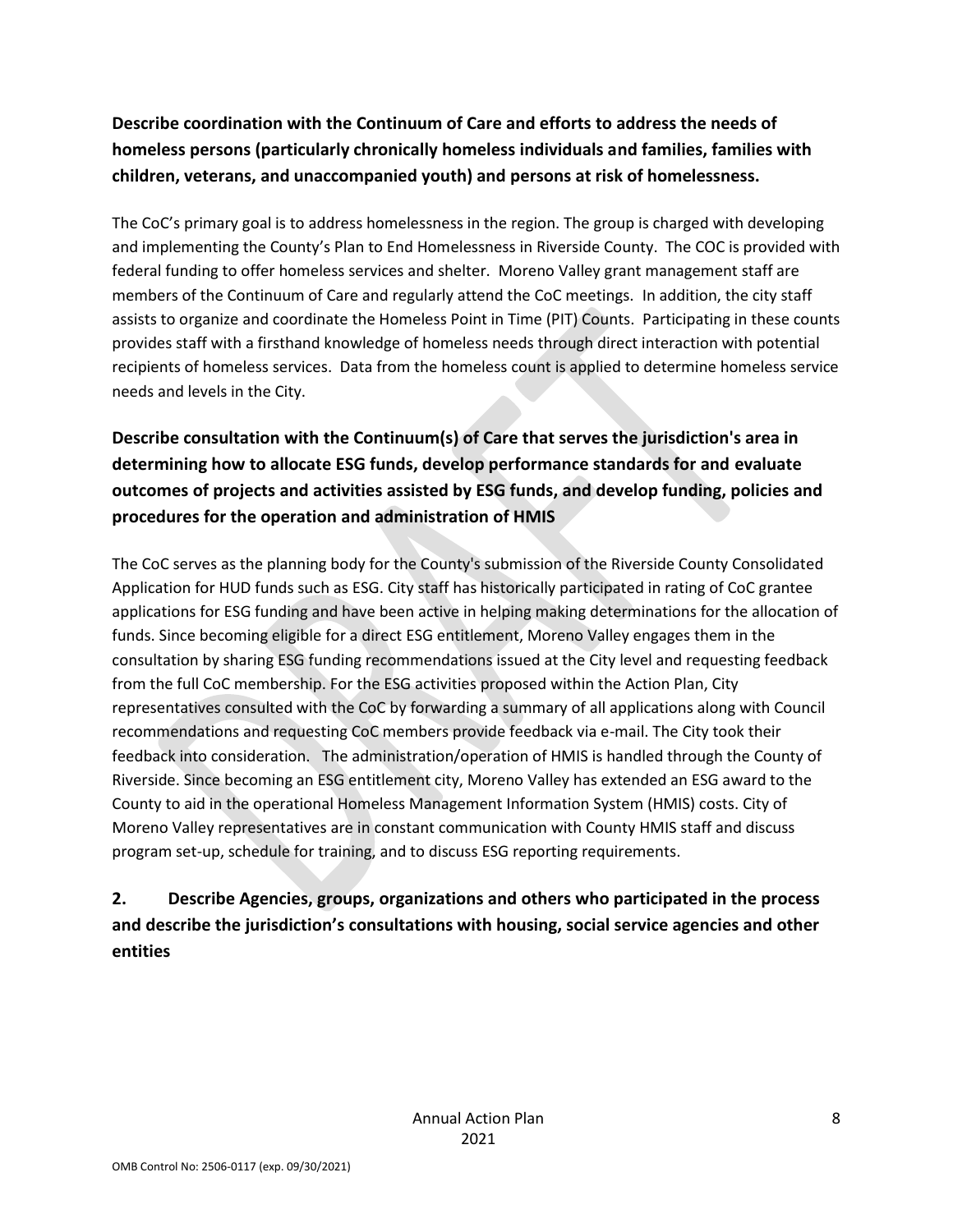## **Describe coordination with the Continuum of Care and efforts to address the needs of homeless persons (particularly chronically homeless individuals and families, families with children, veterans, and unaccompanied youth) and persons at risk of homelessness.**

The CoC's primary goal is to address homelessness in the region. The group is charged with developing and implementing the County's Plan to End Homelessness in Riverside County. The COC is provided with federal funding to offer homeless services and shelter. Moreno Valley grant management staff are members of the Continuum of Care and regularly attend the CoC meetings. In addition, the city staff assists to organize and coordinate the Homeless Point in Time (PIT) Counts. Participating in these counts provides staff with a firsthand knowledge of homeless needs through direct interaction with potential recipients of homeless services. Data from the homeless count is applied to determine homeless service needs and levels in the City.

## **Describe consultation with the Continuum(s) of Care that serves the jurisdiction's area in determining how to allocate ESG funds, develop performance standards for and evaluate outcomes of projects and activities assisted by ESG funds, and develop funding, policies and procedures for the operation and administration of HMIS**

The CoC serves as the planning body for the County's submission of the Riverside County Consolidated Application for HUD funds such as ESG. City staff has historically participated in rating of CoC grantee applications for ESG funding and have been active in helping making determinations for the allocation of funds. Since becoming eligible for a direct ESG entitlement, Moreno Valley engages them in the consultation by sharing ESG funding recommendations issued at the City level and requesting feedback from the full CoC membership. For the ESG activities proposed within the Action Plan, City representatives consulted with the CoC by forwarding a summary of all applications along with Council recommendations and requesting CoC members provide feedback via e-mail. The City took their feedback into consideration. The administration/operation of HMIS is handled through the County of Riverside. Since becoming an ESG entitlement city, Moreno Valley has extended an ESG award to the County to aid in the operational Homeless Management Information System (HMIS) costs. City of Moreno Valley representatives are in constant communication with County HMIS staff and discuss program set-up, schedule for training, and to discuss ESG reporting requirements.

## **2. Describe Agencies, groups, organizations and others who participated in the process and describe the jurisdiction's consultations with housing, social service agencies and other entities**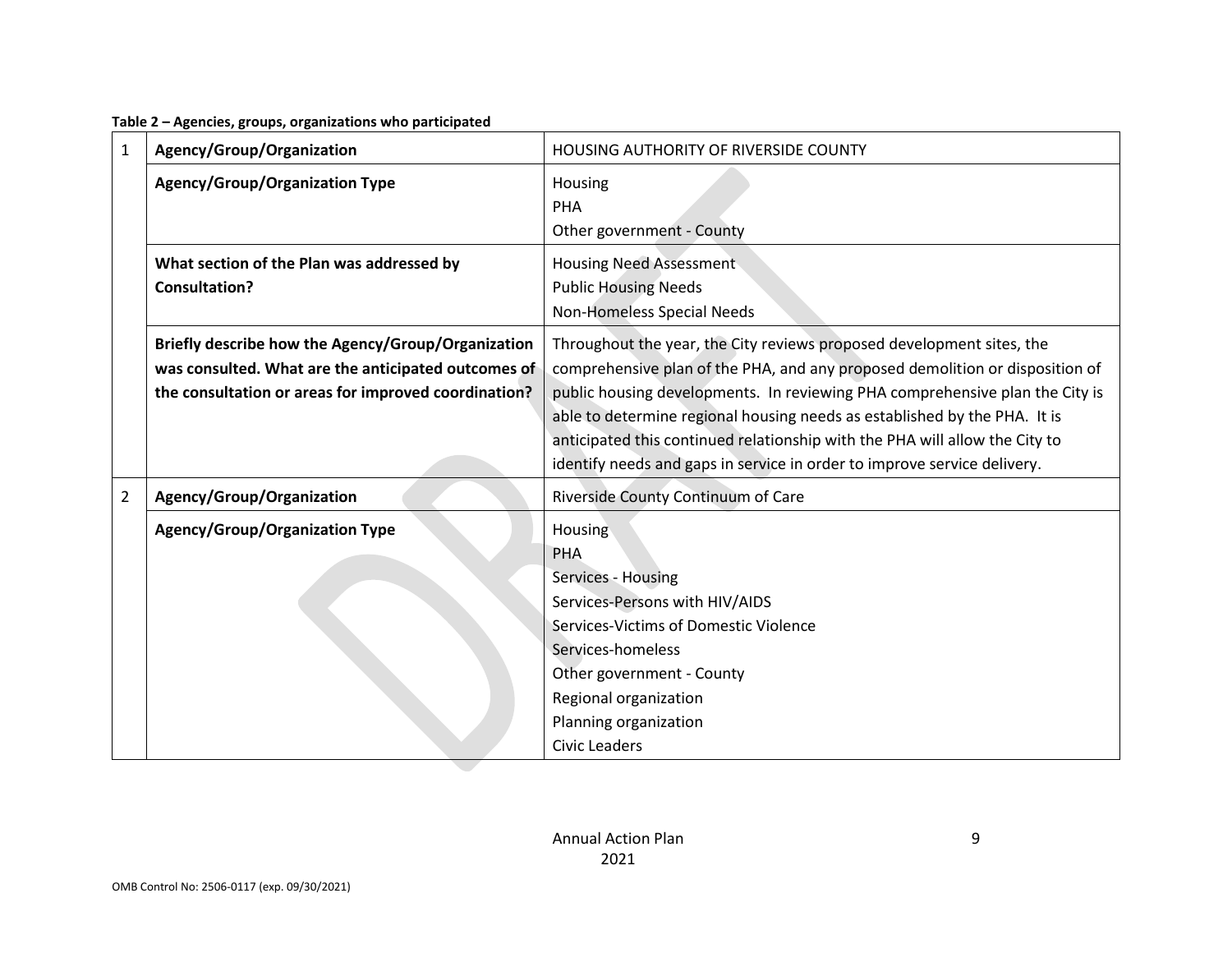**Table 2 – Agencies, groups, organizations who participated**

| 1              | Agency/Group/Organization                                                                                                                                         | HOUSING AUTHORITY OF RIVERSIDE COUNTY                                                                                                                                                                                                                                                                                                                                                                                                                                         |  |  |
|----------------|-------------------------------------------------------------------------------------------------------------------------------------------------------------------|-------------------------------------------------------------------------------------------------------------------------------------------------------------------------------------------------------------------------------------------------------------------------------------------------------------------------------------------------------------------------------------------------------------------------------------------------------------------------------|--|--|
|                | <b>Agency/Group/Organization Type</b>                                                                                                                             | Housing<br>PHA<br>Other government - County                                                                                                                                                                                                                                                                                                                                                                                                                                   |  |  |
|                | What section of the Plan was addressed by<br><b>Consultation?</b>                                                                                                 | <b>Housing Need Assessment</b><br><b>Public Housing Needs</b><br>Non-Homeless Special Needs                                                                                                                                                                                                                                                                                                                                                                                   |  |  |
|                | Briefly describe how the Agency/Group/Organization<br>was consulted. What are the anticipated outcomes of<br>the consultation or areas for improved coordination? | Throughout the year, the City reviews proposed development sites, the<br>comprehensive plan of the PHA, and any proposed demolition or disposition of<br>public housing developments. In reviewing PHA comprehensive plan the City is<br>able to determine regional housing needs as established by the PHA. It is<br>anticipated this continued relationship with the PHA will allow the City to<br>identify needs and gaps in service in order to improve service delivery. |  |  |
| $\overline{2}$ | Agency/Group/Organization                                                                                                                                         | Riverside County Continuum of Care                                                                                                                                                                                                                                                                                                                                                                                                                                            |  |  |
|                | <b>Agency/Group/Organization Type</b>                                                                                                                             | Housing<br>PHA<br>Services - Housing<br>Services-Persons with HIV/AIDS<br>Services-Victims of Domestic Violence<br>Services-homeless<br>Other government - County<br>Regional organization<br>Planning organization<br><b>Civic Leaders</b>                                                                                                                                                                                                                                   |  |  |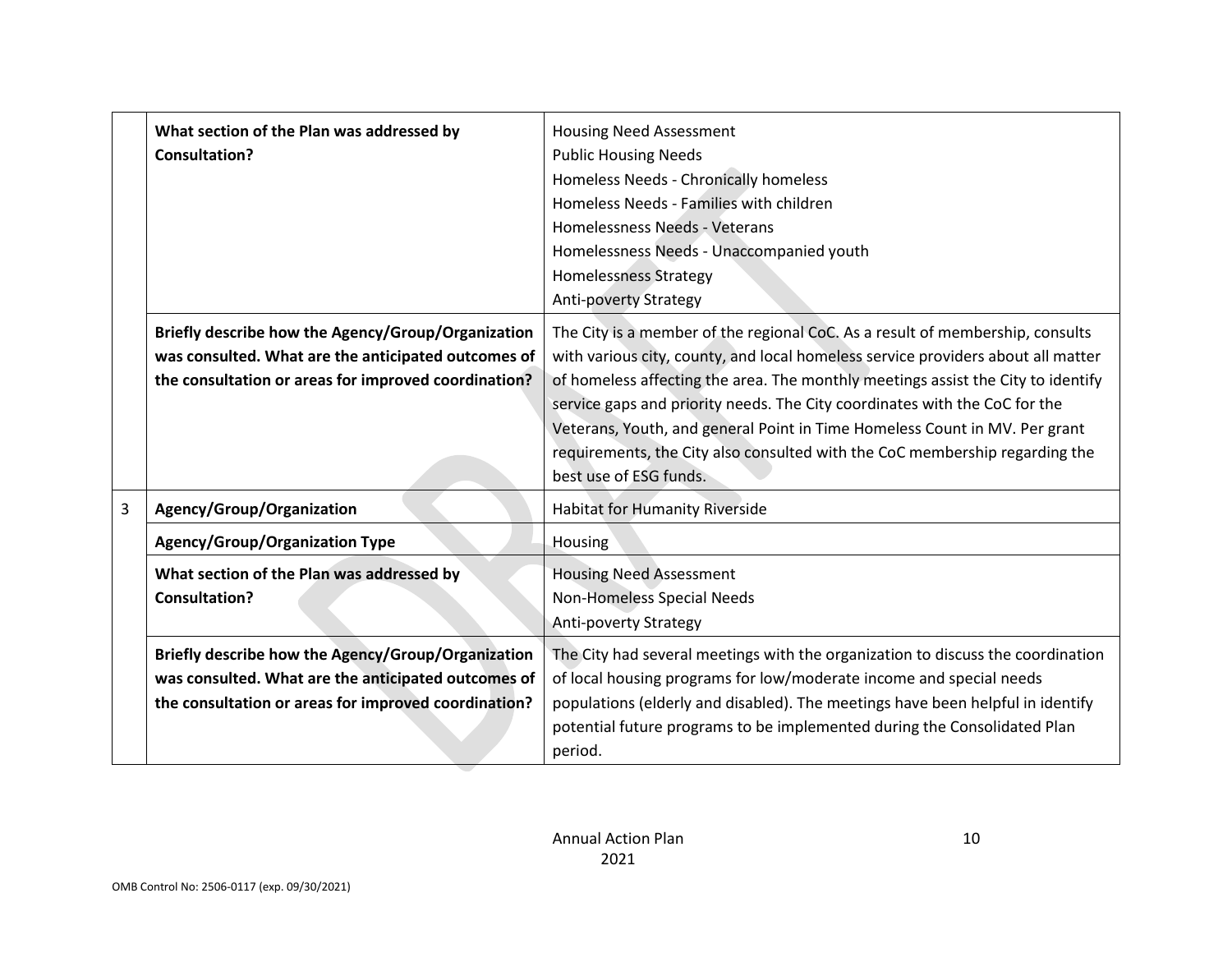|                | What section of the Plan was addressed by<br><b>Consultation?</b>                                                                                                 | <b>Housing Need Assessment</b><br><b>Public Housing Needs</b><br>Homeless Needs - Chronically homeless<br>Homeless Needs - Families with children<br>Homelessness Needs - Veterans<br>Homelessness Needs - Unaccompanied youth<br><b>Homelessness Strategy</b><br><b>Anti-poverty Strategy</b>                                                                                                                                                                                                                             |  |  |
|----------------|-------------------------------------------------------------------------------------------------------------------------------------------------------------------|----------------------------------------------------------------------------------------------------------------------------------------------------------------------------------------------------------------------------------------------------------------------------------------------------------------------------------------------------------------------------------------------------------------------------------------------------------------------------------------------------------------------------|--|--|
|                | Briefly describe how the Agency/Group/Organization<br>was consulted. What are the anticipated outcomes of<br>the consultation or areas for improved coordination? | The City is a member of the regional CoC. As a result of membership, consults<br>with various city, county, and local homeless service providers about all matter<br>of homeless affecting the area. The monthly meetings assist the City to identify<br>service gaps and priority needs. The City coordinates with the CoC for the<br>Veterans, Youth, and general Point in Time Homeless Count in MV. Per grant<br>requirements, the City also consulted with the CoC membership regarding the<br>best use of ESG funds. |  |  |
| $\overline{3}$ | Agency/Group/Organization                                                                                                                                         | <b>Habitat for Humanity Riverside</b>                                                                                                                                                                                                                                                                                                                                                                                                                                                                                      |  |  |
|                | <b>Agency/Group/Organization Type</b>                                                                                                                             | Housing                                                                                                                                                                                                                                                                                                                                                                                                                                                                                                                    |  |  |
|                | What section of the Plan was addressed by<br><b>Consultation?</b>                                                                                                 | <b>Housing Need Assessment</b><br>Non-Homeless Special Needs<br><b>Anti-poverty Strategy</b>                                                                                                                                                                                                                                                                                                                                                                                                                               |  |  |
|                | Briefly describe how the Agency/Group/Organization<br>was consulted. What are the anticipated outcomes of<br>the consultation or areas for improved coordination? | The City had several meetings with the organization to discuss the coordination<br>of local housing programs for low/moderate income and special needs<br>populations (elderly and disabled). The meetings have been helpful in identify<br>potential future programs to be implemented during the Consolidated Plan<br>period.                                                                                                                                                                                            |  |  |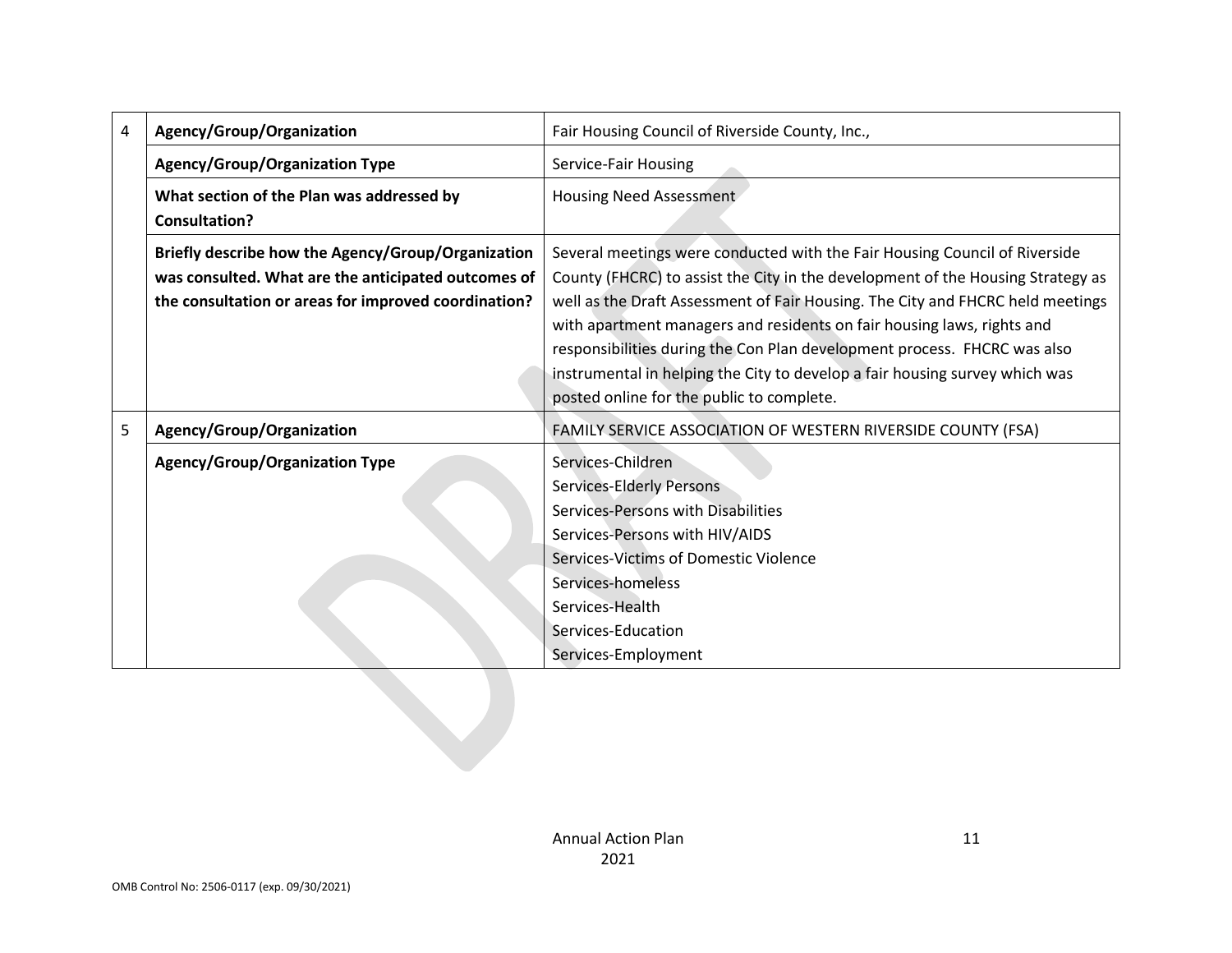| 4 | Agency/Group/Organization                                                                                                                                         | Fair Housing Council of Riverside County, Inc.,                                                                                                                                                                                                                                                                                                                                                                                                                                                                                   |
|---|-------------------------------------------------------------------------------------------------------------------------------------------------------------------|-----------------------------------------------------------------------------------------------------------------------------------------------------------------------------------------------------------------------------------------------------------------------------------------------------------------------------------------------------------------------------------------------------------------------------------------------------------------------------------------------------------------------------------|
|   | <b>Agency/Group/Organization Type</b>                                                                                                                             | Service-Fair Housing                                                                                                                                                                                                                                                                                                                                                                                                                                                                                                              |
|   | What section of the Plan was addressed by<br><b>Consultation?</b>                                                                                                 | Housing Need Assessment                                                                                                                                                                                                                                                                                                                                                                                                                                                                                                           |
|   | Briefly describe how the Agency/Group/Organization<br>was consulted. What are the anticipated outcomes of<br>the consultation or areas for improved coordination? | Several meetings were conducted with the Fair Housing Council of Riverside<br>County (FHCRC) to assist the City in the development of the Housing Strategy as<br>well as the Draft Assessment of Fair Housing. The City and FHCRC held meetings<br>with apartment managers and residents on fair housing laws, rights and<br>responsibilities during the Con Plan development process. FHCRC was also<br>instrumental in helping the City to develop a fair housing survey which was<br>posted online for the public to complete. |
| 5 | Agency/Group/Organization                                                                                                                                         | FAMILY SERVICE ASSOCIATION OF WESTERN RIVERSIDE COUNTY (FSA)                                                                                                                                                                                                                                                                                                                                                                                                                                                                      |
|   | <b>Agency/Group/Organization Type</b>                                                                                                                             | Services-Children<br><b>Services-Elderly Persons</b><br>Services-Persons with Disabilities<br>Services-Persons with HIV/AIDS<br>Services-Victims of Domestic Violence<br>Services-homeless<br>Services-Health<br>Services-Education<br>Services-Employment                                                                                                                                                                                                                                                                        |
|   |                                                                                                                                                                   |                                                                                                                                                                                                                                                                                                                                                                                                                                                                                                                                   |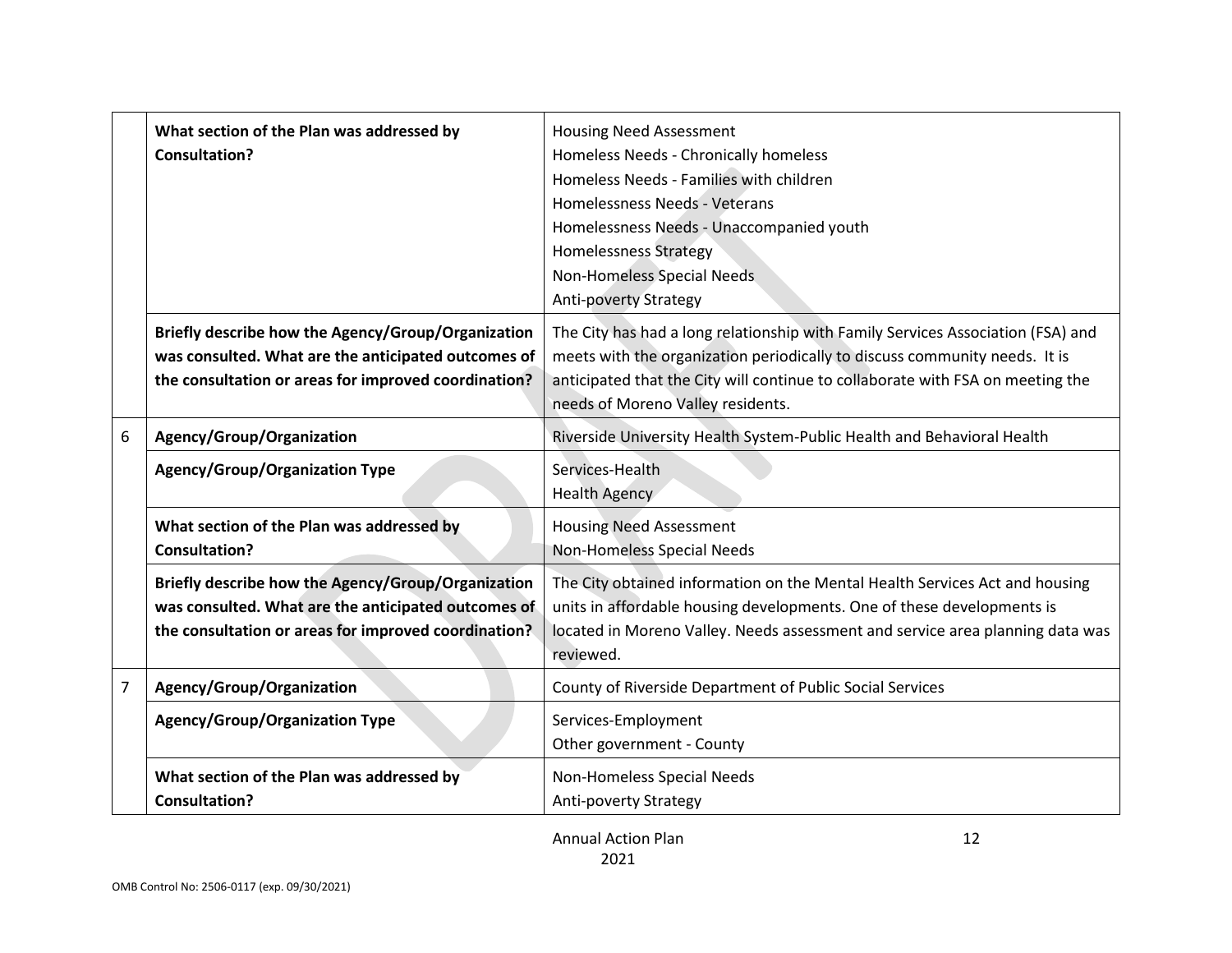|   | What section of the Plan was addressed by<br><b>Consultation?</b>                                                                                                 | <b>Housing Need Assessment</b><br>Homeless Needs - Chronically homeless<br>Homeless Needs - Families with children<br>Homelessness Needs - Veterans<br>Homelessness Needs - Unaccompanied youth<br><b>Homelessness Strategy</b><br>Non-Homeless Special Needs<br><b>Anti-poverty Strategy</b> |
|---|-------------------------------------------------------------------------------------------------------------------------------------------------------------------|-----------------------------------------------------------------------------------------------------------------------------------------------------------------------------------------------------------------------------------------------------------------------------------------------|
|   | Briefly describe how the Agency/Group/Organization<br>was consulted. What are the anticipated outcomes of<br>the consultation or areas for improved coordination? | The City has had a long relationship with Family Services Association (FSA) and<br>meets with the organization periodically to discuss community needs. It is<br>anticipated that the City will continue to collaborate with FSA on meeting the<br>needs of Moreno Valley residents.          |
| 6 | Agency/Group/Organization                                                                                                                                         | Riverside University Health System-Public Health and Behavioral Health                                                                                                                                                                                                                        |
|   | <b>Agency/Group/Organization Type</b>                                                                                                                             | Services-Health<br>Health Agency                                                                                                                                                                                                                                                              |
|   | What section of the Plan was addressed by<br><b>Consultation?</b>                                                                                                 | <b>Housing Need Assessment</b><br>Non-Homeless Special Needs                                                                                                                                                                                                                                  |
|   | Briefly describe how the Agency/Group/Organization<br>was consulted. What are the anticipated outcomes of<br>the consultation or areas for improved coordination? | The City obtained information on the Mental Health Services Act and housing<br>units in affordable housing developments. One of these developments is<br>located in Moreno Valley. Needs assessment and service area planning data was<br>reviewed.                                           |
| 7 | Agency/Group/Organization                                                                                                                                         | County of Riverside Department of Public Social Services                                                                                                                                                                                                                                      |
|   | <b>Agency/Group/Organization Type</b>                                                                                                                             | Services-Employment<br>Other government - County                                                                                                                                                                                                                                              |
|   | What section of the Plan was addressed by<br><b>Consultation?</b>                                                                                                 | Non-Homeless Special Needs<br><b>Anti-poverty Strategy</b>                                                                                                                                                                                                                                    |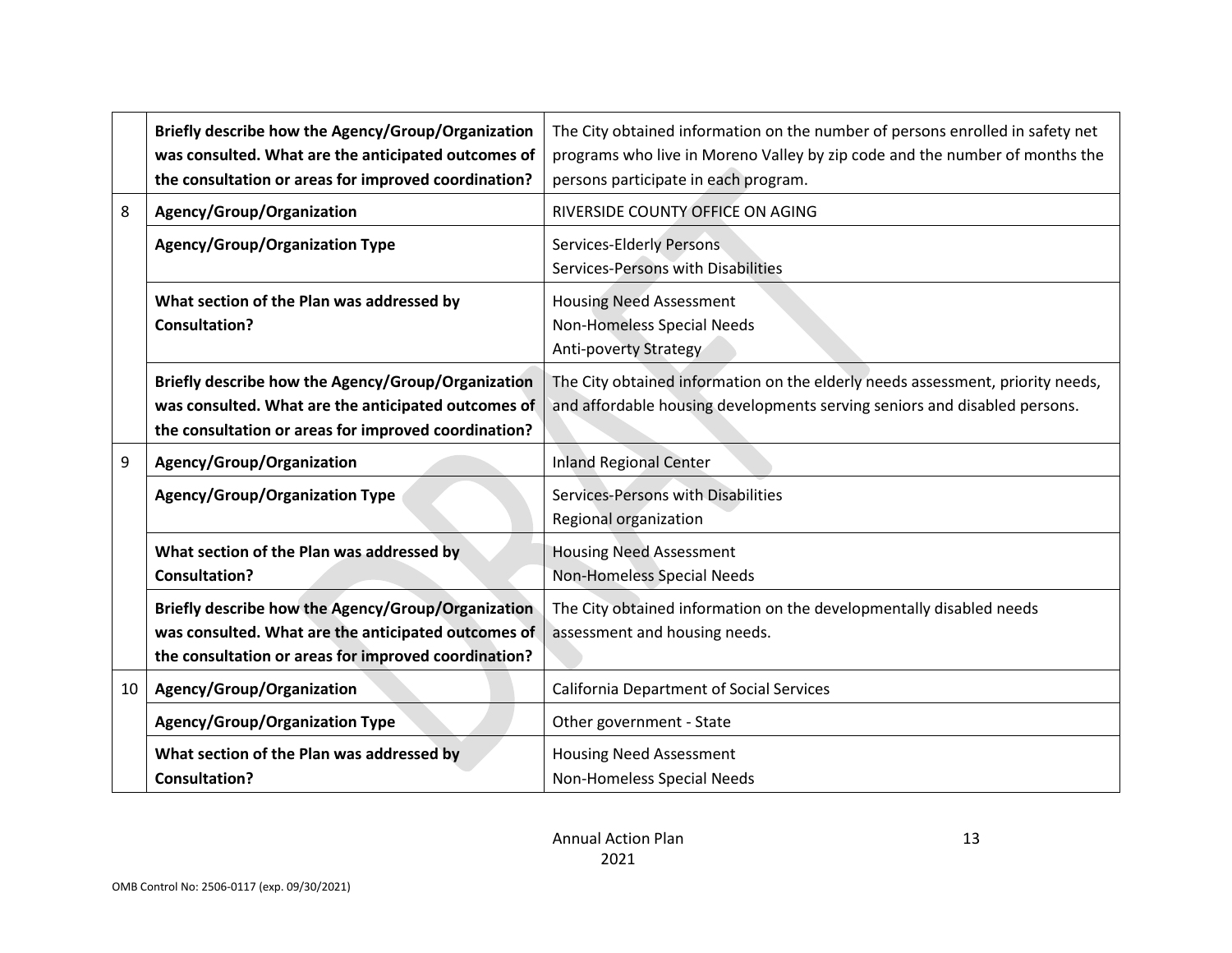|                 | Briefly describe how the Agency/Group/Organization<br>was consulted. What are the anticipated outcomes of<br>the consultation or areas for improved coordination? | The City obtained information on the number of persons enrolled in safety net<br>programs who live in Moreno Valley by zip code and the number of months the<br>persons participate in each program. |
|-----------------|-------------------------------------------------------------------------------------------------------------------------------------------------------------------|------------------------------------------------------------------------------------------------------------------------------------------------------------------------------------------------------|
| 8               | Agency/Group/Organization                                                                                                                                         | RIVERSIDE COUNTY OFFICE ON AGING                                                                                                                                                                     |
|                 | <b>Agency/Group/Organization Type</b>                                                                                                                             | Services-Elderly Persons<br>Services-Persons with Disabilities                                                                                                                                       |
|                 | What section of the Plan was addressed by<br><b>Consultation?</b>                                                                                                 | <b>Housing Need Assessment</b><br>Non-Homeless Special Needs<br><b>Anti-poverty Strategy</b>                                                                                                         |
|                 | Briefly describe how the Agency/Group/Organization<br>was consulted. What are the anticipated outcomes of<br>the consultation or areas for improved coordination? | The City obtained information on the elderly needs assessment, priority needs,<br>and affordable housing developments serving seniors and disabled persons.                                          |
| 9               | Agency/Group/Organization                                                                                                                                         | <b>Inland Regional Center</b>                                                                                                                                                                        |
|                 | <b>Agency/Group/Organization Type</b>                                                                                                                             | Services-Persons with Disabilities<br>Regional organization                                                                                                                                          |
|                 | What section of the Plan was addressed by<br><b>Consultation?</b>                                                                                                 | <b>Housing Need Assessment</b><br>Non-Homeless Special Needs                                                                                                                                         |
|                 | Briefly describe how the Agency/Group/Organization<br>was consulted. What are the anticipated outcomes of<br>the consultation or areas for improved coordination? | The City obtained information on the developmentally disabled needs<br>assessment and housing needs.                                                                                                 |
| 10 <sup>1</sup> | Agency/Group/Organization                                                                                                                                         | <b>California Department of Social Services</b>                                                                                                                                                      |
|                 | <b>Agency/Group/Organization Type</b>                                                                                                                             | Other government - State                                                                                                                                                                             |
|                 | What section of the Plan was addressed by<br><b>Consultation?</b>                                                                                                 | <b>Housing Need Assessment</b><br>Non-Homeless Special Needs                                                                                                                                         |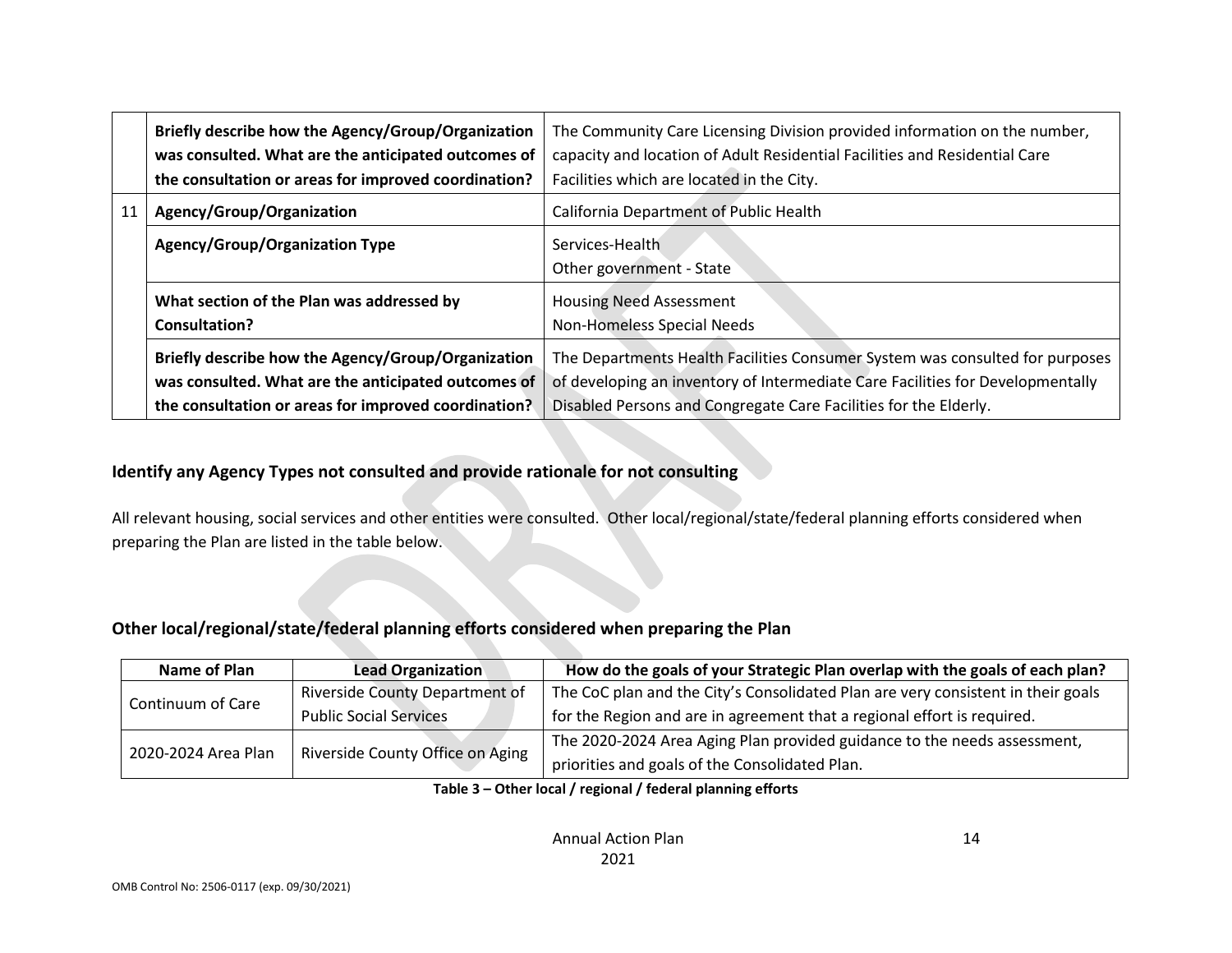|                                                                                                                                                                   | Briefly describe how the Agency/Group/Organization<br>was consulted. What are the anticipated outcomes of<br>the consultation or areas for improved coordination? | The Community Care Licensing Division provided information on the number,<br>capacity and location of Adult Residential Facilities and Residential Care<br>Facilities which are located in the City.                               |
|-------------------------------------------------------------------------------------------------------------------------------------------------------------------|-------------------------------------------------------------------------------------------------------------------------------------------------------------------|------------------------------------------------------------------------------------------------------------------------------------------------------------------------------------------------------------------------------------|
| 11                                                                                                                                                                | Agency/Group/Organization                                                                                                                                         | California Department of Public Health                                                                                                                                                                                             |
|                                                                                                                                                                   | <b>Agency/Group/Organization Type</b>                                                                                                                             | Services-Health<br>Other government - State                                                                                                                                                                                        |
|                                                                                                                                                                   | What section of the Plan was addressed by<br><b>Consultation?</b>                                                                                                 | <b>Housing Need Assessment</b><br><b>Non-Homeless Special Needs</b>                                                                                                                                                                |
| Briefly describe how the Agency/Group/Organization<br>was consulted. What are the anticipated outcomes of<br>the consultation or areas for improved coordination? |                                                                                                                                                                   | The Departments Health Facilities Consumer System was consulted for purposes<br>of developing an inventory of Intermediate Care Facilities for Developmentally<br>Disabled Persons and Congregate Care Facilities for the Elderly. |

### **Identify any Agency Types not consulted and provide rationale for not consulting**

All relevant housing, social services and other entities were consulted. Other local/regional/state/federal planning efforts considered when preparing the Plan are listed in the table below.

### **Other local/regional/state/federal planning efforts considered when preparing the Plan**

| <b>Name of Plan</b> | <b>Lead Organization</b>         | How do the goals of your Strategic Plan overlap with the goals of each plan?     |  |  |
|---------------------|----------------------------------|----------------------------------------------------------------------------------|--|--|
| Continuum of Care   | Riverside County Department of   | The CoC plan and the City's Consolidated Plan are very consistent in their goals |  |  |
|                     | <b>Public Social Services</b>    | for the Region and are in agreement that a regional effort is required.          |  |  |
| 2020-2024 Area Plan |                                  | The 2020-2024 Area Aging Plan provided guidance to the needs assessment,         |  |  |
|                     | Riverside County Office on Aging | priorities and goals of the Consolidated Plan.                                   |  |  |

#### **Table 3 – Other local / regional / federal planning efforts**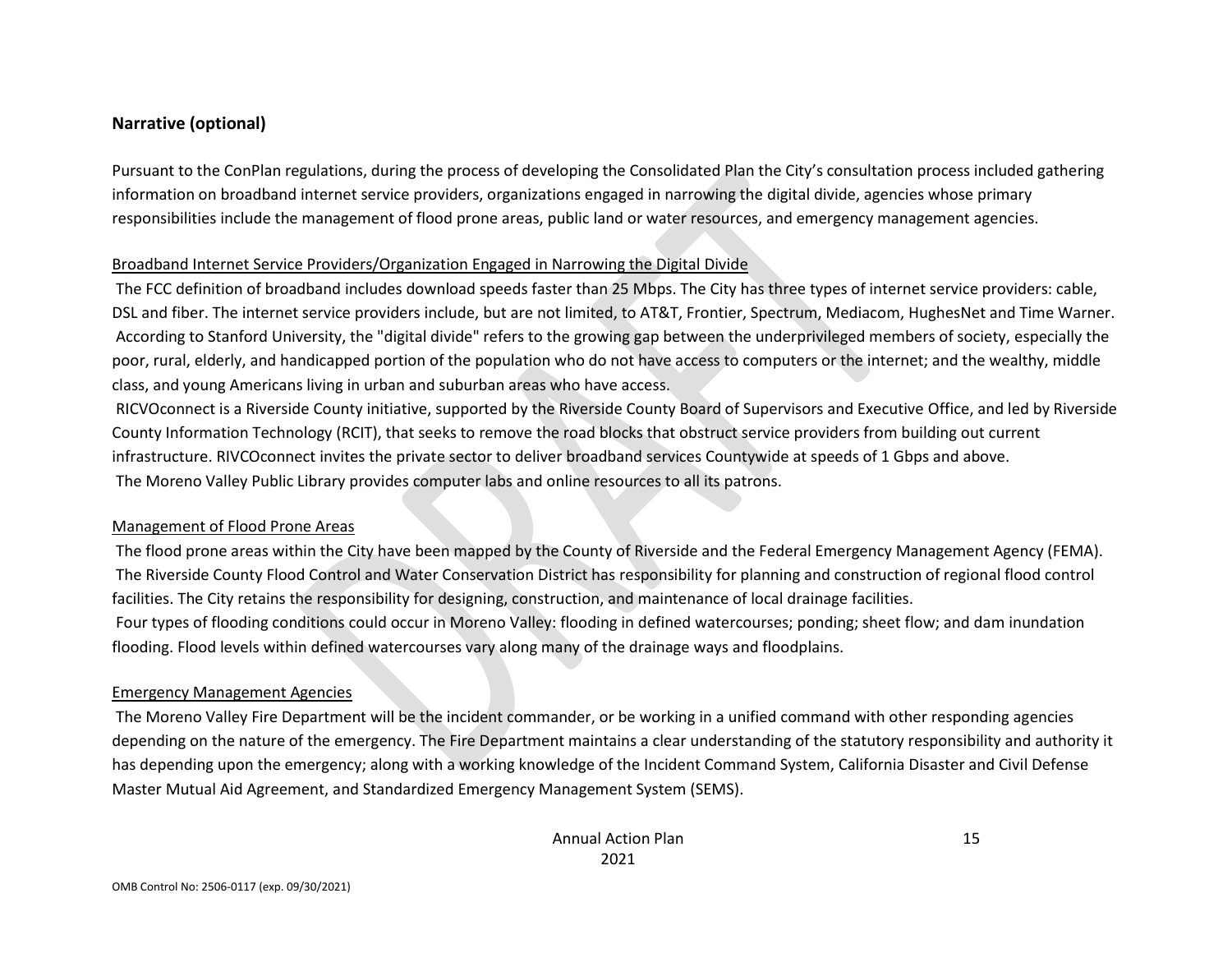### **Narrative (optional)**

Pursuant to the ConPlan regulations, during the process of developing the Consolidated Plan the City's consultation process included gathering information on broadband internet service providers, organizations engaged in narrowing the digital divide, agencies whose primary responsibilities include the management of flood prone areas, public land or water resources, and emergency management agencies.

#### Broadband Internet Service Providers/Organization Engaged in Narrowing the Digital Divide

The FCC definition of broadband includes download speeds faster than 25 Mbps. The City has three types of internet service providers: cable, DSL and fiber. The internet service providers include, but are not limited, to AT&T, Frontier, Spectrum, Mediacom, HughesNet and Time Warner. According to Stanford University, the "digital divide" refers to the growing gap between the underprivileged members of society, especially the poor, rural, elderly, and handicapped portion of the population who do not have access to computers or the internet; and the wealthy, middle class, and young Americans living in urban and suburban areas who have access.

RICVOconnect is a Riverside County initiative, supported by the Riverside County Board of Supervisors and Executive Office, and led by Riverside County Information Technology (RCIT), that seeks to remove the road blocks that obstruct service providers from building out current infrastructure. RIVCOconnect invites the private sector to deliver broadband services Countywide at speeds of 1 Gbps and above. The Moreno Valley Public Library provides computer labs and online resources to all its patrons.

#### Management of Flood Prone Areas

The flood prone areas within the City have been mapped by the County of Riverside and the Federal Emergency Management Agency (FEMA). The Riverside County Flood Control and Water Conservation District has responsibility for planning and construction of regional flood control facilities. The City retains the responsibility for designing, construction, and maintenance of local drainage facilities. Four types of flooding conditions could occur in Moreno Valley: flooding in defined watercourses; ponding; sheet flow; and dam inundation flooding. Flood levels within defined watercourses vary along many of the drainage ways and floodplains.

#### Emergency Management Agencies

The Moreno Valley Fire Department will be the incident commander, or be working in a unified command with other responding agencies depending on the nature of the emergency. The Fire Department maintains a clear understanding of the statutory responsibility and authority it has depending upon the emergency; along with a working knowledge of the Incident Command System, California Disaster and Civil Defense Master Mutual Aid Agreement, and Standardized Emergency Management System (SEMS).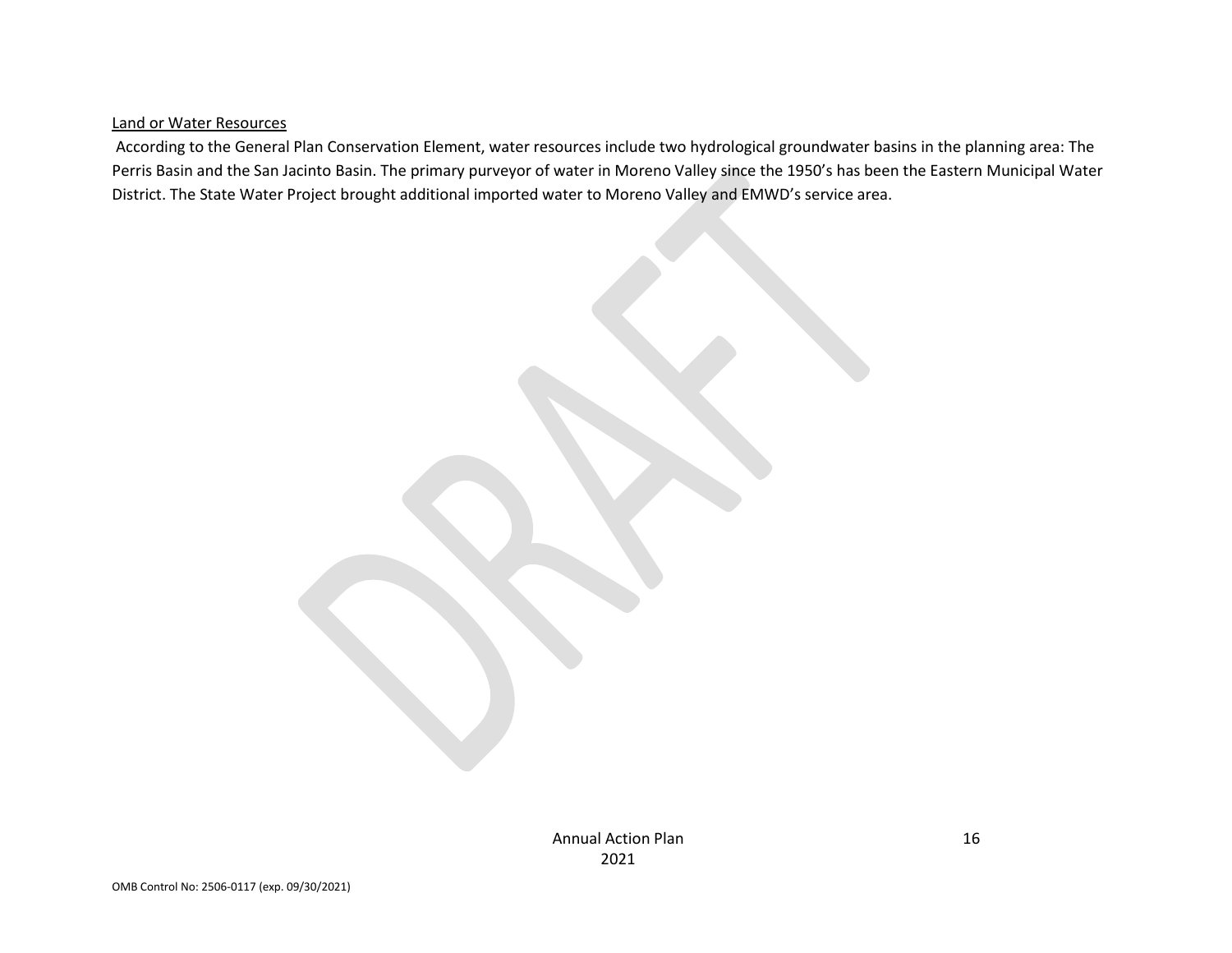#### Land or Water Resources

According to the General Plan Conservation Element, water resources include two hydrological groundwater basins in the planning area: The Perris Basin and the San Jacinto Basin. The primary purveyor of water in Moreno Valley since the 1950's has been the Eastern Municipal Water District. The State Water Project brought additional imported water to Moreno Valley and EMWD's service area.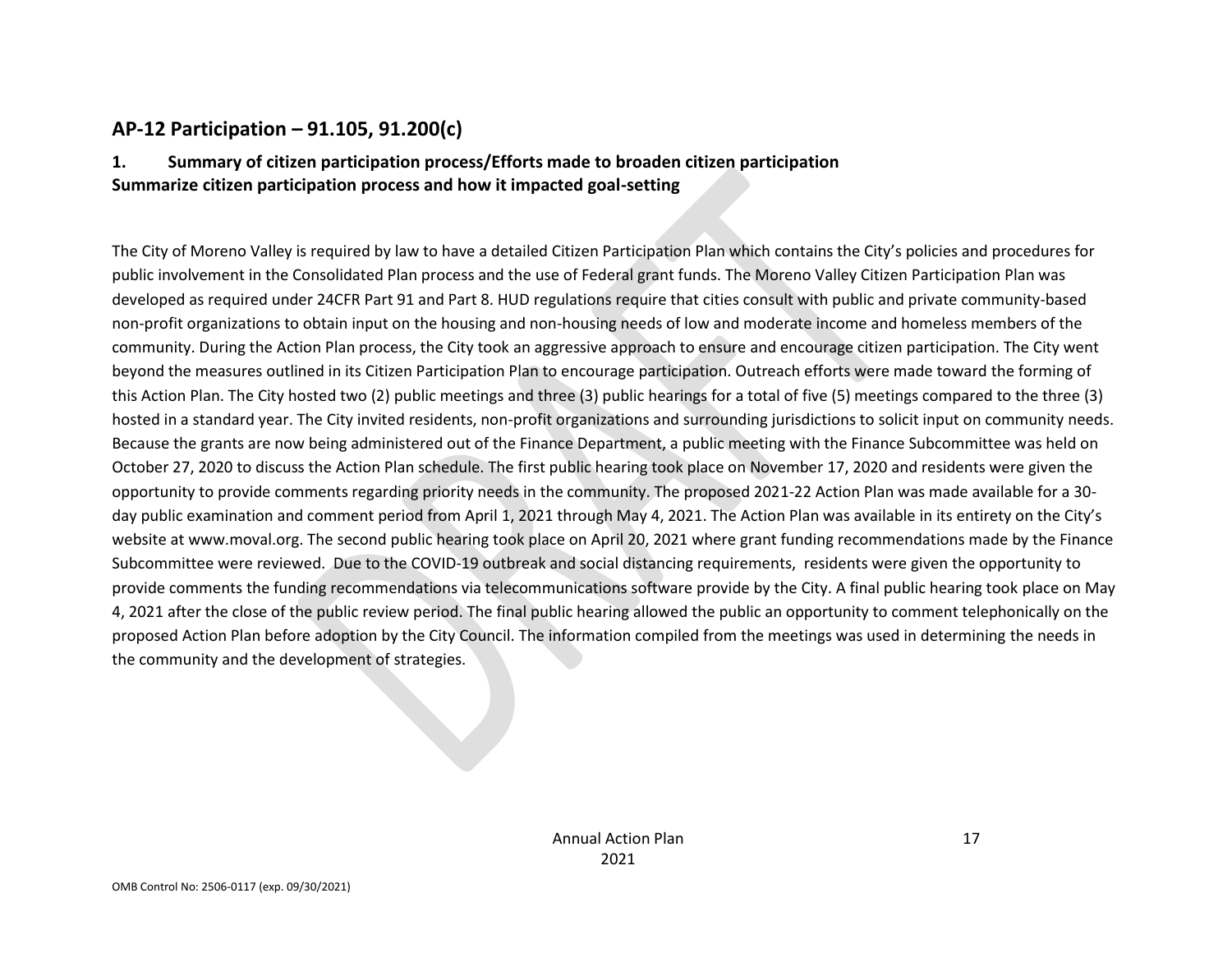## **AP-12 Participation – 91.105, 91.200(c)**

## **1. Summary of citizen participation process/Efforts made to broaden citizen participation Summarize citizen participation process and how it impacted goal-setting**

The City of Moreno Valley is required by law to have a detailed Citizen Participation Plan which contains the City's policies and procedures for public involvement in the Consolidated Plan process and the use of Federal grant funds. The Moreno Valley Citizen Participation Plan was developed as required under 24CFR Part 91 and Part 8. HUD regulations require that cities consult with public and private community-based non-profit organizations to obtain input on the housing and non-housing needs of low and moderate income and homeless members of the community. During the Action Plan process, the City took an aggressive approach to ensure and encourage citizen participation. The City went beyond the measures outlined in its Citizen Participation Plan to encourage participation. Outreach efforts were made toward the forming of this Action Plan. The City hosted two (2) public meetings and three (3) public hearings for a total of five (5) meetings compared to the three (3) hosted in a standard year. The City invited residents, non-profit organizations and surrounding jurisdictions to solicit input on community needs. Because the grants are now being administered out of the Finance Department, a public meeting with the Finance Subcommittee was held on October 27, 2020 to discuss the Action Plan schedule. The first public hearing took place on November 17, 2020 and residents were given the opportunity to provide comments regarding priority needs in the community. The proposed 2021-22 Action Plan was made available for a 30 day public examination and comment period from April 1, 2021 through May 4, 2021. The Action Plan was available in its entirety on the City's website at www.moval.org. The second public hearing took place on April 20, 2021 where grant funding recommendations made by the Finance Subcommittee were reviewed. Due to the COVID-19 outbreak and social distancing requirements, residents were given the opportunity to provide comments the funding recommendations via telecommunications software provide by the City. A final public hearing took place on May 4, 2021 after the close of the public review period. The final public hearing allowed the public an opportunity to comment telephonically on the proposed Action Plan before adoption by the City Council. The information compiled from the meetings was used in determining the needs in the community and the development of strategies.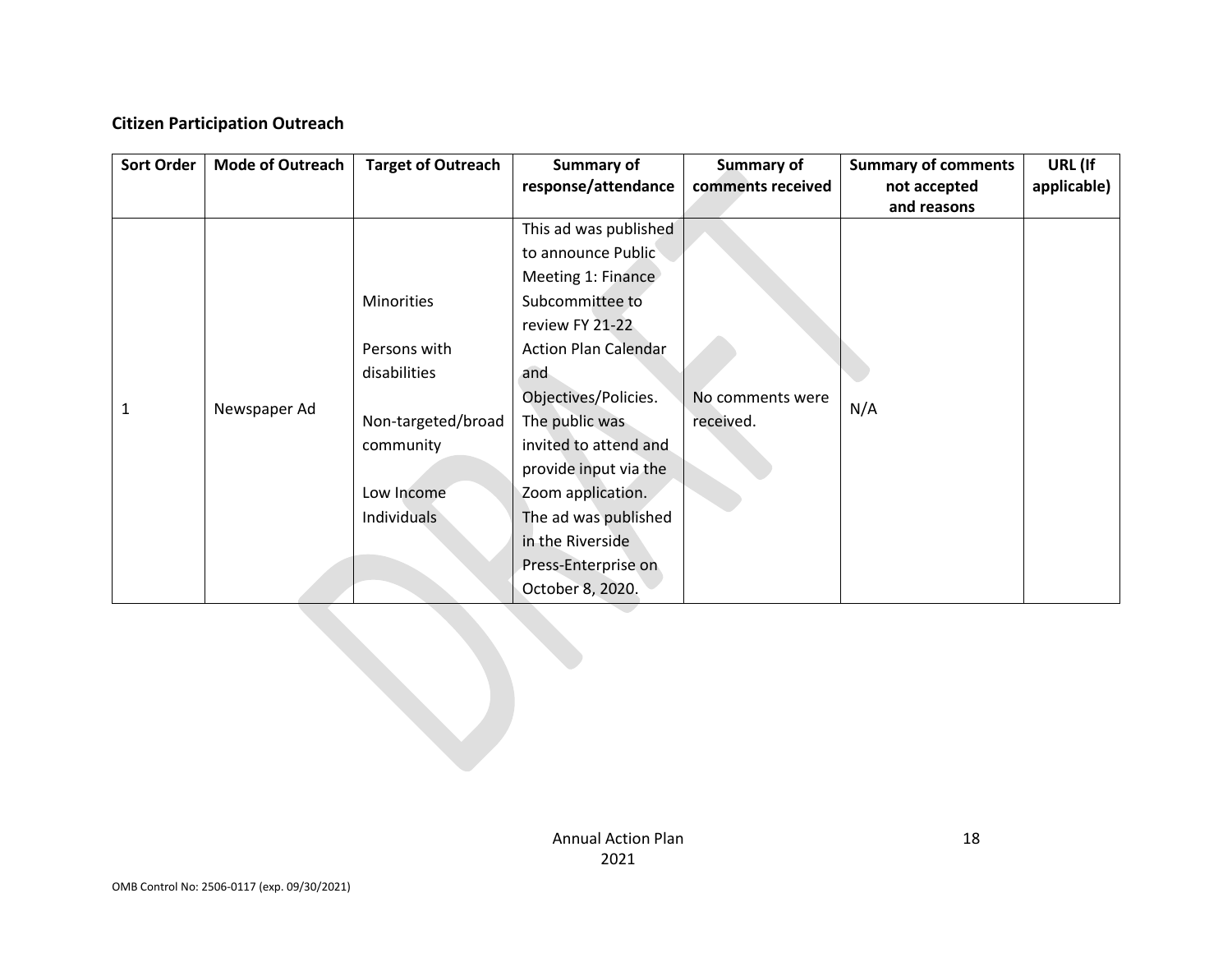## **Citizen Participation Outreach**

| <b>Sort Order</b> | <b>Mode of Outreach</b> | <b>Target of Outreach</b>                                                                                                | Summary of<br>response/attendance                                                                                                                                                                                                                                                                                                                     | <b>Summary of</b><br>comments received | <b>Summary of comments</b><br>not accepted<br>and reasons | URL (If<br>applicable) |
|-------------------|-------------------------|--------------------------------------------------------------------------------------------------------------------------|-------------------------------------------------------------------------------------------------------------------------------------------------------------------------------------------------------------------------------------------------------------------------------------------------------------------------------------------------------|----------------------------------------|-----------------------------------------------------------|------------------------|
| 1                 | Newspaper Ad            | <b>Minorities</b><br>Persons with<br>disabilities<br>Non-targeted/broad<br>community<br>Low Income<br><b>Individuals</b> | This ad was published<br>to announce Public<br>Meeting 1: Finance<br>Subcommittee to<br>review FY 21-22<br><b>Action Plan Calendar</b><br>and<br>Objectives/Policies.<br>The public was<br>invited to attend and<br>provide input via the<br>Zoom application.<br>The ad was published<br>in the Riverside<br>Press-Enterprise on<br>October 8, 2020. | No comments were<br>received.          | N/A                                                       |                        |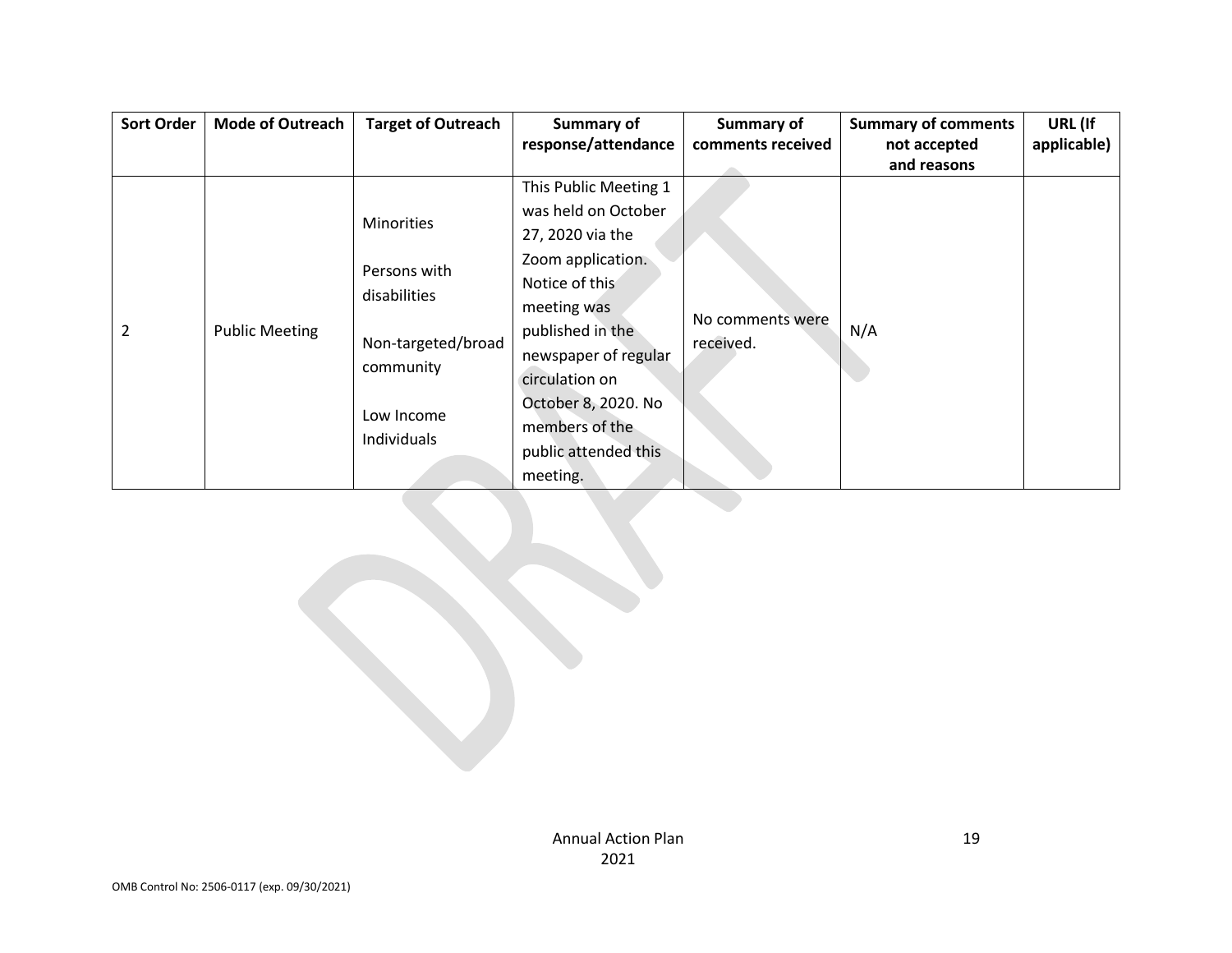| <b>Sort Order</b> | <b>Mode of Outreach</b> | <b>Target of Outreach</b> | Summary of            | <b>Summary of</b>             | <b>Summary of comments</b> | URL (If     |
|-------------------|-------------------------|---------------------------|-----------------------|-------------------------------|----------------------------|-------------|
|                   |                         |                           | response/attendance   | comments received             | not accepted               | applicable) |
|                   |                         |                           |                       |                               | and reasons                |             |
|                   |                         |                           | This Public Meeting 1 |                               |                            |             |
|                   |                         | <b>Minorities</b>         | was held on October   |                               |                            |             |
|                   |                         |                           | 27, 2020 via the      |                               |                            |             |
|                   |                         | Persons with              | Zoom application.     |                               |                            |             |
|                   |                         | disabilities              | Notice of this        |                               |                            |             |
|                   |                         |                           | meeting was           |                               |                            |             |
| 2                 | <b>Public Meeting</b>   | Non-targeted/broad        | published in the      | No comments were<br>received. | N/A                        |             |
|                   |                         |                           | newspaper of regular  |                               |                            |             |
|                   |                         | community                 | circulation on        |                               |                            |             |
|                   |                         | Low Income                | October 8, 2020. No   |                               |                            |             |
|                   |                         |                           | members of the        |                               |                            |             |
|                   |                         | Individuals               | public attended this  |                               |                            |             |
|                   |                         |                           | meeting.              |                               |                            |             |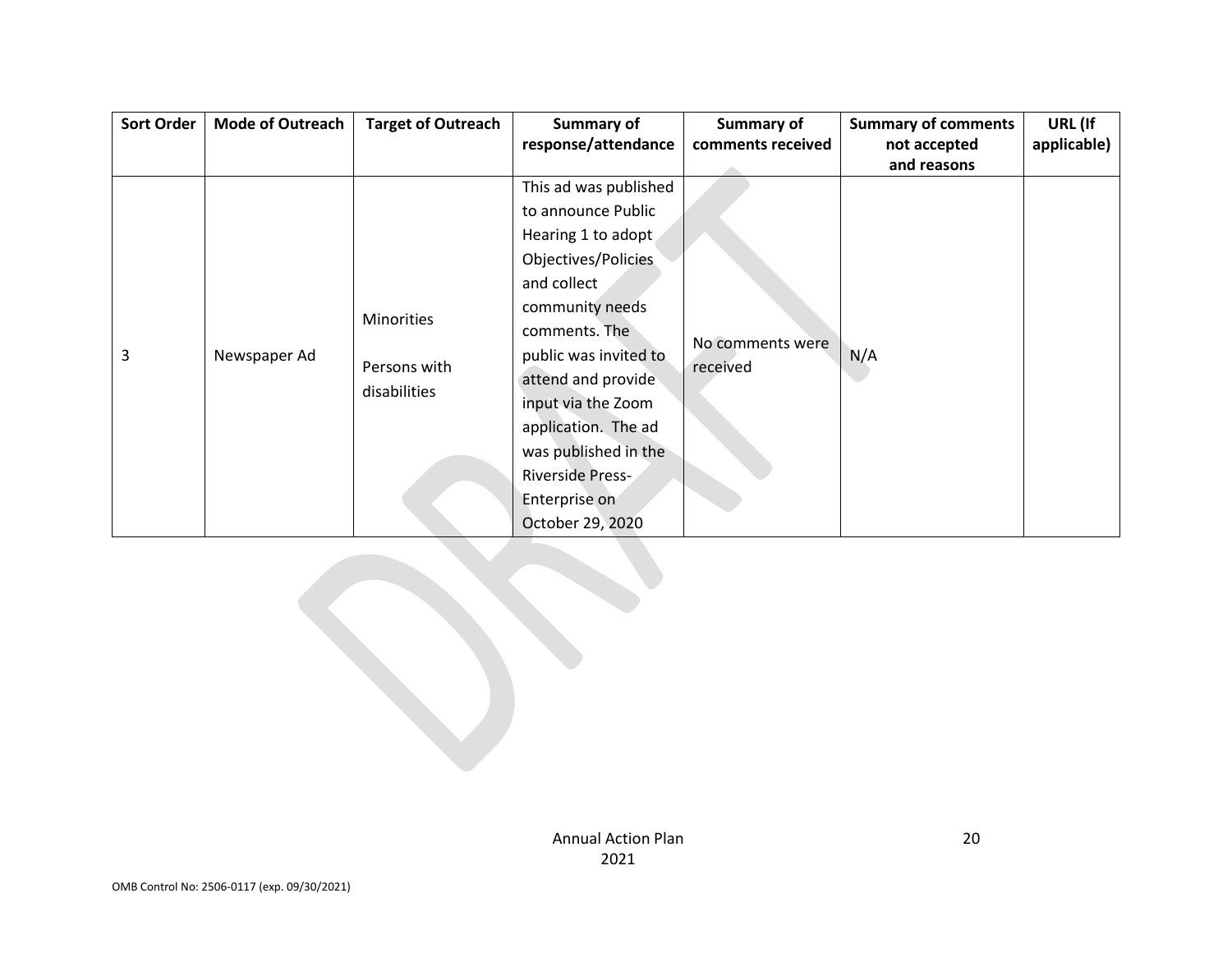| <b>Sort Order</b> | <b>Mode of Outreach</b> | <b>Target of Outreach</b> | Summary of            | Summary of        | <b>Summary of comments</b> | URL (If     |
|-------------------|-------------------------|---------------------------|-----------------------|-------------------|----------------------------|-------------|
|                   |                         |                           | response/attendance   | comments received | not accepted               | applicable) |
|                   |                         |                           |                       |                   | and reasons                |             |
|                   |                         |                           | This ad was published |                   |                            |             |
|                   |                         |                           | to announce Public    |                   |                            |             |
|                   |                         |                           | Hearing 1 to adopt    |                   |                            |             |
|                   |                         |                           | Objectives/Policies   |                   |                            |             |
|                   |                         |                           | and collect           |                   |                            |             |
|                   |                         | Minorities                | community needs       |                   |                            |             |
|                   |                         |                           | comments. The         |                   |                            |             |
| 3                 | Newspaper Ad            |                           | public was invited to | No comments were  | N/A                        |             |
|                   |                         | Persons with              | attend and provide    | received          |                            |             |
|                   |                         | disabilities              | input via the Zoom    |                   |                            |             |
|                   |                         |                           | application. The ad   |                   |                            |             |
|                   |                         |                           | was published in the  |                   |                            |             |
|                   |                         |                           | Riverside Press-      |                   |                            |             |
|                   |                         |                           | Enterprise on         |                   |                            |             |
|                   |                         |                           | October 29, 2020      |                   |                            |             |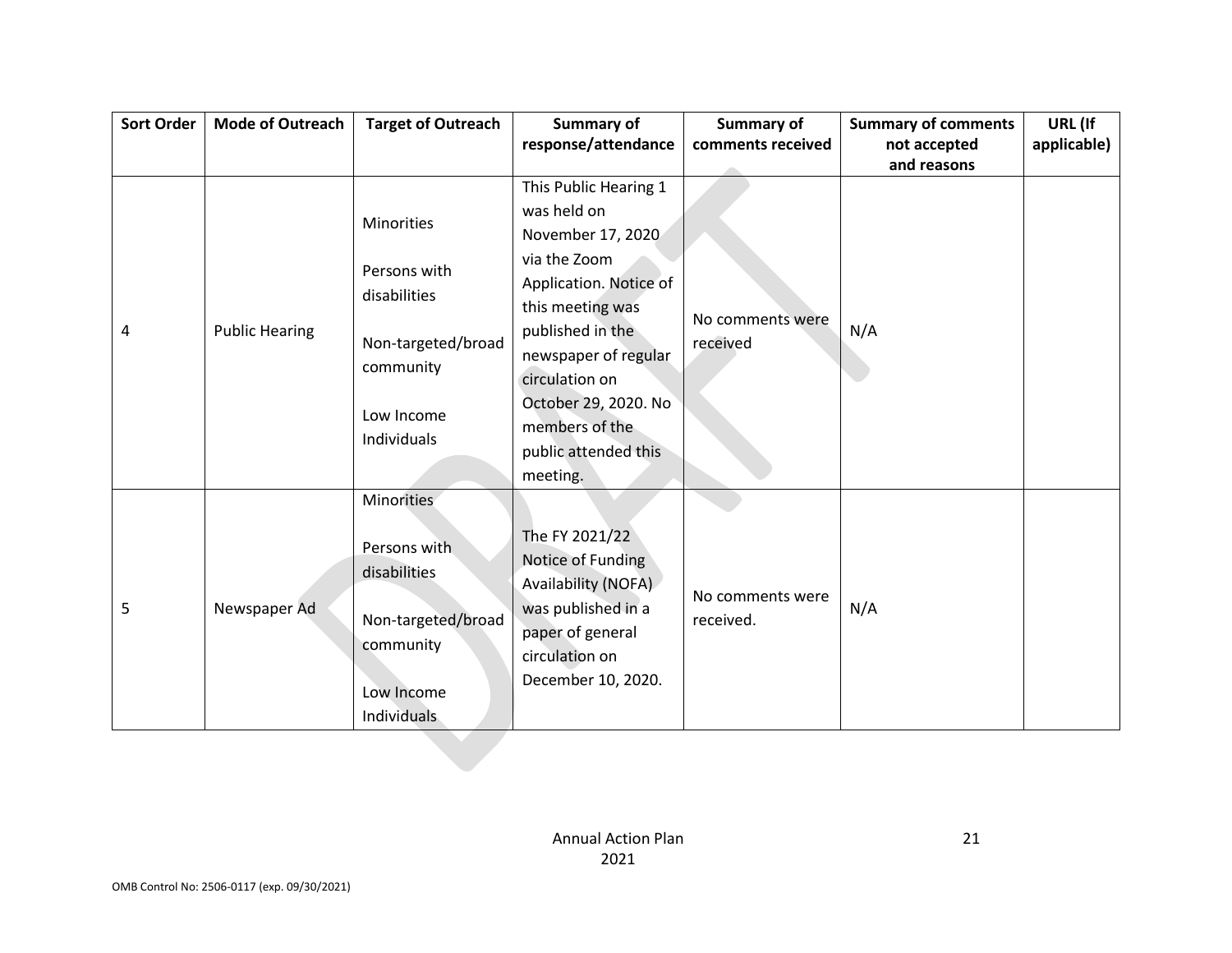| <b>Sort Order</b> | <b>Mode of Outreach</b> | <b>Target of Outreach</b> | <b>Summary of</b>      | <b>Summary of</b> | <b>Summary of comments</b> | URL (If     |
|-------------------|-------------------------|---------------------------|------------------------|-------------------|----------------------------|-------------|
|                   |                         |                           | response/attendance    | comments received | not accepted               | applicable) |
|                   |                         |                           |                        |                   | and reasons                |             |
|                   |                         |                           | This Public Hearing 1  |                   |                            |             |
|                   |                         | <b>Minorities</b>         | was held on            |                   |                            |             |
|                   |                         |                           | November 17, 2020      |                   |                            |             |
|                   |                         | Persons with              | via the Zoom           |                   |                            |             |
|                   |                         | disabilities              | Application. Notice of |                   |                            |             |
|                   |                         |                           | this meeting was       |                   |                            |             |
| 4                 | <b>Public Hearing</b>   |                           | published in the       | No comments were  | N/A                        |             |
|                   |                         | Non-targeted/broad        | newspaper of regular   | received          |                            |             |
|                   |                         | community                 | circulation on         |                   |                            |             |
|                   |                         |                           | October 29, 2020. No   |                   |                            |             |
|                   |                         | Low Income                | members of the         |                   |                            |             |
|                   |                         | Individuals               | public attended this   |                   |                            |             |
|                   |                         |                           | meeting.               |                   |                            |             |
|                   |                         | Minorities                |                        |                   |                            |             |
|                   |                         |                           |                        |                   |                            |             |
|                   |                         | Persons with              | The FY 2021/22         |                   |                            |             |
|                   |                         | disabilities              | Notice of Funding      |                   |                            |             |
|                   |                         |                           | Availability (NOFA)    |                   |                            |             |
| 5                 | Newspaper Ad            |                           | was published in a     | No comments were  | N/A                        |             |
|                   |                         | Non-targeted/broad        | paper of general       | received.         |                            |             |
|                   |                         | community                 | circulation on         |                   |                            |             |
|                   |                         |                           | December 10, 2020.     |                   |                            |             |
|                   |                         | Low Income                |                        |                   |                            |             |
|                   |                         | Individuals               |                        |                   |                            |             |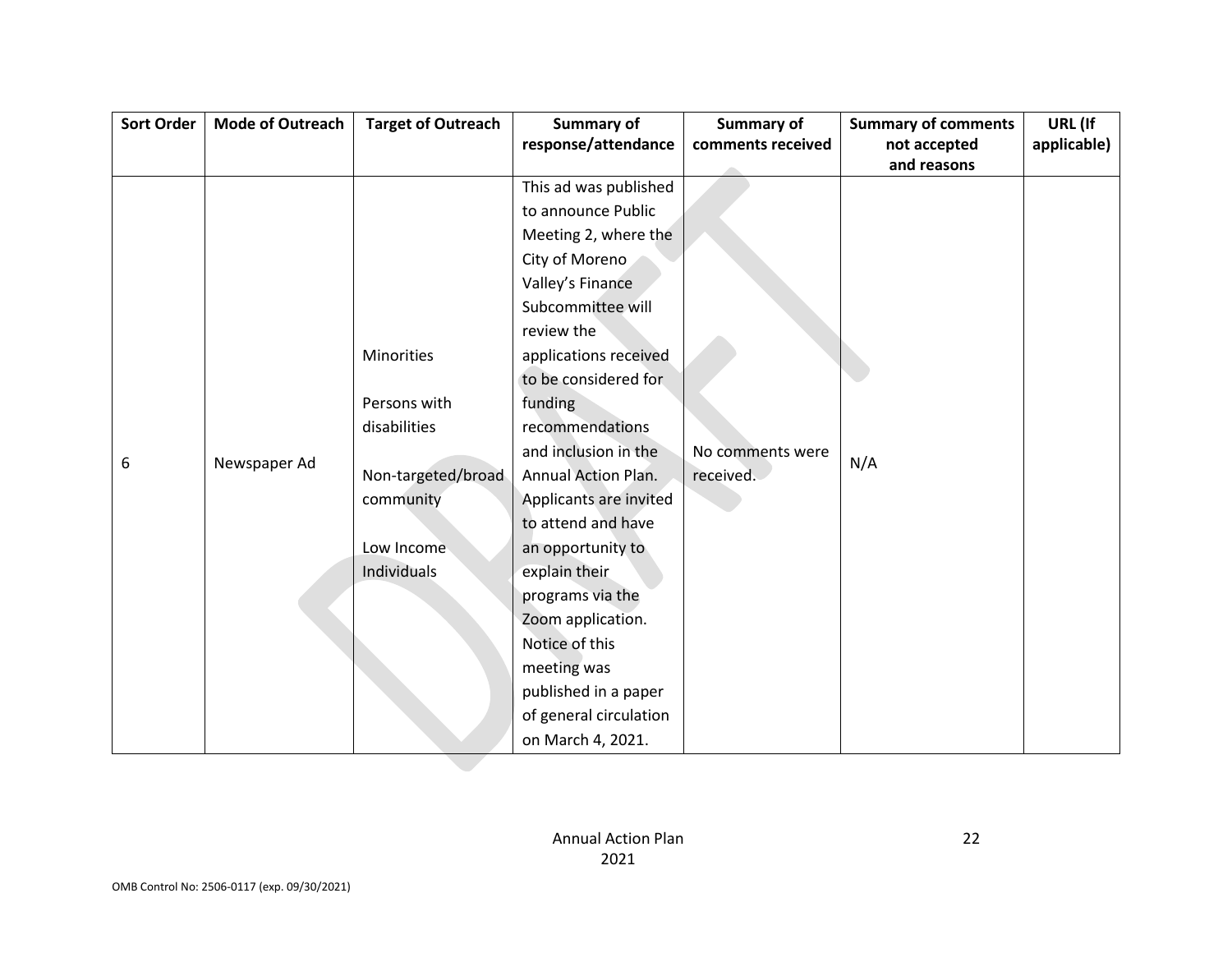| <b>Sort Order</b> | <b>Mode of Outreach</b> | <b>Target of Outreach</b> | <b>Summary of</b>          | <b>Summary of</b> | <b>Summary of comments</b> | URL (If     |
|-------------------|-------------------------|---------------------------|----------------------------|-------------------|----------------------------|-------------|
|                   |                         |                           | response/attendance        | comments received | not accepted               | applicable) |
|                   |                         |                           |                            |                   | and reasons                |             |
|                   |                         |                           | This ad was published      |                   |                            |             |
|                   |                         |                           | to announce Public         |                   |                            |             |
|                   |                         |                           | Meeting 2, where the       |                   |                            |             |
|                   |                         |                           | City of Moreno             |                   |                            |             |
|                   |                         |                           | Valley's Finance           |                   |                            |             |
|                   |                         |                           | Subcommittee will          |                   |                            |             |
|                   |                         |                           | review the                 |                   |                            |             |
|                   |                         | Minorities                | applications received      |                   |                            |             |
|                   |                         |                           | to be considered for       |                   |                            |             |
|                   |                         | Persons with              | funding                    |                   |                            |             |
|                   |                         | disabilities              | recommendations            |                   |                            |             |
|                   |                         |                           | and inclusion in the       | No comments were  | N/A                        |             |
| 6                 | Newspaper Ad            | Non-targeted/broad        | <b>Annual Action Plan.</b> | received.         |                            |             |
|                   |                         | community                 | Applicants are invited     |                   |                            |             |
|                   |                         |                           | to attend and have         |                   |                            |             |
|                   |                         | Low Income                | an opportunity to          |                   |                            |             |
|                   |                         | Individuals               | explain their              |                   |                            |             |
|                   |                         |                           | programs via the           |                   |                            |             |
|                   |                         |                           | Zoom application.          |                   |                            |             |
|                   |                         |                           | Notice of this             |                   |                            |             |
|                   |                         |                           | meeting was                |                   |                            |             |
|                   |                         |                           | published in a paper       |                   |                            |             |
|                   |                         |                           | of general circulation     |                   |                            |             |
|                   |                         |                           | on March 4, 2021.          |                   |                            |             |
|                   |                         |                           |                            |                   |                            |             |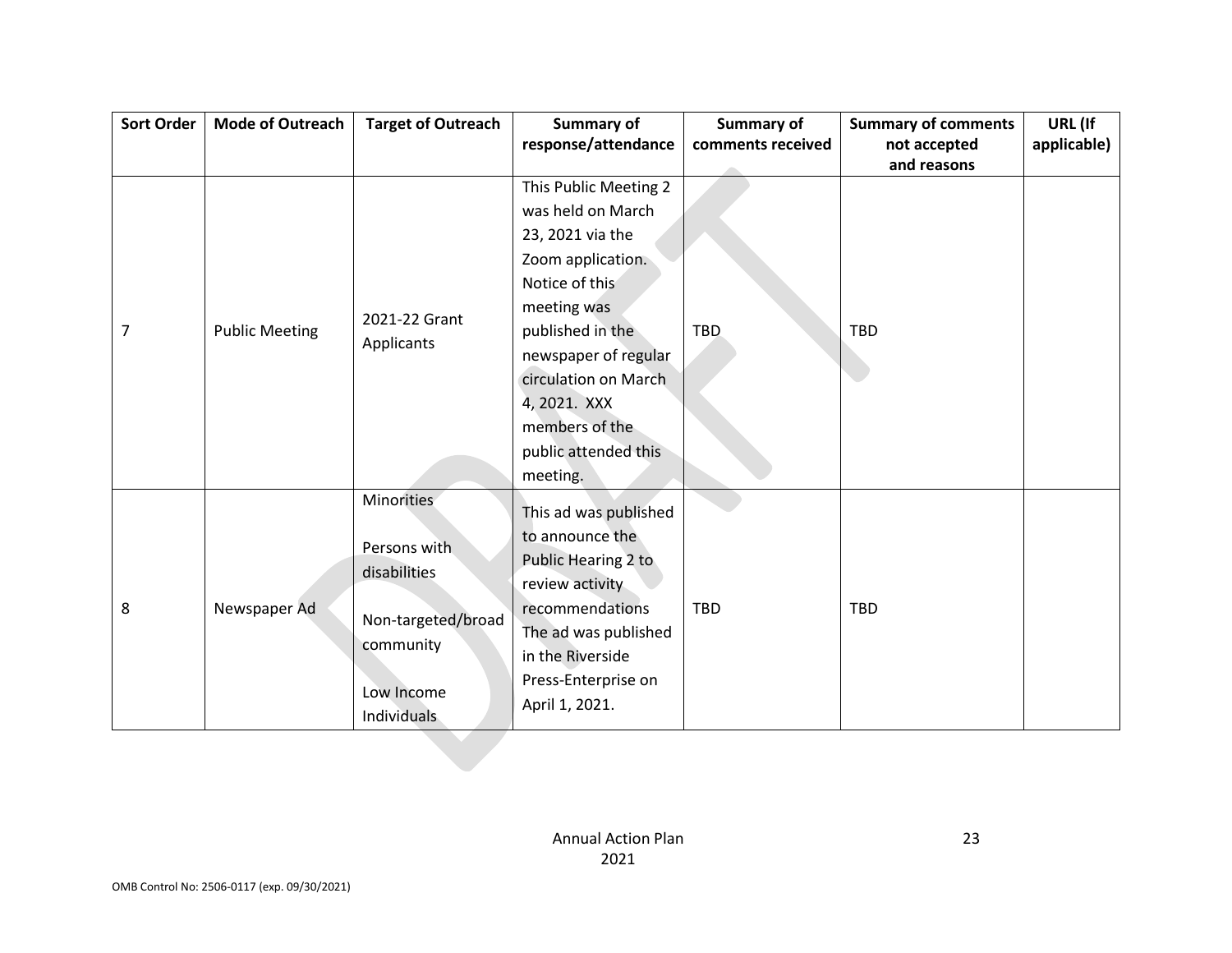| Sort Order | <b>Mode of Outreach</b> | <b>Target of Outreach</b> | <b>Summary of</b>     | <b>Summary of</b> | <b>Summary of comments</b> | URL (If     |
|------------|-------------------------|---------------------------|-----------------------|-------------------|----------------------------|-------------|
|            |                         |                           | response/attendance   | comments received | not accepted               | applicable) |
|            |                         |                           |                       |                   | and reasons                |             |
|            |                         |                           | This Public Meeting 2 |                   |                            |             |
|            |                         |                           | was held on March     |                   |                            |             |
|            |                         |                           | 23, 2021 via the      |                   |                            |             |
|            |                         |                           | Zoom application.     |                   |                            |             |
|            |                         |                           | Notice of this        |                   |                            |             |
|            |                         | 2021-22 Grant             | meeting was           |                   |                            |             |
| 7          | <b>Public Meeting</b>   | Applicants                | published in the      | <b>TBD</b>        | TBD                        |             |
|            |                         |                           | newspaper of regular  |                   |                            |             |
|            |                         |                           | circulation on March  |                   |                            |             |
|            |                         |                           | 4, 2021. XXX          |                   |                            |             |
|            |                         |                           | members of the        |                   |                            |             |
|            |                         |                           | public attended this  |                   |                            |             |
|            |                         |                           | meeting.              |                   |                            |             |
|            |                         | Minorities                |                       |                   |                            |             |
|            |                         |                           | This ad was published |                   |                            |             |
|            |                         | Persons with              | to announce the       |                   |                            |             |
|            |                         | disabilities              | Public Hearing 2 to   |                   |                            |             |
|            |                         |                           | review activity       |                   |                            |             |
| 8          | Newspaper Ad            | Non-targeted/broad        | recommendations       | <b>TBD</b>        | <b>TBD</b>                 |             |
|            |                         | community                 | The ad was published  |                   |                            |             |
|            |                         |                           | in the Riverside      |                   |                            |             |
|            |                         | Low Income                | Press-Enterprise on   |                   |                            |             |
|            |                         | Individuals               | April 1, 2021.        |                   |                            |             |
|            |                         |                           |                       |                   |                            |             |
|            |                         |                           |                       |                   |                            |             |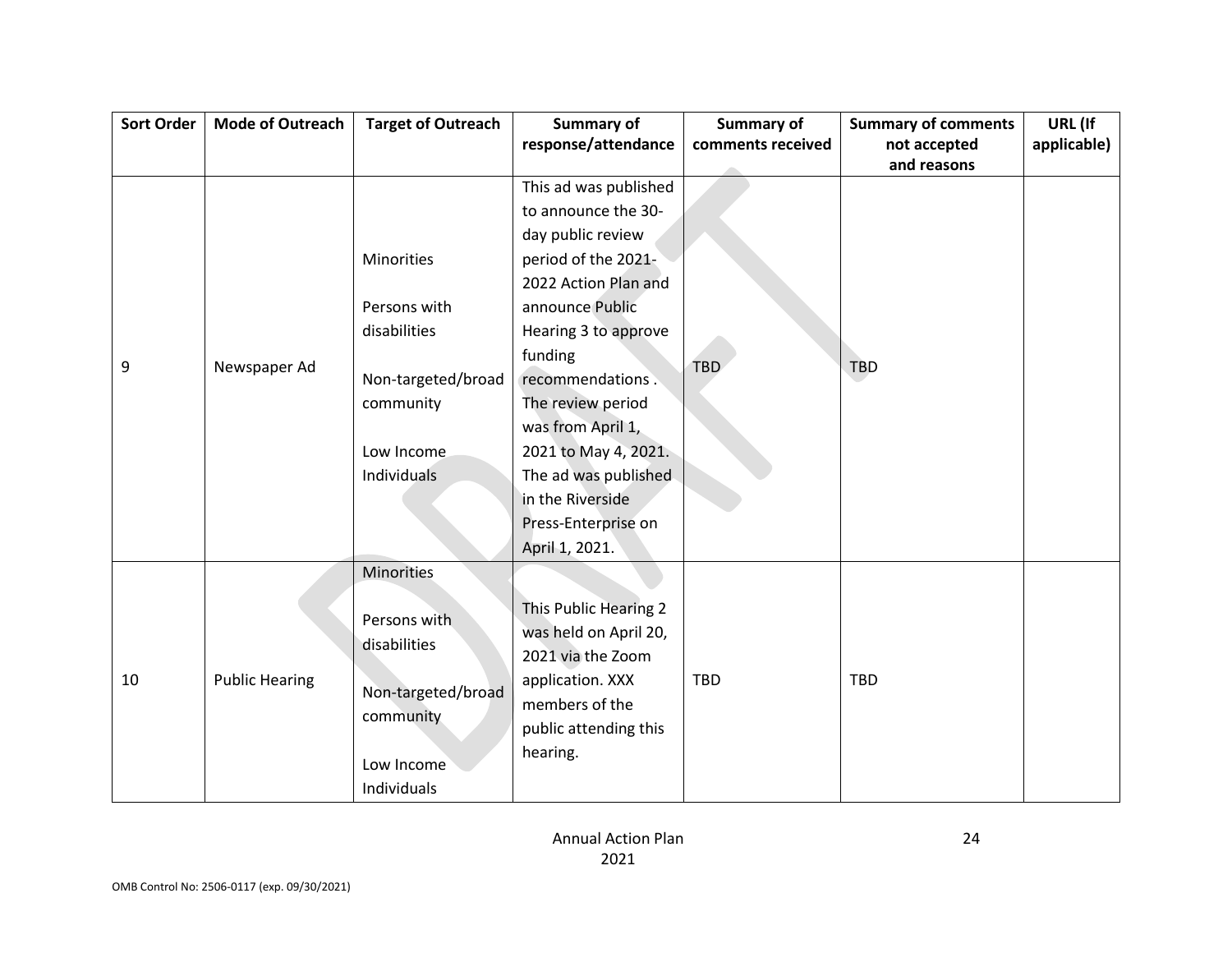| <b>Sort Order</b> | <b>Mode of Outreach</b> | <b>Target of Outreach</b> | <b>Summary of</b>     | <b>Summary of</b> | <b>Summary of comments</b> | URL (If     |
|-------------------|-------------------------|---------------------------|-----------------------|-------------------|----------------------------|-------------|
|                   |                         |                           | response/attendance   | comments received | not accepted               | applicable) |
|                   |                         |                           |                       |                   | and reasons                |             |
|                   |                         |                           | This ad was published |                   |                            |             |
|                   |                         |                           | to announce the 30-   |                   |                            |             |
|                   |                         |                           | day public review     |                   |                            |             |
|                   |                         | <b>Minorities</b>         | period of the 2021-   |                   |                            |             |
|                   |                         |                           | 2022 Action Plan and  |                   |                            |             |
|                   |                         | Persons with              | announce Public       |                   |                            |             |
|                   |                         | disabilities              | Hearing 3 to approve  |                   |                            |             |
|                   |                         |                           | funding               |                   |                            |             |
| 9                 | Newspaper Ad            | Non-targeted/broad        | recommendations.      | <b>TBD</b>        | <b>TBD</b>                 |             |
|                   |                         | community                 | The review period     |                   |                            |             |
|                   |                         |                           | was from April 1,     |                   |                            |             |
|                   |                         | Low Income                | 2021 to May 4, 2021.  |                   |                            |             |
|                   |                         | Individuals               | The ad was published  |                   |                            |             |
|                   |                         |                           | in the Riverside      |                   |                            |             |
|                   |                         |                           | Press-Enterprise on   |                   |                            |             |
|                   |                         |                           | April 1, 2021.        |                   |                            |             |
|                   |                         | Minorities                |                       |                   |                            |             |
|                   |                         |                           |                       |                   |                            |             |
|                   |                         | Persons with              | This Public Hearing 2 |                   |                            |             |
|                   |                         | disabilities              | was held on April 20, |                   |                            |             |
|                   |                         |                           | 2021 via the Zoom     |                   |                            |             |
| 10                | <b>Public Hearing</b>   | Non-targeted/broad        | application. XXX      | <b>TBD</b>        | <b>TBD</b>                 |             |
|                   |                         | community                 | members of the        |                   |                            |             |
|                   |                         |                           | public attending this |                   |                            |             |
|                   |                         | Low Income                | hearing.              |                   |                            |             |
|                   |                         | Individuals               |                       |                   |                            |             |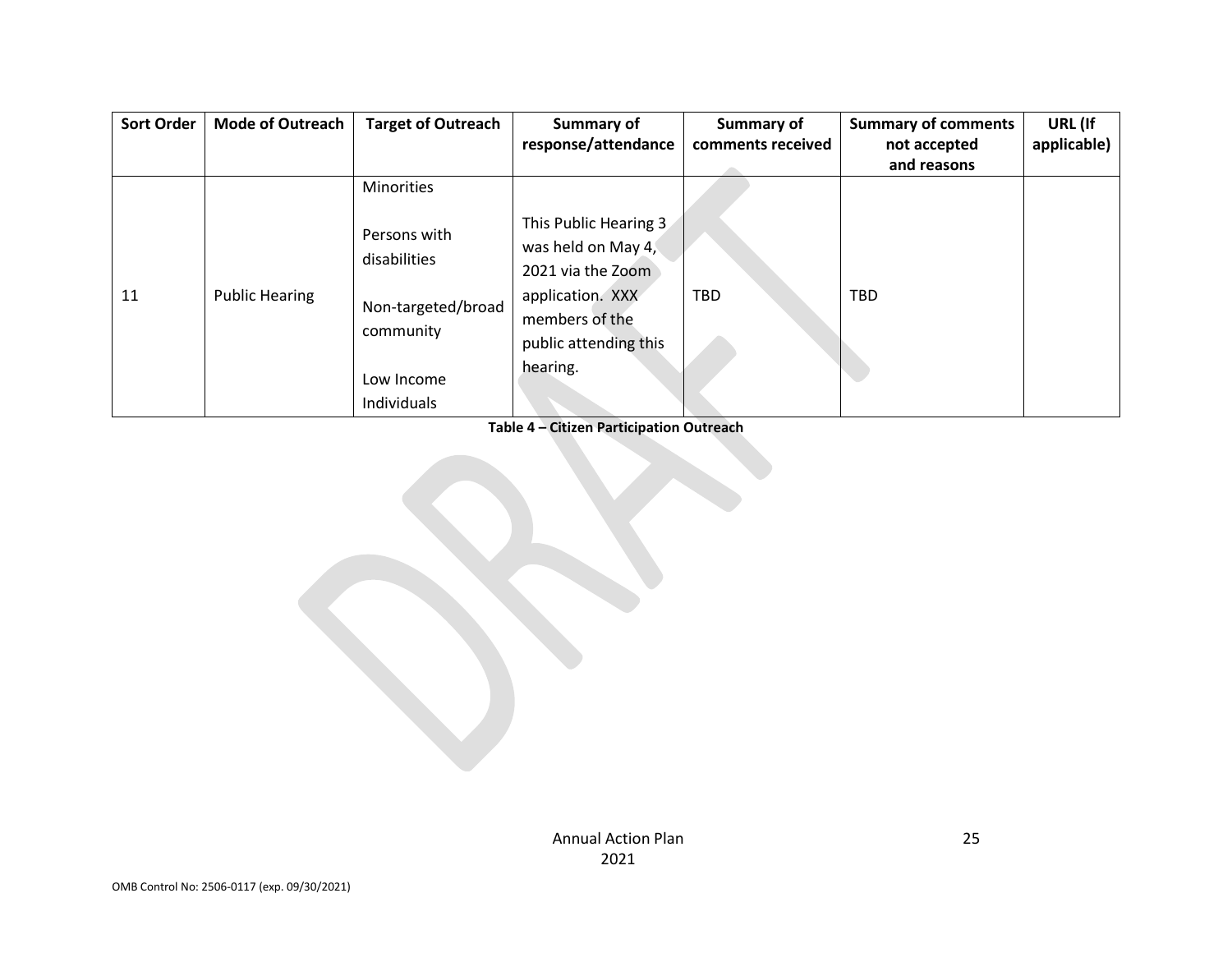| <b>Sort Order</b> | <b>Mode of Outreach</b> | <b>Target of Outreach</b>                                                                    | <b>Summary of</b><br>response/attendance                                                                                                    | <b>Summary of</b><br>comments received | <b>Summary of comments</b><br>not accepted | URL (If<br>applicable) |
|-------------------|-------------------------|----------------------------------------------------------------------------------------------|---------------------------------------------------------------------------------------------------------------------------------------------|----------------------------------------|--------------------------------------------|------------------------|
|                   |                         |                                                                                              |                                                                                                                                             |                                        | and reasons                                |                        |
|                   |                         | <b>Minorities</b>                                                                            |                                                                                                                                             |                                        |                                            |                        |
| 11                | <b>Public Hearing</b>   | Persons with<br>disabilities<br>Non-targeted/broad<br>community<br>Low Income<br>Individuals | This Public Hearing 3<br>was held on May 4,<br>2021 via the Zoom<br>application. XXX<br>members of the<br>public attending this<br>hearing. | TBD                                    | <b>TBD</b>                                 |                        |

**Table 4 – Citizen Participation Outreach**

Annual Action Plan 2021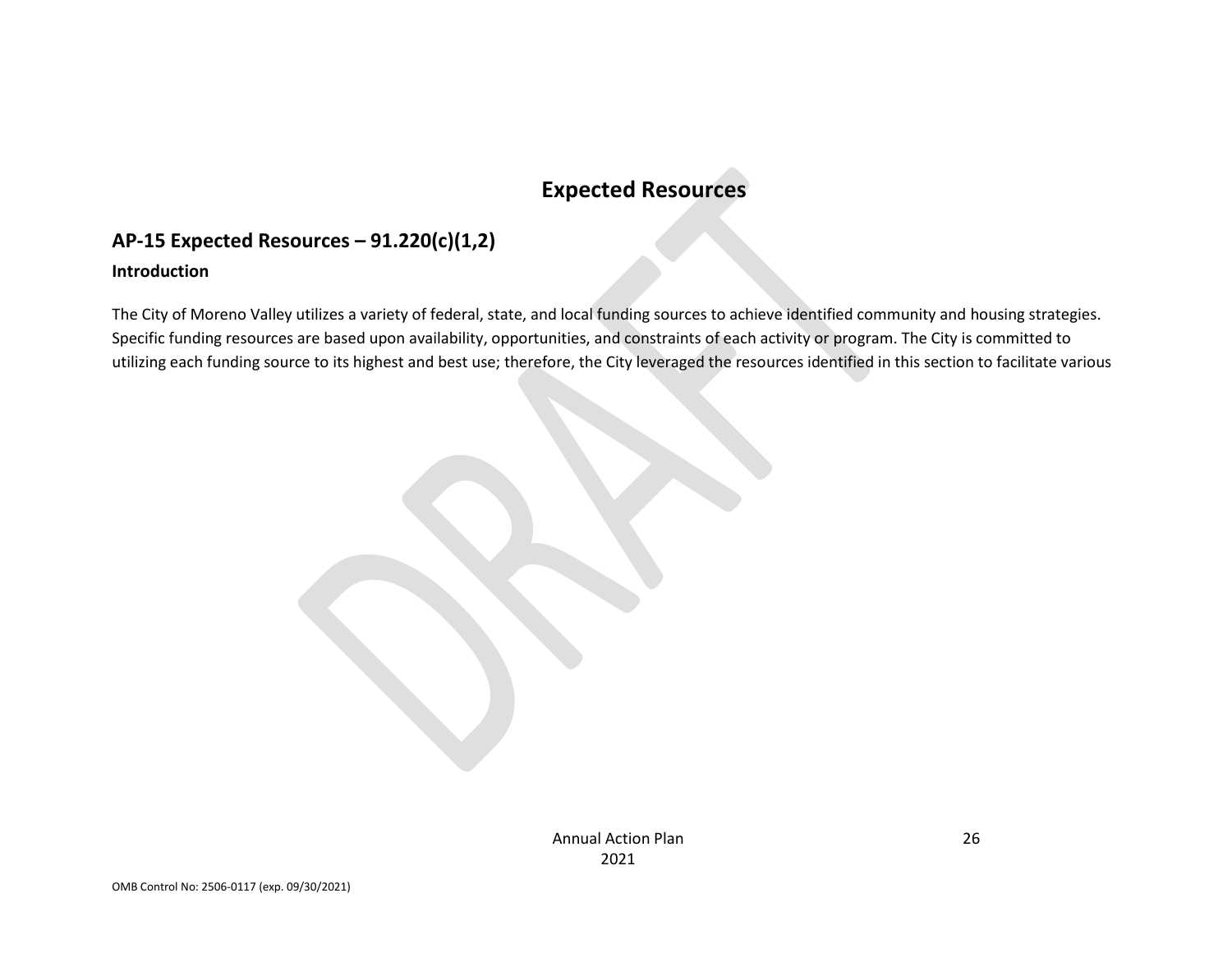# **Expected Resources**

## **AP-15 Expected Resources – 91.220(c)(1,2)**

#### **Introduction**

The City of Moreno Valley utilizes a variety of federal, state, and local funding sources to achieve identified community and housing strategies. Specific funding resources are based upon availability, opportunities, and constraints of each activity or program. The City is committed to utilizing each funding source to its highest and best use; therefore, the City leveraged the resources identified in this section to facilitate various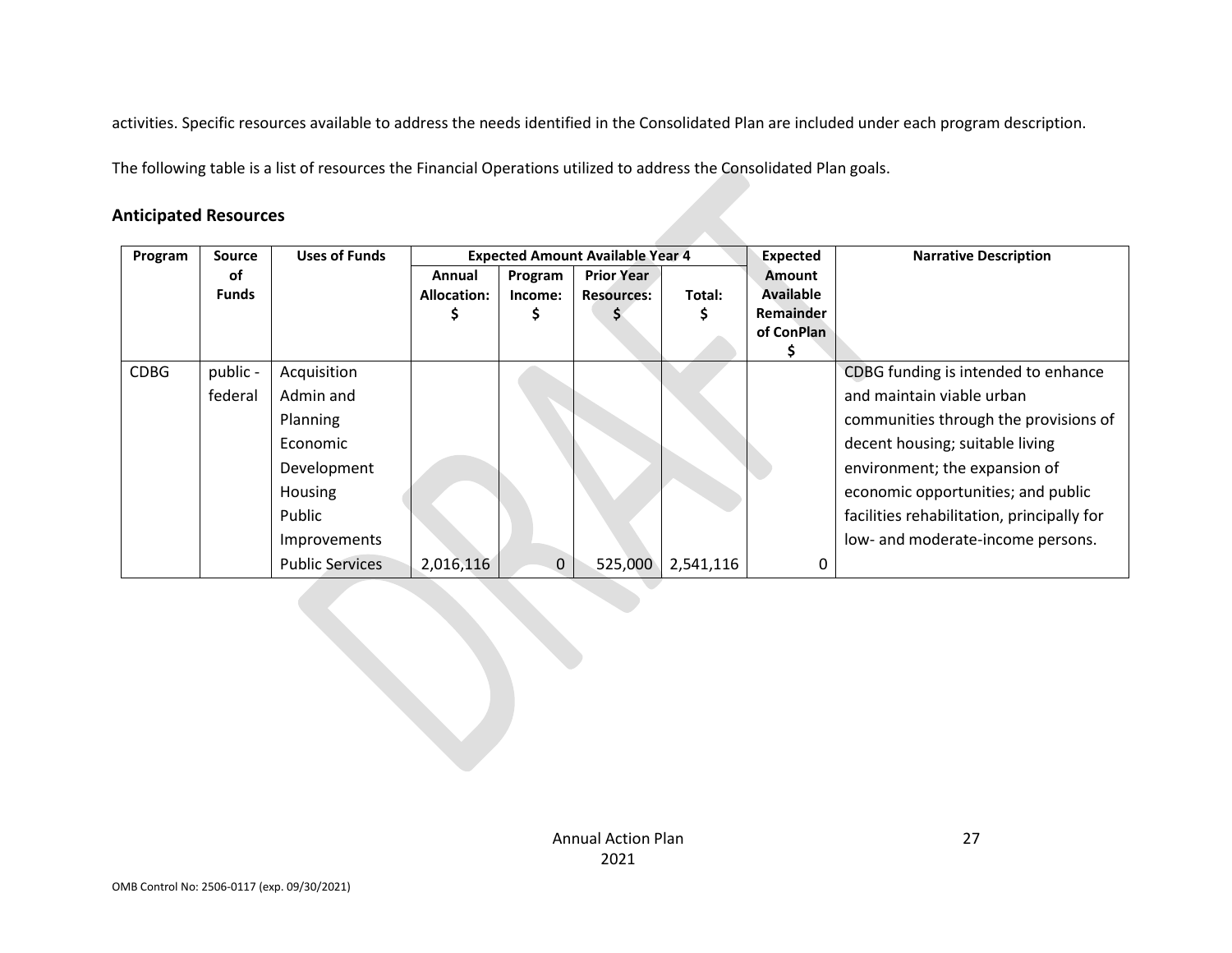activities. Specific resources available to address the needs identified in the Consolidated Plan are included under each program description.

The following table is a list of resources the Financial Operations utilized to address the Consolidated Plan goals.

### **Anticipated Resources**

| Program     | <b>Source</b> | <b>Uses of Funds</b>   |                    |             | <b>Expected Amount Available Year 4</b> |           | <b>Expected</b>  | <b>Narrative Description</b>               |
|-------------|---------------|------------------------|--------------------|-------------|-----------------------------------------|-----------|------------------|--------------------------------------------|
|             | οf            |                        | Annual             | Program     | <b>Prior Year</b>                       |           | <b>Amount</b>    |                                            |
|             | <b>Funds</b>  |                        | <b>Allocation:</b> | Income:     | <b>Resources:</b>                       | Total:    | <b>Available</b> |                                            |
|             |               |                        |                    |             |                                         | S         | Remainder        |                                            |
|             |               |                        |                    |             |                                         |           | of ConPlan       |                                            |
|             |               |                        |                    |             |                                         |           |                  |                                            |
| <b>CDBG</b> | public -      | Acquisition            |                    |             |                                         |           |                  | CDBG funding is intended to enhance        |
|             | federal       | Admin and              |                    |             |                                         |           |                  | and maintain viable urban                  |
|             |               | Planning               |                    |             |                                         |           |                  | communities through the provisions of      |
|             |               | Economic               |                    |             |                                         |           |                  | decent housing; suitable living            |
|             |               | Development            |                    |             |                                         |           |                  | environment; the expansion of              |
|             |               | Housing                |                    |             |                                         |           |                  | economic opportunities; and public         |
|             |               | Public                 |                    |             |                                         |           |                  | facilities rehabilitation, principally for |
|             |               | Improvements           |                    |             |                                         |           |                  | low- and moderate-income persons.          |
|             |               | <b>Public Services</b> | 2,016,116          | $\mathbf 0$ | 525,000                                 | 2,541,116 | 0                |                                            |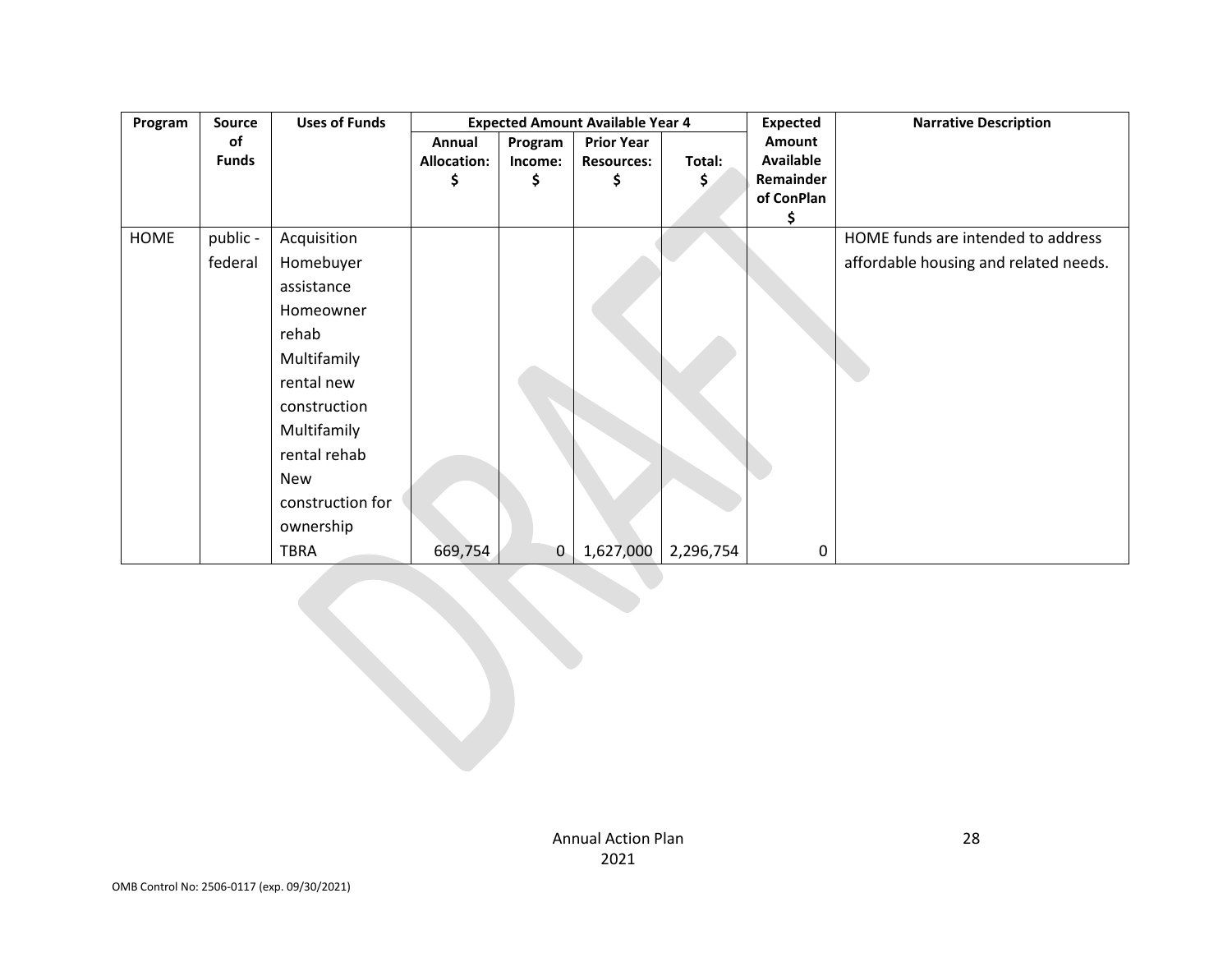| Program     | Source       | <b>Uses of Funds</b> |                    | <b>Expected Amount Available Year 4</b> |                   |           | <b>Expected</b>  | <b>Narrative Description</b>          |
|-------------|--------------|----------------------|--------------------|-----------------------------------------|-------------------|-----------|------------------|---------------------------------------|
|             | οf           |                      | Annual             | Program                                 | <b>Prior Year</b> |           | Amount           |                                       |
|             | <b>Funds</b> |                      | <b>Allocation:</b> | Income:                                 | <b>Resources:</b> | Total:    | <b>Available</b> |                                       |
|             |              |                      |                    | \$                                      | \$                | \$        | Remainder        |                                       |
|             |              |                      |                    |                                         |                   |           | of ConPlan       |                                       |
|             |              |                      |                    |                                         |                   |           | \$               |                                       |
| <b>HOME</b> | public -     | Acquisition          |                    |                                         |                   |           |                  | HOME funds are intended to address    |
|             | federal      | Homebuyer            |                    |                                         |                   |           |                  | affordable housing and related needs. |
|             |              | assistance           |                    |                                         |                   |           |                  |                                       |
|             |              | Homeowner            |                    |                                         |                   |           |                  |                                       |
|             |              | rehab                |                    |                                         |                   |           |                  |                                       |
|             |              | Multifamily          |                    |                                         |                   |           |                  |                                       |
|             |              | rental new           |                    |                                         |                   |           |                  |                                       |
|             |              | construction         |                    |                                         |                   |           |                  |                                       |
|             |              | Multifamily          |                    |                                         |                   |           |                  |                                       |
|             |              | rental rehab         |                    |                                         |                   |           |                  |                                       |
|             |              | New                  |                    |                                         |                   |           |                  |                                       |
|             |              | construction for     |                    |                                         |                   |           |                  |                                       |
|             |              | ownership            |                    |                                         |                   |           |                  |                                       |
|             |              | <b>TBRA</b>          | 669,754            | 0                                       | 1,627,000         | 2,296,754 | 0                |                                       |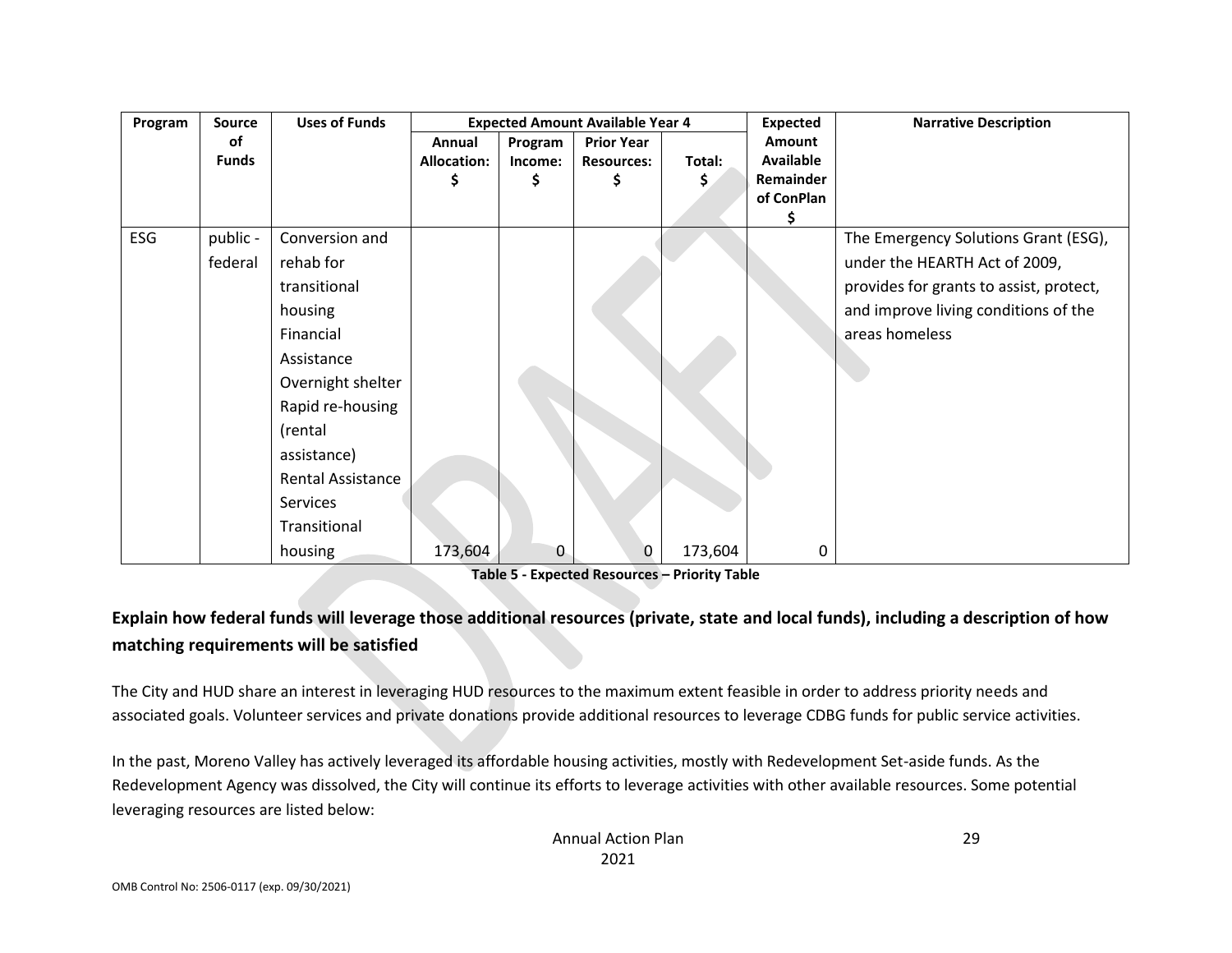| Program | <b>Source</b> | <b>Uses of Funds</b>     |                    |         | <b>Expected Amount Available Year 4</b> |         | <b>Expected</b> | <b>Narrative Description</b>            |
|---------|---------------|--------------------------|--------------------|---------|-----------------------------------------|---------|-----------------|-----------------------------------------|
|         | оf            |                          | Annual             | Program | <b>Prior Year</b>                       |         | Amount          |                                         |
|         | <b>Funds</b>  |                          | <b>Allocation:</b> | Income: | <b>Resources:</b>                       | Total:  | Available       |                                         |
|         |               |                          |                    |         | \$                                      | \$      | Remainder       |                                         |
|         |               |                          |                    |         |                                         |         | of ConPlan      |                                         |
|         |               |                          |                    |         |                                         |         | Ş               |                                         |
| ESG     | public -      | Conversion and           |                    |         |                                         |         |                 | The Emergency Solutions Grant (ESG),    |
|         | federal       | rehab for                |                    |         |                                         |         |                 | under the HEARTH Act of 2009,           |
|         |               | transitional             |                    |         |                                         |         |                 | provides for grants to assist, protect, |
|         |               | housing                  |                    |         |                                         |         |                 | and improve living conditions of the    |
|         |               | Financial                |                    |         |                                         |         |                 | areas homeless                          |
|         |               | Assistance               |                    |         |                                         |         |                 |                                         |
|         |               | Overnight shelter        |                    |         |                                         |         |                 |                                         |
|         |               | Rapid re-housing         |                    |         |                                         |         |                 |                                         |
|         |               | (rental                  |                    |         |                                         |         |                 |                                         |
|         |               | assistance)              |                    |         |                                         |         |                 |                                         |
|         |               | <b>Rental Assistance</b> |                    |         |                                         |         |                 |                                         |
|         |               | Services                 |                    |         |                                         |         |                 |                                         |
|         |               | Transitional             |                    |         |                                         |         |                 |                                         |
|         |               | housing                  | 173,604            | 0       | 0                                       | 173,604 | 0               |                                         |

**Table 5 - Expected Resources – Priority Table**

## **Explain how federal funds will leverage those additional resources (private, state and local funds), including a description of how matching requirements will be satisfied**

The City and HUD share an interest in leveraging HUD resources to the maximum extent feasible in order to address priority needs and associated goals. Volunteer services and private donations provide additional resources to leverage CDBG funds for public service activities.

In the past, Moreno Valley has actively leveraged its affordable housing activities, mostly with Redevelopment Set-aside funds. As the Redevelopment Agency was dissolved, the City will continue its efforts to leverage activities with other available resources. Some potential leveraging resources are listed below: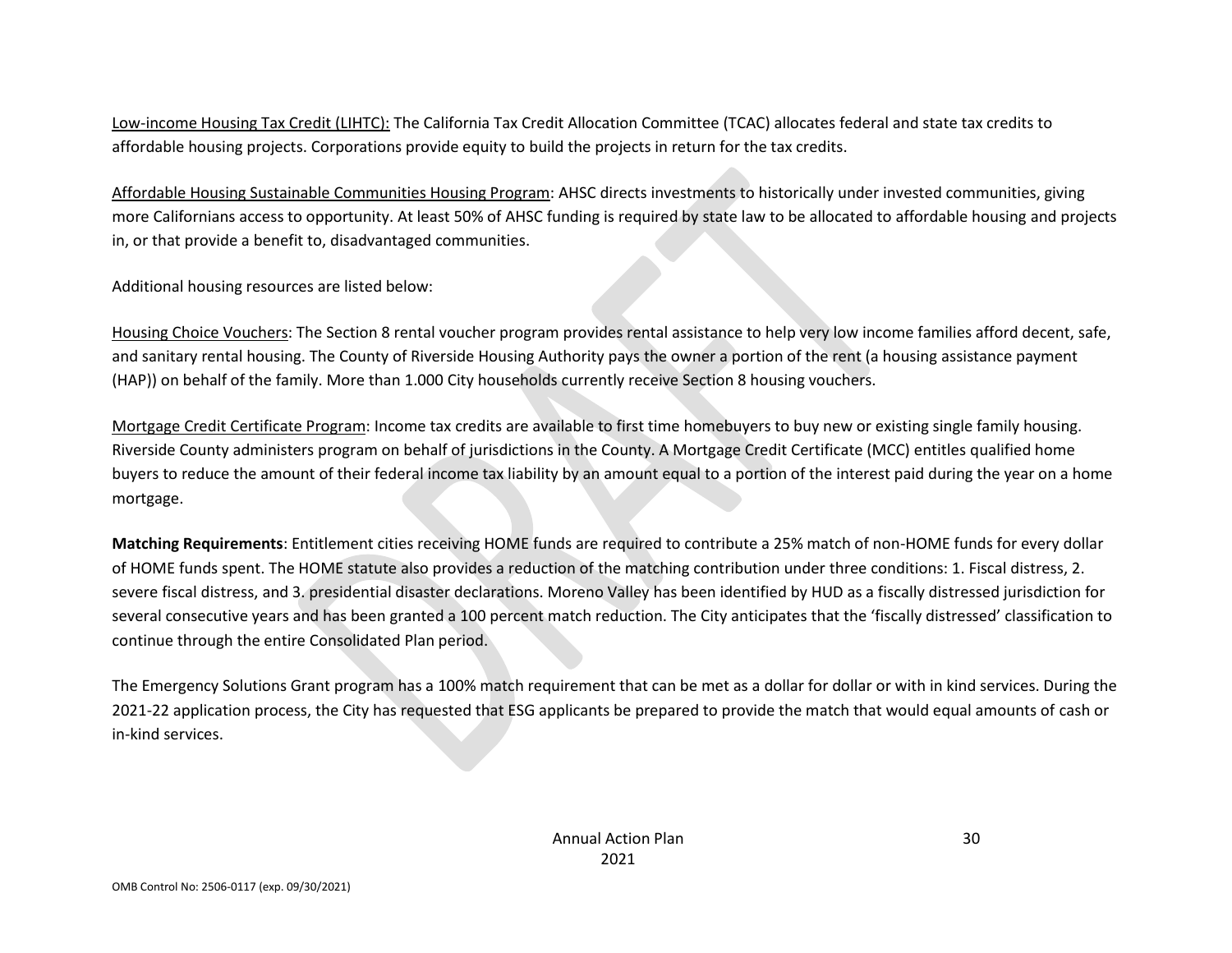Low-income Housing Tax Credit (LIHTC): The California Tax Credit Allocation Committee (TCAC) allocates federal and state tax credits to affordable housing projects. Corporations provide equity to build the projects in return for the tax credits.

Affordable Housing Sustainable Communities Housing Program: AHSC directs investments to historically under invested communities, giving more Californians access to opportunity. At least 50% of AHSC funding is required by state law to be allocated to affordable housing and projects in, or that provide a benefit to, disadvantaged communities.

Additional housing resources are listed below:

Housing Choice Vouchers: The Section 8 rental voucher program provides rental assistance to help very low income families afford decent, safe, and sanitary rental housing. The County of Riverside Housing Authority pays the owner a portion of the rent (a housing assistance payment (HAP)) on behalf of the family. More than 1.000 City households currently receive Section 8 housing vouchers.

Mortgage Credit Certificate Program: Income tax credits are available to first time homebuyers to buy new or existing single family housing. Riverside County administers program on behalf of jurisdictions in the County. A Mortgage Credit Certificate (MCC) entitles qualified home buyers to reduce the amount of their federal income tax liability by an amount equal to a portion of the interest paid during the year on a home mortgage.

**Matching Requirements**: Entitlement cities receiving HOME funds are required to contribute a 25% match of non-HOME funds for every dollar of HOME funds spent. The HOME statute also provides a reduction of the matching contribution under three conditions: 1. Fiscal distress, 2. severe fiscal distress, and 3. presidential disaster declarations. Moreno Valley has been identified by HUD as a fiscally distressed jurisdiction for several consecutive years and has been granted a 100 percent match reduction. The City anticipates that the 'fiscally distressed' classification to continue through the entire Consolidated Plan period.

The Emergency Solutions Grant program has a 100% match requirement that can be met as a dollar for dollar or with in kind services. During the 2021-22 application process, the City has requested that ESG applicants be prepared to provide the match that would equal amounts of cash or in-kind services.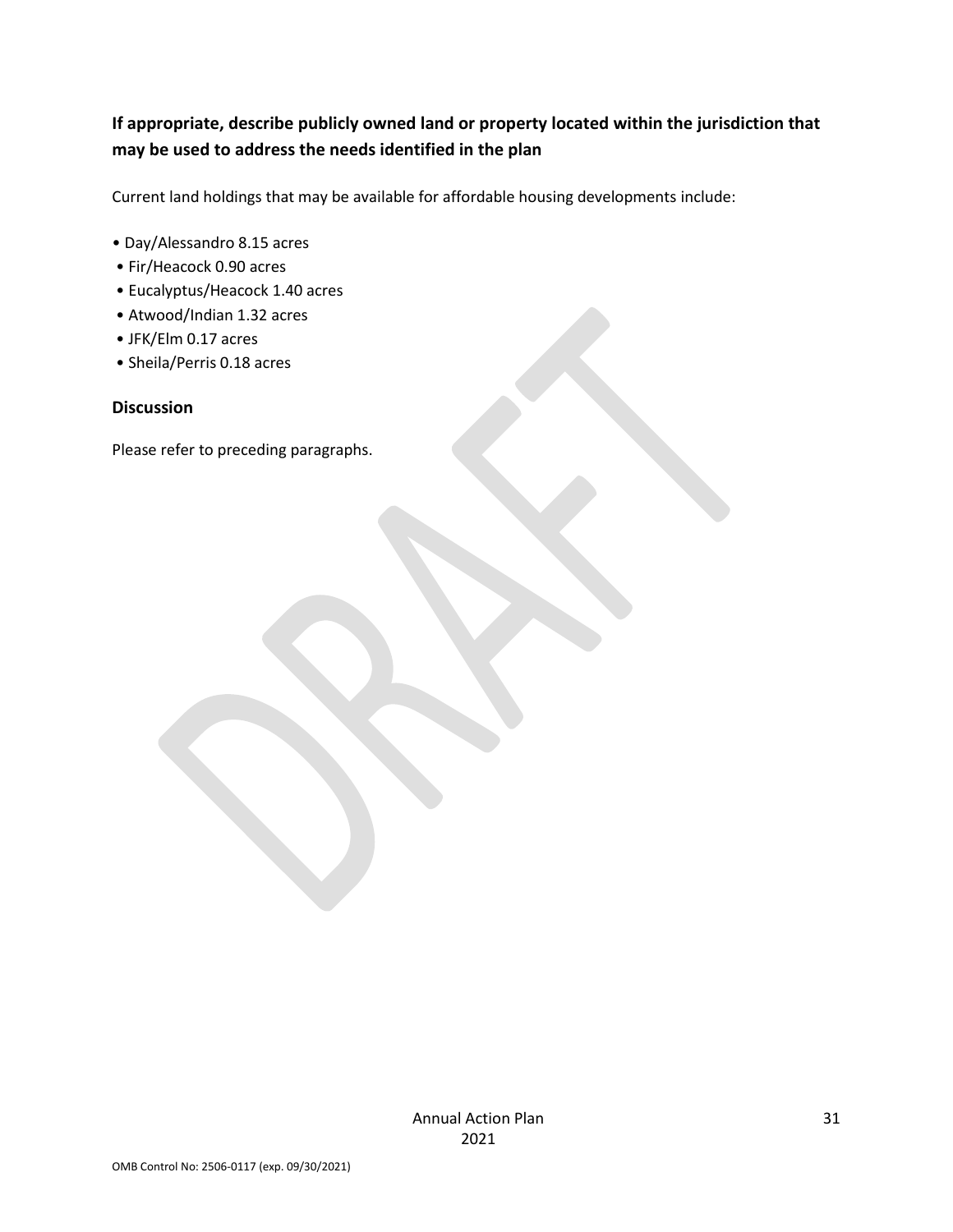## **If appropriate, describe publicly owned land or property located within the jurisdiction that may be used to address the needs identified in the plan**

Current land holdings that may be available for affordable housing developments include:

- Day/Alessandro 8.15 acres
- Fir/Heacock 0.90 acres
- Eucalyptus/Heacock 1.40 acres
- Atwood/Indian 1.32 acres
- JFK/Elm 0.17 acres
- Sheila/Perris 0.18 acres

#### **Discussion**

Please refer to preceding paragraphs.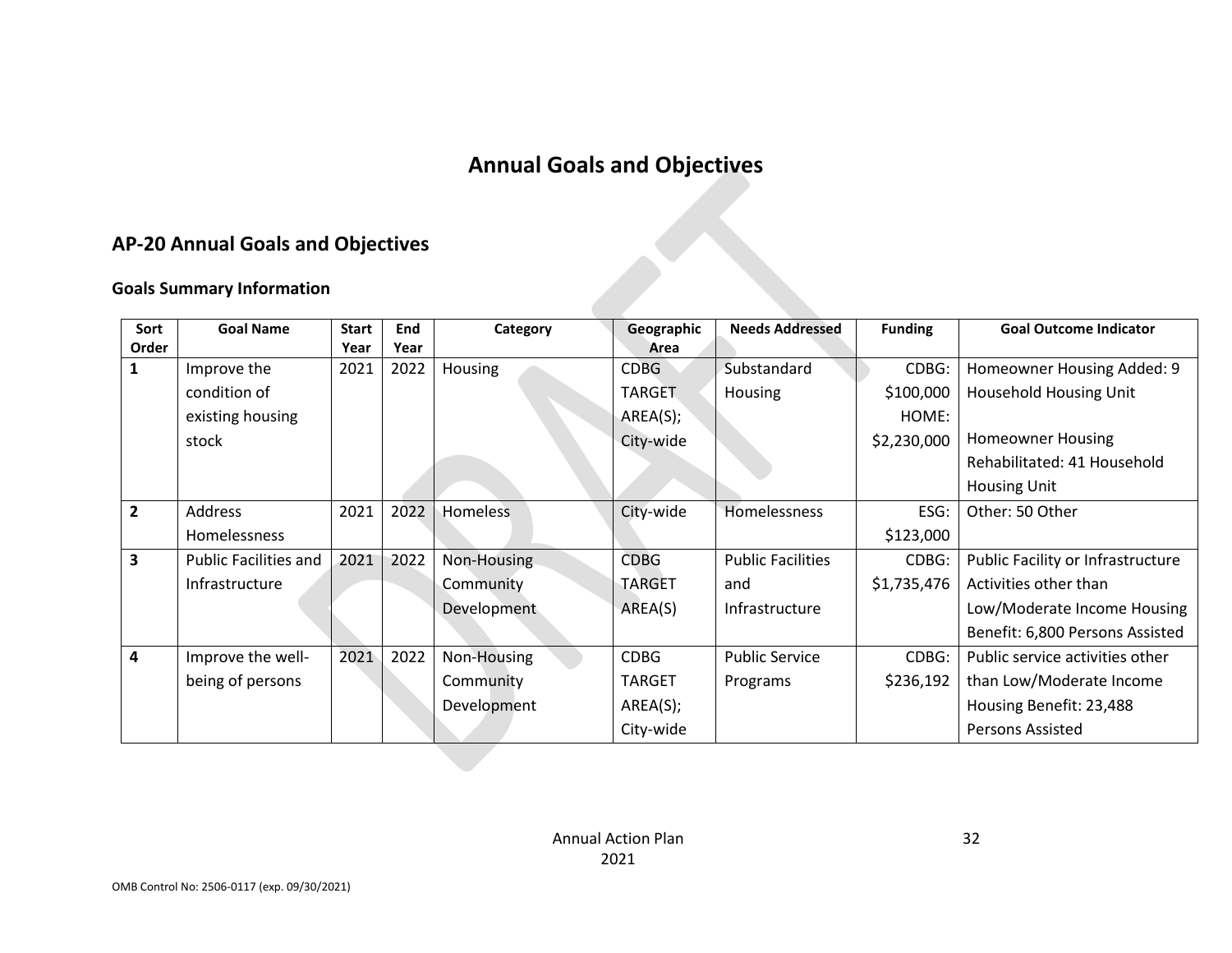# **Annual Goals and Objectives**

## **AP-20 Annual Goals and Objectives**

## **Goals Summary Information**

|               | <b>AP-20 Annual Goals and Objectives</b> |                      |             |             |                    |                          |                |                                   |
|---------------|------------------------------------------|----------------------|-------------|-------------|--------------------|--------------------------|----------------|-----------------------------------|
|               | <b>Goals Summary Information</b>         |                      |             |             |                    |                          |                |                                   |
| Sort<br>Order | <b>Goal Name</b>                         | <b>Start</b><br>Year | End<br>Year | Category    | Geographic<br>Area | <b>Needs Addressed</b>   | <b>Funding</b> | <b>Goal Outcome Indicator</b>     |
| 1             | Improve the                              | 2021                 | 2022        | Housing     | <b>CDBG</b>        | Substandard              | CDBG:          | Homeowner Housing Added: 9        |
|               | condition of                             |                      |             |             | <b>TARGET</b>      | Housing                  | \$100,000      | Household Housing Unit            |
|               | existing housing                         |                      |             |             | AREA(S);           |                          | HOME:          |                                   |
|               | stock                                    |                      |             |             | City-wide          |                          | \$2,230,000    | <b>Homeowner Housing</b>          |
|               |                                          |                      |             |             |                    |                          |                | Rehabilitated: 41 Household       |
|               |                                          |                      |             |             |                    |                          |                | <b>Housing Unit</b>               |
| 2             | Address                                  | 2021                 | 2022        | Homeless    | City-wide          | Homelessness             | ESG:           | Other: 50 Other                   |
|               | Homelessness                             |                      |             |             |                    |                          | \$123,000      |                                   |
| 3             | <b>Public Facilities and</b>             | 2021                 | 2022        | Non-Housing | <b>CDBG</b>        | <b>Public Facilities</b> | CDBG:          | Public Facility or Infrastructure |
|               | Infrastructure                           |                      |             | Community   | <b>TARGET</b>      | and                      | \$1,735,476    | Activities other than             |
|               |                                          |                      |             | Development | AREA(S)            | Infrastructure           |                | Low/Moderate Income Housing       |
|               |                                          |                      |             |             |                    |                          |                | Benefit: 6,800 Persons Assisted   |
| 4             | Improve the well-                        | 2021                 | 2022        | Non-Housing | <b>CDBG</b>        | <b>Public Service</b>    | CDBG:          | Public service activities other   |
|               | being of persons                         |                      |             | Community   | <b>TARGET</b>      | Programs                 | \$236,192      | than Low/Moderate Income          |
|               |                                          |                      |             | Development | AREA(S);           |                          |                | Housing Benefit: 23,488           |
|               |                                          |                      |             |             | City-wide          |                          |                | <b>Persons Assisted</b>           |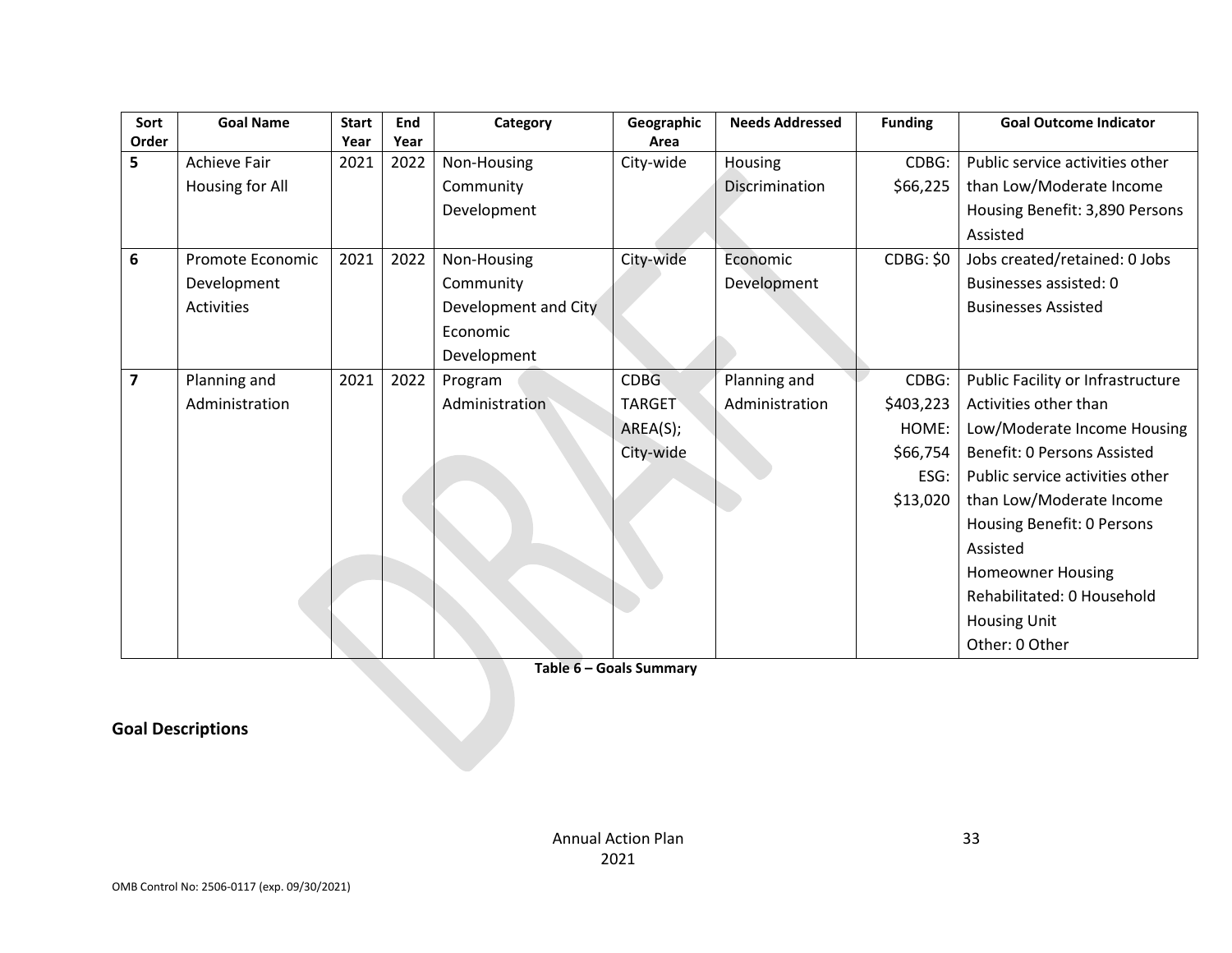| Sort                    | <b>Goal Name</b>    | <b>Start</b> | End  | Category             | Geographic    | <b>Needs Addressed</b> | <b>Funding</b> | <b>Goal Outcome Indicator</b>     |
|-------------------------|---------------------|--------------|------|----------------------|---------------|------------------------|----------------|-----------------------------------|
| Order                   |                     | Year         | Year |                      | Area          |                        |                |                                   |
| 5                       | <b>Achieve Fair</b> | 2021         | 2022 | Non-Housing          | City-wide     | Housing                | CDBG:          | Public service activities other   |
|                         | Housing for All     |              |      | Community            |               | Discrimination         | \$66,225       | than Low/Moderate Income          |
|                         |                     |              |      | Development          |               |                        |                | Housing Benefit: 3,890 Persons    |
|                         |                     |              |      |                      |               |                        |                | Assisted                          |
| 6                       | Promote Economic    | 2021         | 2022 | Non-Housing          | City-wide     | Economic               | CDBG: \$0      | Jobs created/retained: 0 Jobs     |
|                         | Development         |              |      | Community            |               | Development            |                | Businesses assisted: 0            |
|                         | Activities          |              |      | Development and City |               |                        |                | <b>Businesses Assisted</b>        |
|                         |                     |              |      | Economic             |               |                        |                |                                   |
|                         |                     |              |      | Development          |               |                        |                |                                   |
| $\overline{\mathbf{z}}$ | Planning and        | 2021         | 2022 | Program              | CDBG.         | Planning and           | CDBG:          | Public Facility or Infrastructure |
|                         | Administration      |              |      | Administration       | <b>TARGET</b> | Administration         | \$403,223      | Activities other than             |
|                         |                     |              |      |                      | AREA(S);      |                        | HOME:          | Low/Moderate Income Housing       |
|                         |                     |              |      |                      | City-wide     |                        | \$66,754       | Benefit: 0 Persons Assisted       |
|                         |                     |              |      |                      |               |                        | ESG:           | Public service activities other   |
|                         |                     |              |      |                      |               |                        | \$13,020       | than Low/Moderate Income          |
|                         |                     |              |      |                      |               |                        |                | Housing Benefit: 0 Persons        |
|                         |                     |              |      |                      |               |                        |                | Assisted                          |
|                         |                     |              |      |                      |               |                        |                | <b>Homeowner Housing</b>          |
|                         |                     |              |      |                      |               |                        |                | Rehabilitated: 0 Household        |
|                         |                     |              |      |                      |               |                        |                | <b>Housing Unit</b>               |
|                         |                     |              |      |                      |               |                        |                | Other: 0 Other                    |

**Table 6 – Goals Summary**

**Goal Descriptions**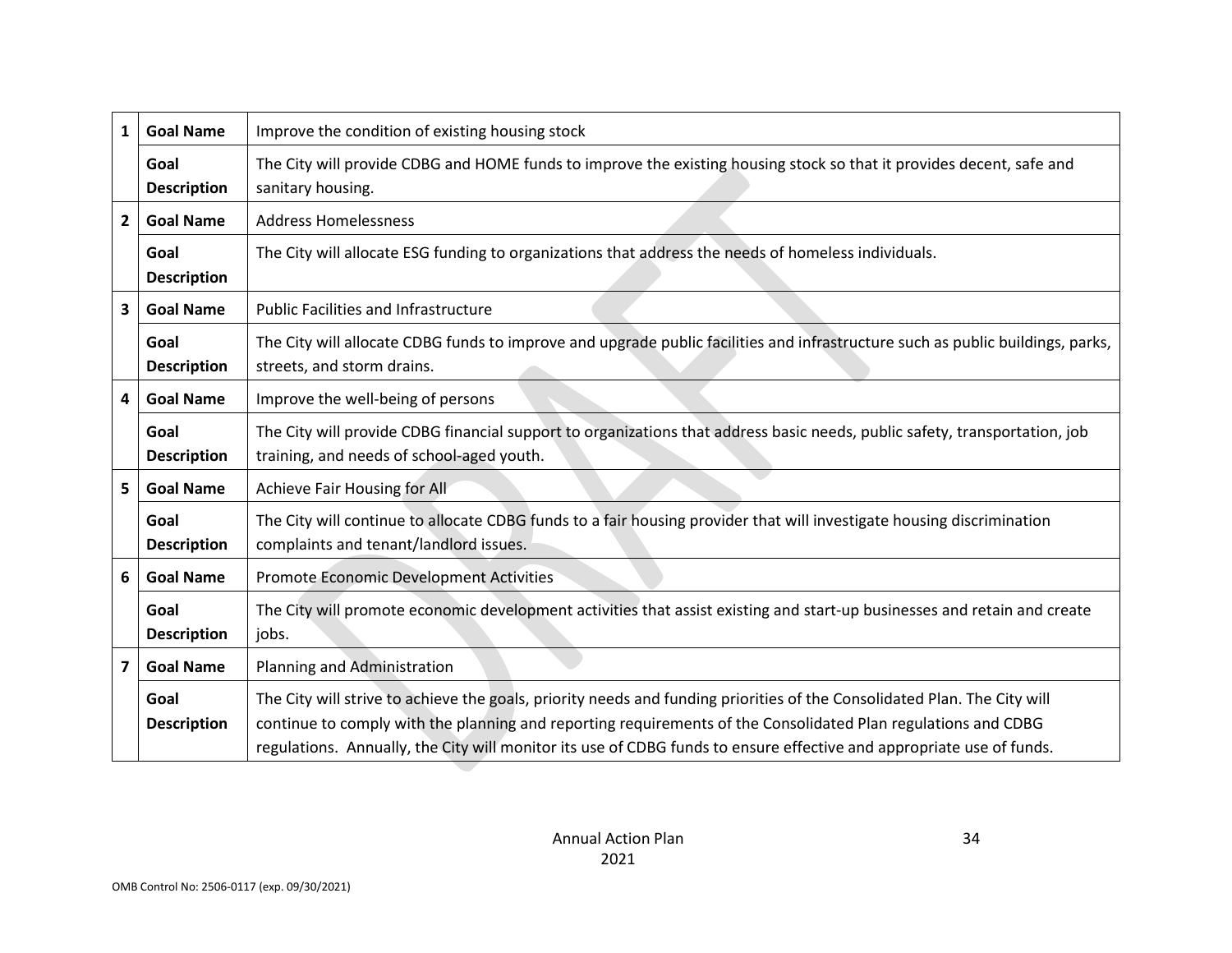| 1              | <b>Goal Name</b>           | Improve the condition of existing housing stock                                                                                                                                                                                                                                                                                                                   |
|----------------|----------------------------|-------------------------------------------------------------------------------------------------------------------------------------------------------------------------------------------------------------------------------------------------------------------------------------------------------------------------------------------------------------------|
|                | Goal<br><b>Description</b> | The City will provide CDBG and HOME funds to improve the existing housing stock so that it provides decent, safe and<br>sanitary housing.                                                                                                                                                                                                                         |
| $\overline{2}$ | <b>Goal Name</b>           | <b>Address Homelessness</b>                                                                                                                                                                                                                                                                                                                                       |
|                | Goal<br><b>Description</b> | The City will allocate ESG funding to organizations that address the needs of homeless individuals.                                                                                                                                                                                                                                                               |
| 3              | <b>Goal Name</b>           | <b>Public Facilities and Infrastructure</b>                                                                                                                                                                                                                                                                                                                       |
|                | Goal<br><b>Description</b> | The City will allocate CDBG funds to improve and upgrade public facilities and infrastructure such as public buildings, parks,<br>streets, and storm drains.                                                                                                                                                                                                      |
| 4              | <b>Goal Name</b>           | Improve the well-being of persons                                                                                                                                                                                                                                                                                                                                 |
|                | Goal<br><b>Description</b> | The City will provide CDBG financial support to organizations that address basic needs, public safety, transportation, job<br>training, and needs of school-aged youth.                                                                                                                                                                                           |
| 5              | <b>Goal Name</b>           | Achieve Fair Housing for All                                                                                                                                                                                                                                                                                                                                      |
|                | Goal<br><b>Description</b> | The City will continue to allocate CDBG funds to a fair housing provider that will investigate housing discrimination<br>complaints and tenant/landlord issues.                                                                                                                                                                                                   |
| 6              | <b>Goal Name</b>           | Promote Economic Development Activities                                                                                                                                                                                                                                                                                                                           |
|                | Goal<br><b>Description</b> | The City will promote economic development activities that assist existing and start-up businesses and retain and create<br>jobs.                                                                                                                                                                                                                                 |
| 7              | <b>Goal Name</b>           | Planning and Administration                                                                                                                                                                                                                                                                                                                                       |
|                | Goal<br><b>Description</b> | The City will strive to achieve the goals, priority needs and funding priorities of the Consolidated Plan. The City will<br>continue to comply with the planning and reporting requirements of the Consolidated Plan regulations and CDBG<br>regulations. Annually, the City will monitor its use of CDBG funds to ensure effective and appropriate use of funds. |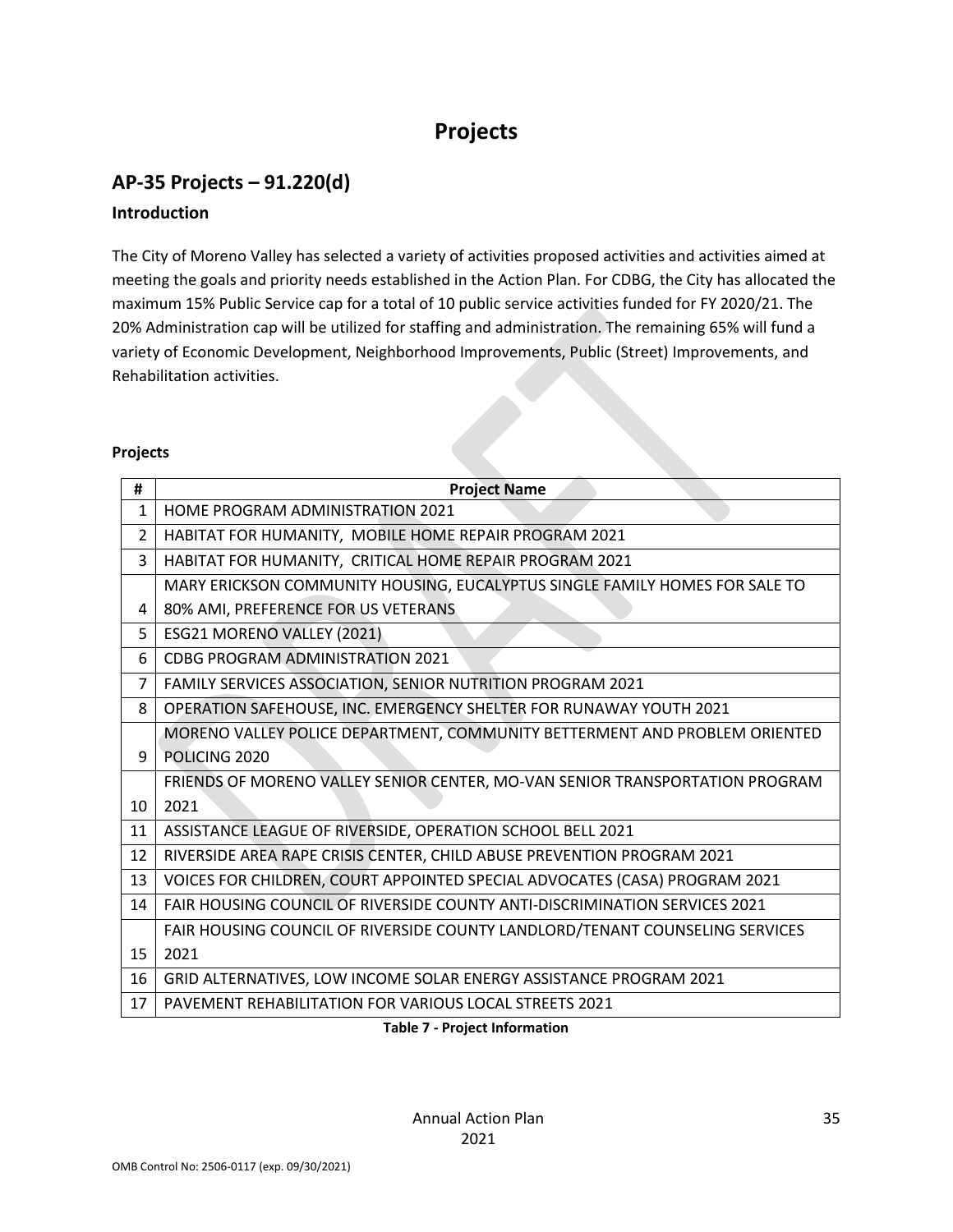# **Projects**

## **AP-35 Projects – 91.220(d) Introduction**

The City of Moreno Valley has selected a variety of activities proposed activities and activities aimed at meeting the goals and priority needs established in the Action Plan. For CDBG, the City has allocated the maximum 15% Public Service cap for a total of 10 public service activities funded for FY 2020/21. The 20% Administration cap will be utilized for staffing and administration. The remaining 65% will fund a variety of Economic Development, Neighborhood Improvements, Public (Street) Improvements, and Rehabilitation activities.

#### **Projects**

| #              | <b>Project Name</b>                                                               |
|----------------|-----------------------------------------------------------------------------------|
| $\mathbf{1}$   | HOME PROGRAM ADMINISTRATION 2021                                                  |
| $\overline{2}$ | HABITAT FOR HUMANITY, MOBILE HOME REPAIR PROGRAM 2021                             |
| 3              | HABITAT FOR HUMANITY, CRITICAL HOME REPAIR PROGRAM 2021                           |
|                | MARY ERICKSON COMMUNITY HOUSING, EUCALYPTUS SINGLE FAMILY HOMES FOR SALE TO       |
| 4              | 80% AMI, PREFERENCE FOR US VETERANS                                               |
| 5              | ESG21 MORENO VALLEY (2021)                                                        |
| 6              | <b>CDBG PROGRAM ADMINISTRATION 2021</b>                                           |
| 7              | FAMILY SERVICES ASSOCIATION, SENIOR NUTRITION PROGRAM 2021                        |
| 8              | OPERATION SAFEHOUSE, INC. EMERGENCY SHELTER FOR RUNAWAY YOUTH 2021                |
|                | MORENO VALLEY POLICE DEPARTMENT, COMMUNITY BETTERMENT AND PROBLEM ORIENTED        |
| 9              | POLICING 2020                                                                     |
|                | FRIENDS OF MORENO VALLEY SENIOR CENTER, MO-VAN SENIOR TRANSPORTATION PROGRAM      |
| 10             | 2021                                                                              |
| 11             | ASSISTANCE LEAGUE OF RIVERSIDE, OPERATION SCHOOL BELL 2021                        |
| 12             | RIVERSIDE AREA RAPE CRISIS CENTER, CHILD ABUSE PREVENTION PROGRAM 2021            |
| 13             | VOICES FOR CHILDREN, COURT APPOINTED SPECIAL ADVOCATES (CASA) PROGRAM 2021        |
| 14             | <b>FAIR HOUSING COUNCIL OF RIVERSIDE COUNTY ANTI-DISCRIMINATION SERVICES 2021</b> |
|                | FAIR HOUSING COUNCIL OF RIVERSIDE COUNTY LANDLORD/TENANT COUNSELING SERVICES      |
| 15             | 2021                                                                              |
| 16             | GRID ALTERNATIVES, LOW INCOME SOLAR ENERGY ASSISTANCE PROGRAM 2021                |
| 17             | <b>PAVEMENT REHABILITATION FOR VARIOUS LOCAL STREETS 2021</b>                     |
|                |                                                                                   |

**Table 7 - Project Information**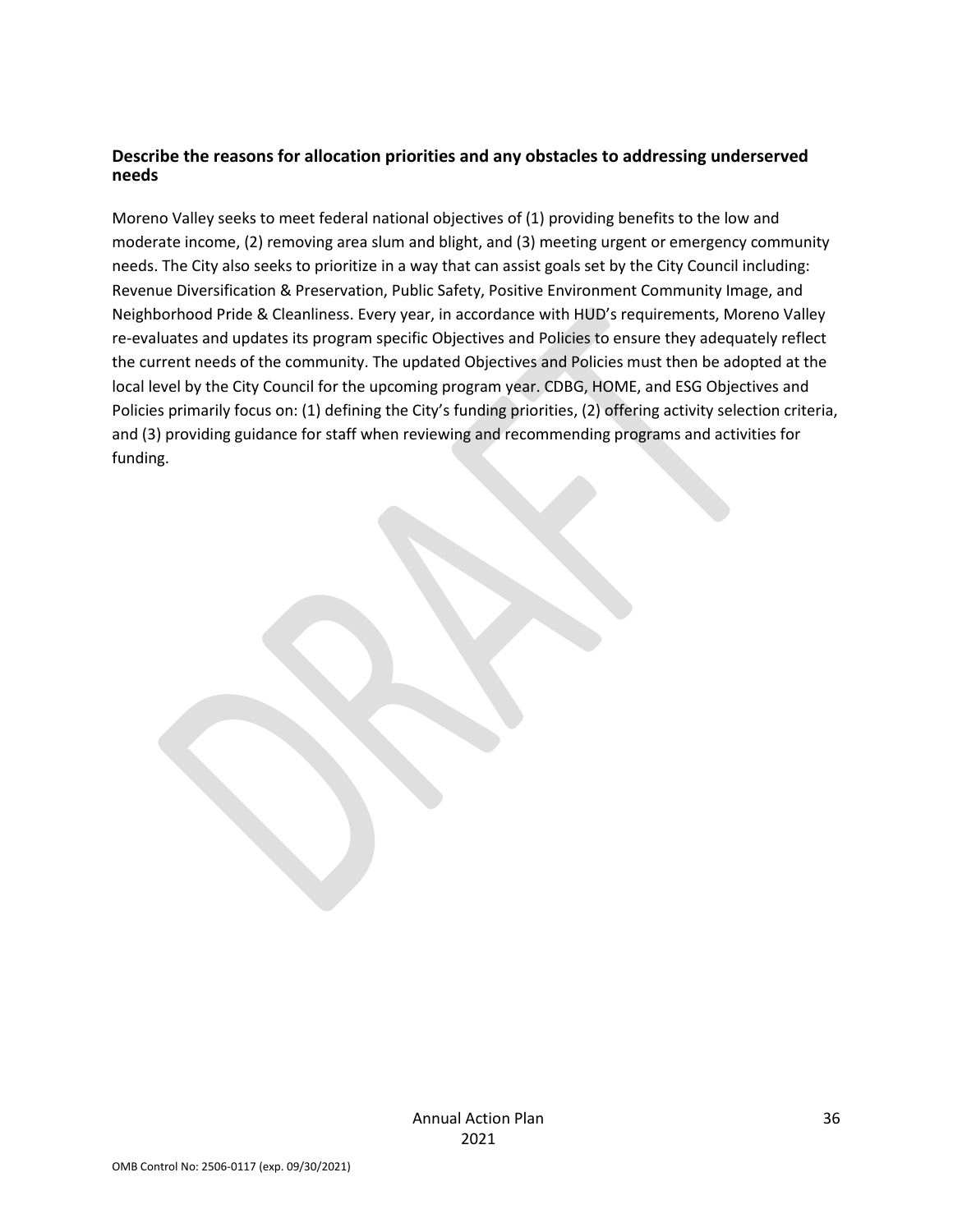#### **Describe the reasons for allocation priorities and any obstacles to addressing underserved needs**

Moreno Valley seeks to meet federal national objectives of (1) providing benefits to the low and moderate income, (2) removing area slum and blight, and (3) meeting urgent or emergency community needs. The City also seeks to prioritize in a way that can assist goals set by the City Council including: Revenue Diversification & Preservation, Public Safety, Positive Environment Community Image, and Neighborhood Pride & Cleanliness. Every year, in accordance with HUD's requirements, Moreno Valley re-evaluates and updates its program specific Objectives and Policies to ensure they adequately reflect the current needs of the community. The updated Objectives and Policies must then be adopted at the local level by the City Council for the upcoming program year. CDBG, HOME, and ESG Objectives and Policies primarily focus on: (1) defining the City's funding priorities, (2) offering activity selection criteria, and (3) providing guidance for staff when reviewing and recommending programs and activities for funding.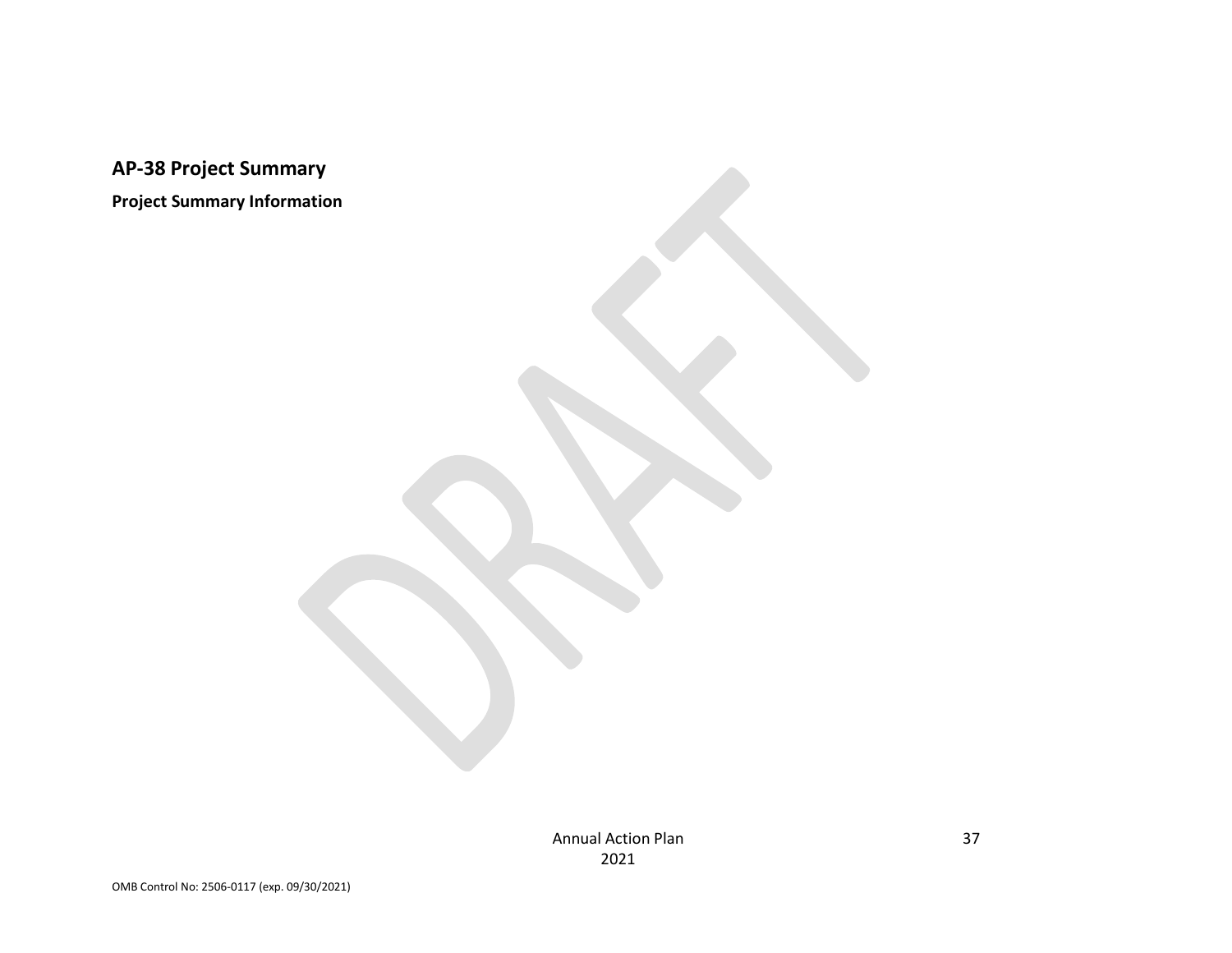**AP-38 Project Summary**

**Project Summary Information**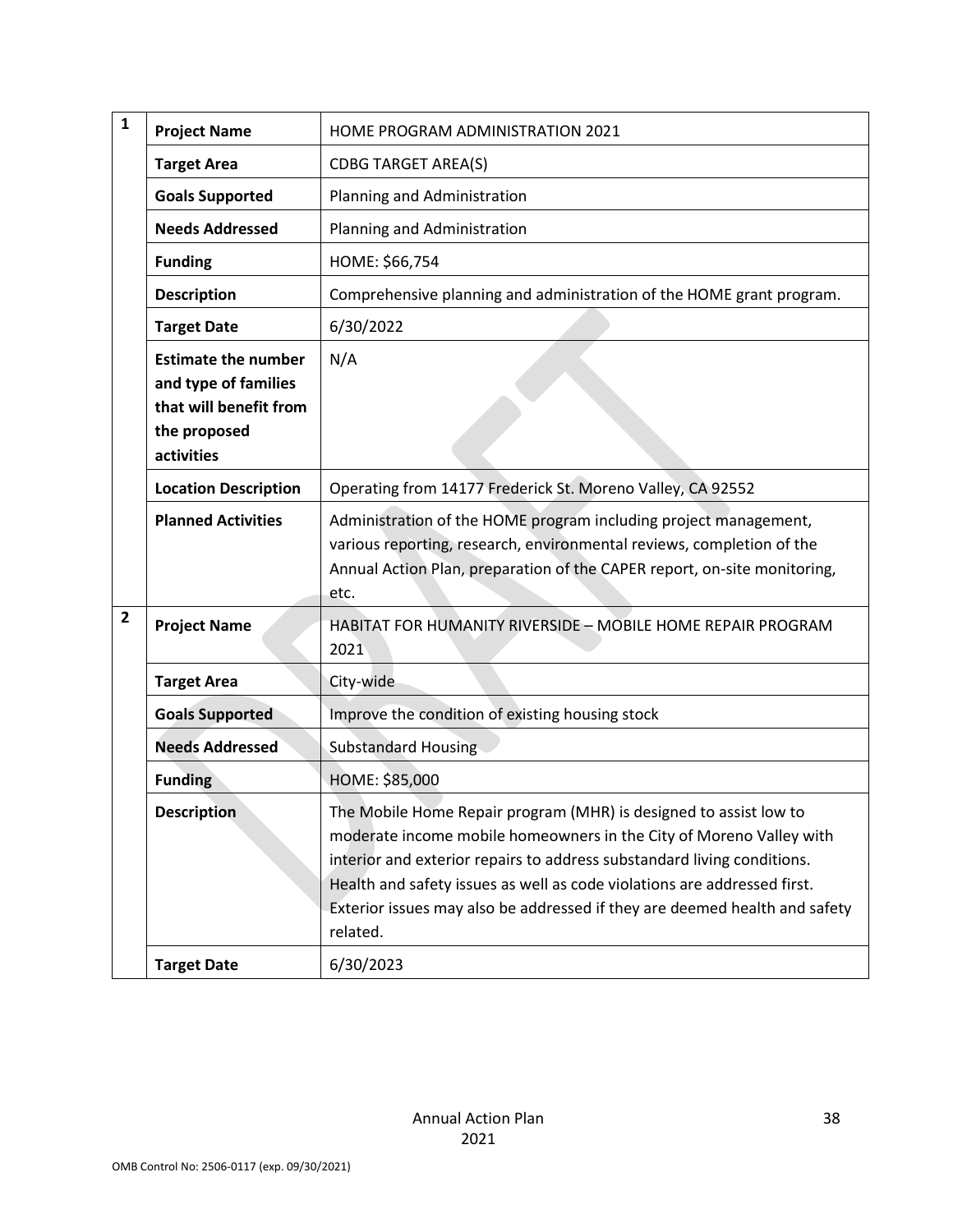| 1            | <b>Project Name</b>                                                                                        | HOME PROGRAM ADMINISTRATION 2021                                                                                                                                                                                                                                                                                                                                                          |
|--------------|------------------------------------------------------------------------------------------------------------|-------------------------------------------------------------------------------------------------------------------------------------------------------------------------------------------------------------------------------------------------------------------------------------------------------------------------------------------------------------------------------------------|
|              | <b>Target Area</b>                                                                                         | <b>CDBG TARGET AREA(S)</b>                                                                                                                                                                                                                                                                                                                                                                |
|              | <b>Goals Supported</b>                                                                                     | Planning and Administration                                                                                                                                                                                                                                                                                                                                                               |
|              | <b>Needs Addressed</b>                                                                                     | Planning and Administration                                                                                                                                                                                                                                                                                                                                                               |
|              | <b>Funding</b>                                                                                             | HOME: \$66,754                                                                                                                                                                                                                                                                                                                                                                            |
|              | <b>Description</b>                                                                                         | Comprehensive planning and administration of the HOME grant program.                                                                                                                                                                                                                                                                                                                      |
|              | <b>Target Date</b>                                                                                         | 6/30/2022                                                                                                                                                                                                                                                                                                                                                                                 |
|              | <b>Estimate the number</b><br>and type of families<br>that will benefit from<br>the proposed<br>activities | N/A                                                                                                                                                                                                                                                                                                                                                                                       |
|              | <b>Location Description</b>                                                                                | Operating from 14177 Frederick St. Moreno Valley, CA 92552                                                                                                                                                                                                                                                                                                                                |
|              | <b>Planned Activities</b>                                                                                  | Administration of the HOME program including project management,<br>various reporting, research, environmental reviews, completion of the<br>Annual Action Plan, preparation of the CAPER report, on-site monitoring,<br>etc.                                                                                                                                                             |
| $\mathbf{2}$ | <b>Project Name</b>                                                                                        | HABITAT FOR HUMANITY RIVERSIDE - MOBILE HOME REPAIR PROGRAM<br>2021                                                                                                                                                                                                                                                                                                                       |
|              | <b>Target Area</b>                                                                                         | City-wide                                                                                                                                                                                                                                                                                                                                                                                 |
|              | <b>Goals Supported</b>                                                                                     | Improve the condition of existing housing stock                                                                                                                                                                                                                                                                                                                                           |
|              | <b>Needs Addressed</b>                                                                                     | <b>Substandard Housing</b>                                                                                                                                                                                                                                                                                                                                                                |
|              | <b>Funding</b>                                                                                             | HOME: \$85,000                                                                                                                                                                                                                                                                                                                                                                            |
|              | <b>Description</b>                                                                                         | The Mobile Home Repair program (MHR) is designed to assist low to<br>moderate income mobile homeowners in the City of Moreno Valley with<br>interior and exterior repairs to address substandard living conditions.<br>Health and safety issues as well as code violations are addressed first.<br>Exterior issues may also be addressed if they are deemed health and safety<br>related. |
|              | <b>Target Date</b>                                                                                         | 6/30/2023                                                                                                                                                                                                                                                                                                                                                                                 |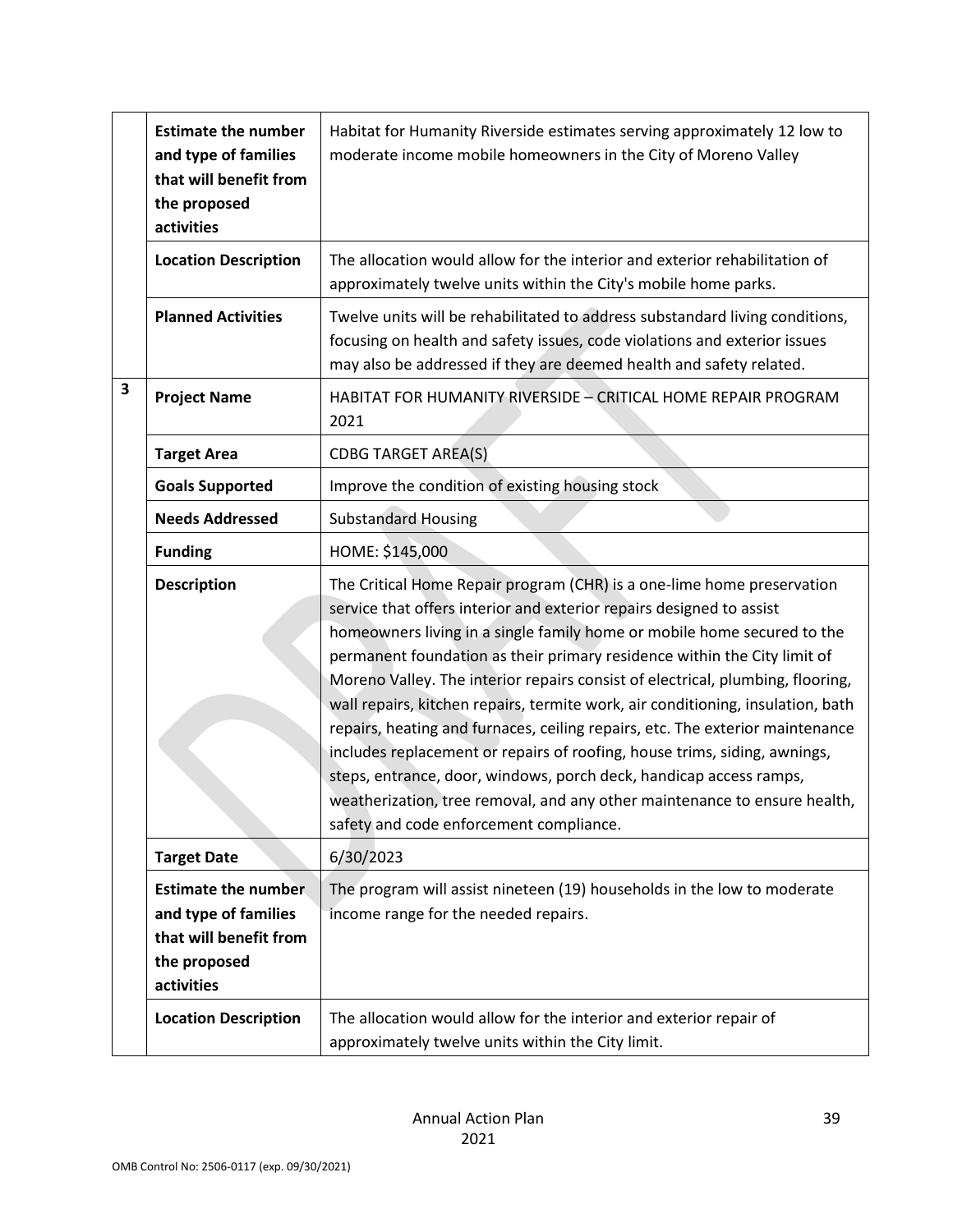|   | <b>Estimate the number</b><br>and type of families<br>that will benefit from<br>the proposed<br>activities | Habitat for Humanity Riverside estimates serving approximately 12 low to<br>moderate income mobile homeowners in the City of Moreno Valley                                                                                                                                                                                                                                                                                                                                                                                                                                                                                                                                                                                                                                                                                             |
|---|------------------------------------------------------------------------------------------------------------|----------------------------------------------------------------------------------------------------------------------------------------------------------------------------------------------------------------------------------------------------------------------------------------------------------------------------------------------------------------------------------------------------------------------------------------------------------------------------------------------------------------------------------------------------------------------------------------------------------------------------------------------------------------------------------------------------------------------------------------------------------------------------------------------------------------------------------------|
|   | <b>Location Description</b>                                                                                | The allocation would allow for the interior and exterior rehabilitation of<br>approximately twelve units within the City's mobile home parks.                                                                                                                                                                                                                                                                                                                                                                                                                                                                                                                                                                                                                                                                                          |
|   | <b>Planned Activities</b>                                                                                  | Twelve units will be rehabilitated to address substandard living conditions,<br>focusing on health and safety issues, code violations and exterior issues<br>may also be addressed if they are deemed health and safety related.                                                                                                                                                                                                                                                                                                                                                                                                                                                                                                                                                                                                       |
| 3 | <b>Project Name</b>                                                                                        | HABITAT FOR HUMANITY RIVERSIDE - CRITICAL HOME REPAIR PROGRAM<br>2021                                                                                                                                                                                                                                                                                                                                                                                                                                                                                                                                                                                                                                                                                                                                                                  |
|   | <b>Target Area</b>                                                                                         | <b>CDBG TARGET AREA(S)</b>                                                                                                                                                                                                                                                                                                                                                                                                                                                                                                                                                                                                                                                                                                                                                                                                             |
|   | <b>Goals Supported</b>                                                                                     | Improve the condition of existing housing stock                                                                                                                                                                                                                                                                                                                                                                                                                                                                                                                                                                                                                                                                                                                                                                                        |
|   | <b>Needs Addressed</b>                                                                                     | <b>Substandard Housing</b>                                                                                                                                                                                                                                                                                                                                                                                                                                                                                                                                                                                                                                                                                                                                                                                                             |
|   | <b>Funding</b>                                                                                             | HOME: \$145,000                                                                                                                                                                                                                                                                                                                                                                                                                                                                                                                                                                                                                                                                                                                                                                                                                        |
|   | <b>Description</b>                                                                                         | The Critical Home Repair program (CHR) is a one-lime home preservation<br>service that offers interior and exterior repairs designed to assist<br>homeowners living in a single family home or mobile home secured to the<br>permanent foundation as their primary residence within the City limit of<br>Moreno Valley. The interior repairs consist of electrical, plumbing, flooring,<br>wall repairs, kitchen repairs, termite work, air conditioning, insulation, bath<br>repairs, heating and furnaces, ceiling repairs, etc. The exterior maintenance<br>includes replacement or repairs of roofing, house trims, siding, awnings,<br>steps, entrance, door, windows, porch deck, handicap access ramps,<br>weatherization, tree removal, and any other maintenance to ensure health,<br>safety and code enforcement compliance. |
|   | <b>Target Date</b>                                                                                         | 6/30/2023                                                                                                                                                                                                                                                                                                                                                                                                                                                                                                                                                                                                                                                                                                                                                                                                                              |
|   | <b>Estimate the number</b><br>and type of families<br>that will benefit from<br>the proposed<br>activities | The program will assist nineteen (19) households in the low to moderate<br>income range for the needed repairs.                                                                                                                                                                                                                                                                                                                                                                                                                                                                                                                                                                                                                                                                                                                        |
|   | <b>Location Description</b>                                                                                | The allocation would allow for the interior and exterior repair of<br>approximately twelve units within the City limit.                                                                                                                                                                                                                                                                                                                                                                                                                                                                                                                                                                                                                                                                                                                |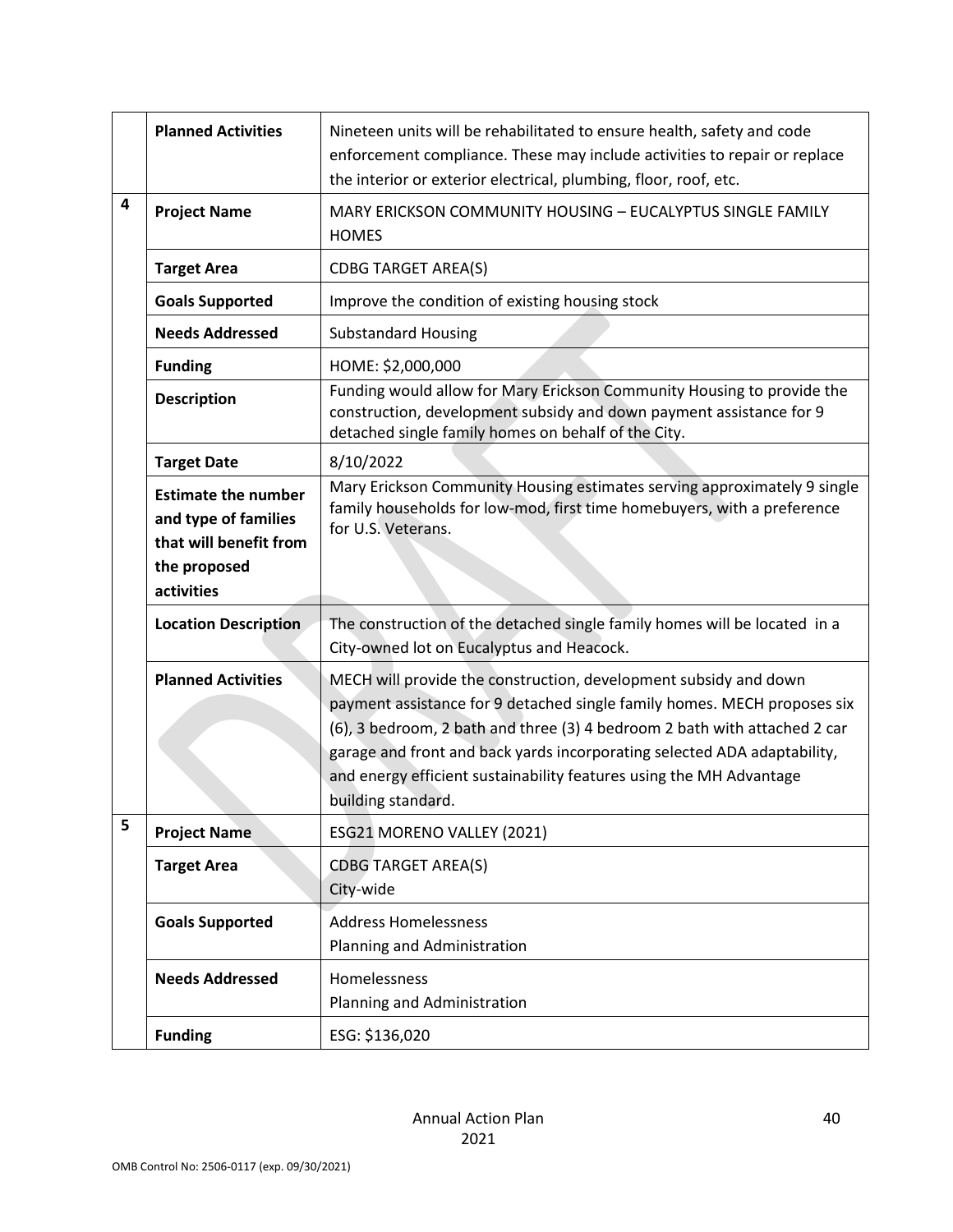|   | <b>Planned Activities</b>                                                                                  | Nineteen units will be rehabilitated to ensure health, safety and code<br>enforcement compliance. These may include activities to repair or replace<br>the interior or exterior electrical, plumbing, floor, roof, etc.                                                                                                                                                                            |
|---|------------------------------------------------------------------------------------------------------------|----------------------------------------------------------------------------------------------------------------------------------------------------------------------------------------------------------------------------------------------------------------------------------------------------------------------------------------------------------------------------------------------------|
| 4 | <b>Project Name</b>                                                                                        | MARY ERICKSON COMMUNITY HOUSING - EUCALYPTUS SINGLE FAMILY<br><b>HOMES</b>                                                                                                                                                                                                                                                                                                                         |
|   | <b>Target Area</b>                                                                                         | <b>CDBG TARGET AREA(S)</b>                                                                                                                                                                                                                                                                                                                                                                         |
|   | <b>Goals Supported</b>                                                                                     | Improve the condition of existing housing stock                                                                                                                                                                                                                                                                                                                                                    |
|   | <b>Needs Addressed</b>                                                                                     | <b>Substandard Housing</b>                                                                                                                                                                                                                                                                                                                                                                         |
|   | <b>Funding</b>                                                                                             | HOME: \$2,000,000                                                                                                                                                                                                                                                                                                                                                                                  |
|   | <b>Description</b>                                                                                         | Funding would allow for Mary Erickson Community Housing to provide the<br>construction, development subsidy and down payment assistance for 9<br>detached single family homes on behalf of the City.                                                                                                                                                                                               |
|   | <b>Target Date</b>                                                                                         | 8/10/2022                                                                                                                                                                                                                                                                                                                                                                                          |
|   | <b>Estimate the number</b><br>and type of families<br>that will benefit from<br>the proposed<br>activities | Mary Erickson Community Housing estimates serving approximately 9 single<br>family households for low-mod, first time homebuyers, with a preference<br>for U.S. Veterans.                                                                                                                                                                                                                          |
|   | <b>Location Description</b>                                                                                | The construction of the detached single family homes will be located in a<br>City-owned lot on Eucalyptus and Heacock.                                                                                                                                                                                                                                                                             |
|   | <b>Planned Activities</b>                                                                                  | MECH will provide the construction, development subsidy and down<br>payment assistance for 9 detached single family homes. MECH proposes six<br>(6), 3 bedroom, 2 bath and three (3) 4 bedroom 2 bath with attached 2 car<br>garage and front and back yards incorporating selected ADA adaptability,<br>and energy efficient sustainability features using the MH Advantage<br>building standard. |
| 5 | <b>Project Name</b>                                                                                        | ESG21 MORENO VALLEY (2021)                                                                                                                                                                                                                                                                                                                                                                         |
|   | <b>Target Area</b>                                                                                         | <b>CDBG TARGET AREA(S)</b><br>City-wide                                                                                                                                                                                                                                                                                                                                                            |
|   | <b>Goals Supported</b>                                                                                     | <b>Address Homelessness</b><br>Planning and Administration                                                                                                                                                                                                                                                                                                                                         |
|   | <b>Needs Addressed</b>                                                                                     | Homelessness<br>Planning and Administration                                                                                                                                                                                                                                                                                                                                                        |
|   | <b>Funding</b>                                                                                             | ESG: \$136,020                                                                                                                                                                                                                                                                                                                                                                                     |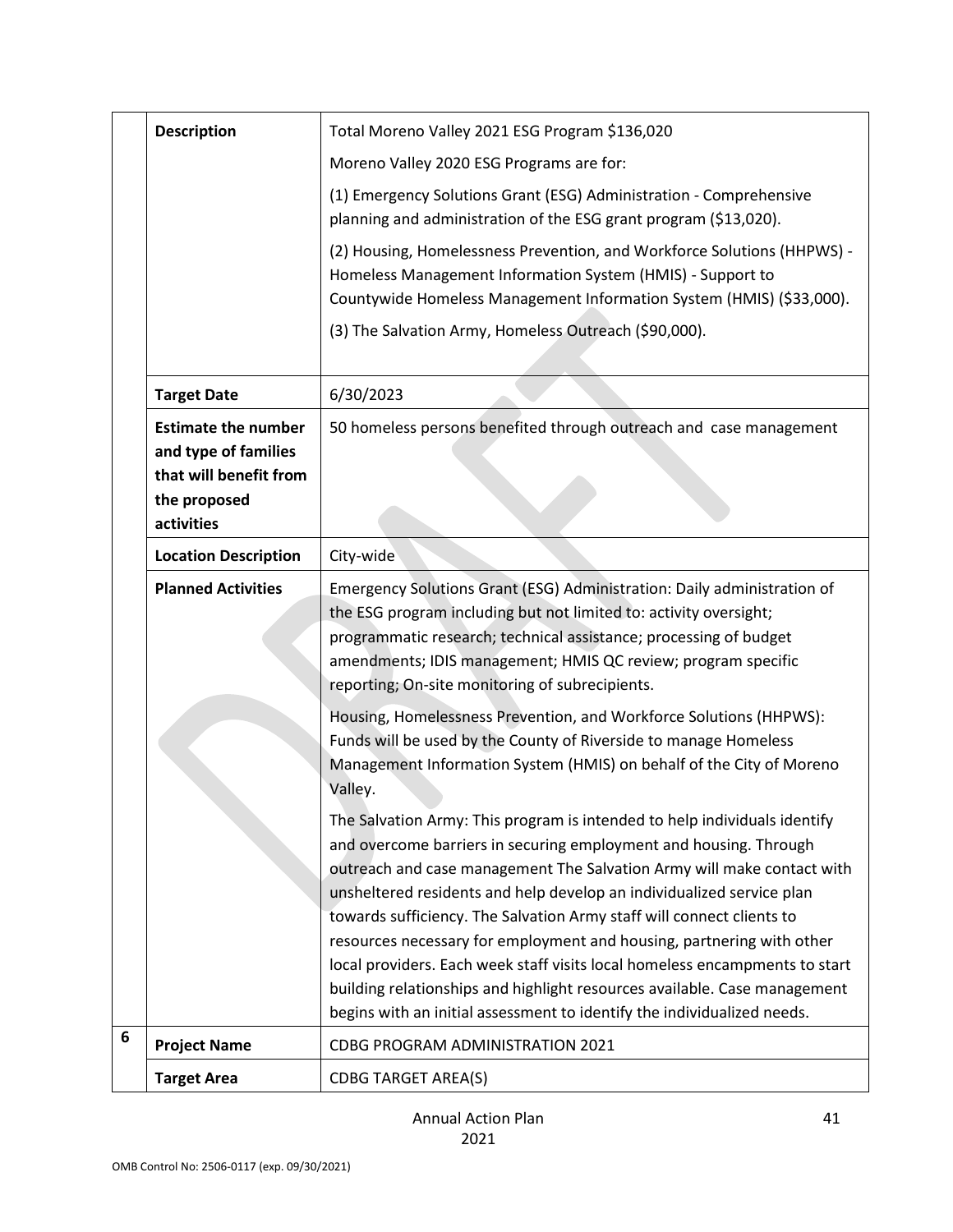|   | <b>Description</b>                                                                                         | Total Moreno Valley 2021 ESG Program \$136,020                                                                                                                                                                                                                                                                                                                                                                                                                                                                                                                                                                                                                                             |
|---|------------------------------------------------------------------------------------------------------------|--------------------------------------------------------------------------------------------------------------------------------------------------------------------------------------------------------------------------------------------------------------------------------------------------------------------------------------------------------------------------------------------------------------------------------------------------------------------------------------------------------------------------------------------------------------------------------------------------------------------------------------------------------------------------------------------|
|   |                                                                                                            | Moreno Valley 2020 ESG Programs are for:                                                                                                                                                                                                                                                                                                                                                                                                                                                                                                                                                                                                                                                   |
|   |                                                                                                            | (1) Emergency Solutions Grant (ESG) Administration - Comprehensive<br>planning and administration of the ESG grant program (\$13,020).                                                                                                                                                                                                                                                                                                                                                                                                                                                                                                                                                     |
|   |                                                                                                            | (2) Housing, Homelessness Prevention, and Workforce Solutions (HHPWS) -<br>Homeless Management Information System (HMIS) - Support to<br>Countywide Homeless Management Information System (HMIS) (\$33,000).                                                                                                                                                                                                                                                                                                                                                                                                                                                                              |
|   |                                                                                                            | (3) The Salvation Army, Homeless Outreach (\$90,000).                                                                                                                                                                                                                                                                                                                                                                                                                                                                                                                                                                                                                                      |
|   | <b>Target Date</b>                                                                                         | 6/30/2023                                                                                                                                                                                                                                                                                                                                                                                                                                                                                                                                                                                                                                                                                  |
|   | <b>Estimate the number</b><br>and type of families<br>that will benefit from<br>the proposed<br>activities | 50 homeless persons benefited through outreach and case management                                                                                                                                                                                                                                                                                                                                                                                                                                                                                                                                                                                                                         |
|   | <b>Location Description</b>                                                                                | City-wide                                                                                                                                                                                                                                                                                                                                                                                                                                                                                                                                                                                                                                                                                  |
|   | <b>Planned Activities</b>                                                                                  | Emergency Solutions Grant (ESG) Administration: Daily administration of<br>the ESG program including but not limited to: activity oversight;<br>programmatic research; technical assistance; processing of budget<br>amendments; IDIS management; HMIS QC review; program specific<br>reporting; On-site monitoring of subrecipients.                                                                                                                                                                                                                                                                                                                                                      |
|   |                                                                                                            | Housing, Homelessness Prevention, and Workforce Solutions (HHPWS):<br>Funds will be used by the County of Riverside to manage Homeless<br>Management Information System (HMIS) on behalf of the City of Moreno<br>Valley.                                                                                                                                                                                                                                                                                                                                                                                                                                                                  |
|   |                                                                                                            | The Salvation Army: This program is intended to help individuals identify<br>and overcome barriers in securing employment and housing. Through<br>outreach and case management The Salvation Army will make contact with<br>unsheltered residents and help develop an individualized service plan<br>towards sufficiency. The Salvation Army staff will connect clients to<br>resources necessary for employment and housing, partnering with other<br>local providers. Each week staff visits local homeless encampments to start<br>building relationships and highlight resources available. Case management<br>begins with an initial assessment to identify the individualized needs. |
| 6 | <b>Project Name</b>                                                                                        | CDBG PROGRAM ADMINISTRATION 2021                                                                                                                                                                                                                                                                                                                                                                                                                                                                                                                                                                                                                                                           |
|   | <b>Target Area</b>                                                                                         | <b>CDBG TARGET AREA(S)</b>                                                                                                                                                                                                                                                                                                                                                                                                                                                                                                                                                                                                                                                                 |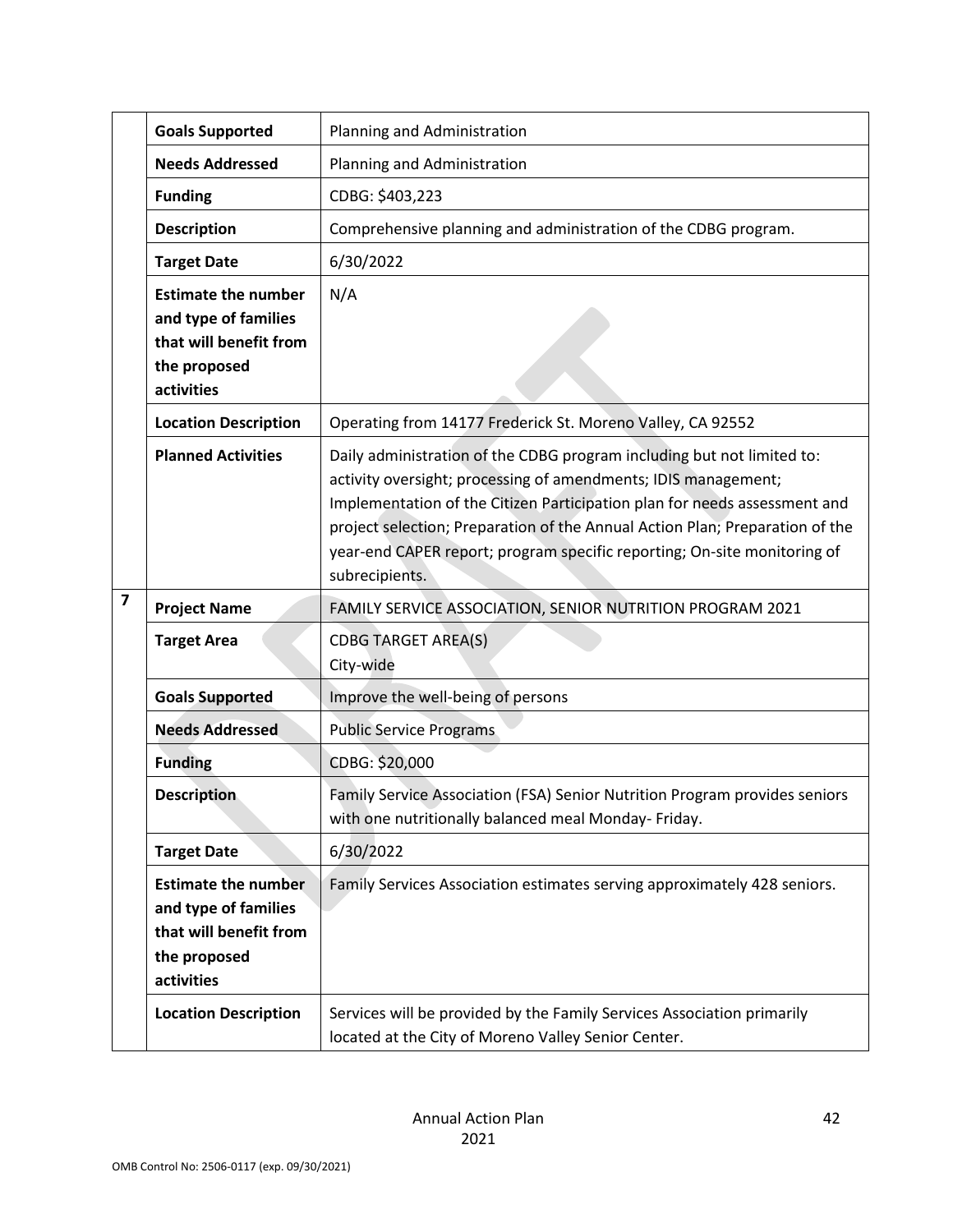|                         | <b>Goals Supported</b>                                                                                     | Planning and Administration                                                                                                                                                                                                                                                                                                                                                                         |
|-------------------------|------------------------------------------------------------------------------------------------------------|-----------------------------------------------------------------------------------------------------------------------------------------------------------------------------------------------------------------------------------------------------------------------------------------------------------------------------------------------------------------------------------------------------|
|                         | <b>Needs Addressed</b>                                                                                     | Planning and Administration                                                                                                                                                                                                                                                                                                                                                                         |
|                         | <b>Funding</b>                                                                                             | CDBG: \$403,223                                                                                                                                                                                                                                                                                                                                                                                     |
|                         | <b>Description</b>                                                                                         | Comprehensive planning and administration of the CDBG program.                                                                                                                                                                                                                                                                                                                                      |
|                         | <b>Target Date</b>                                                                                         | 6/30/2022                                                                                                                                                                                                                                                                                                                                                                                           |
|                         | <b>Estimate the number</b><br>and type of families<br>that will benefit from<br>the proposed<br>activities | N/A                                                                                                                                                                                                                                                                                                                                                                                                 |
|                         | <b>Location Description</b>                                                                                | Operating from 14177 Frederick St. Moreno Valley, CA 92552                                                                                                                                                                                                                                                                                                                                          |
|                         | <b>Planned Activities</b>                                                                                  | Daily administration of the CDBG program including but not limited to:<br>activity oversight; processing of amendments; IDIS management;<br>Implementation of the Citizen Participation plan for needs assessment and<br>project selection; Preparation of the Annual Action Plan; Preparation of the<br>year-end CAPER report; program specific reporting; On-site monitoring of<br>subrecipients. |
| $\overline{\mathbf{z}}$ | <b>Project Name</b>                                                                                        | FAMILY SERVICE ASSOCIATION, SENIOR NUTRITION PROGRAM 2021                                                                                                                                                                                                                                                                                                                                           |
|                         | <b>Target Area</b>                                                                                         | <b>CDBG TARGET AREA(S)</b><br>City-wide                                                                                                                                                                                                                                                                                                                                                             |
|                         | <b>Goals Supported</b>                                                                                     | Improve the well-being of persons                                                                                                                                                                                                                                                                                                                                                                   |
|                         | <b>Needs Addressed</b>                                                                                     | <b>Public Service Programs</b>                                                                                                                                                                                                                                                                                                                                                                      |
|                         | <b>Funding</b>                                                                                             | CDBG: \$20,000                                                                                                                                                                                                                                                                                                                                                                                      |
|                         | <b>Description</b>                                                                                         | Family Service Association (FSA) Senior Nutrition Program provides seniors<br>with one nutritionally balanced meal Monday- Friday.                                                                                                                                                                                                                                                                  |
|                         | <b>Target Date</b>                                                                                         | 6/30/2022                                                                                                                                                                                                                                                                                                                                                                                           |
|                         | <b>Estimate the number</b><br>and type of families<br>that will benefit from<br>the proposed<br>activities | Family Services Association estimates serving approximately 428 seniors.                                                                                                                                                                                                                                                                                                                            |
|                         | <b>Location Description</b>                                                                                | Services will be provided by the Family Services Association primarily<br>located at the City of Moreno Valley Senior Center.                                                                                                                                                                                                                                                                       |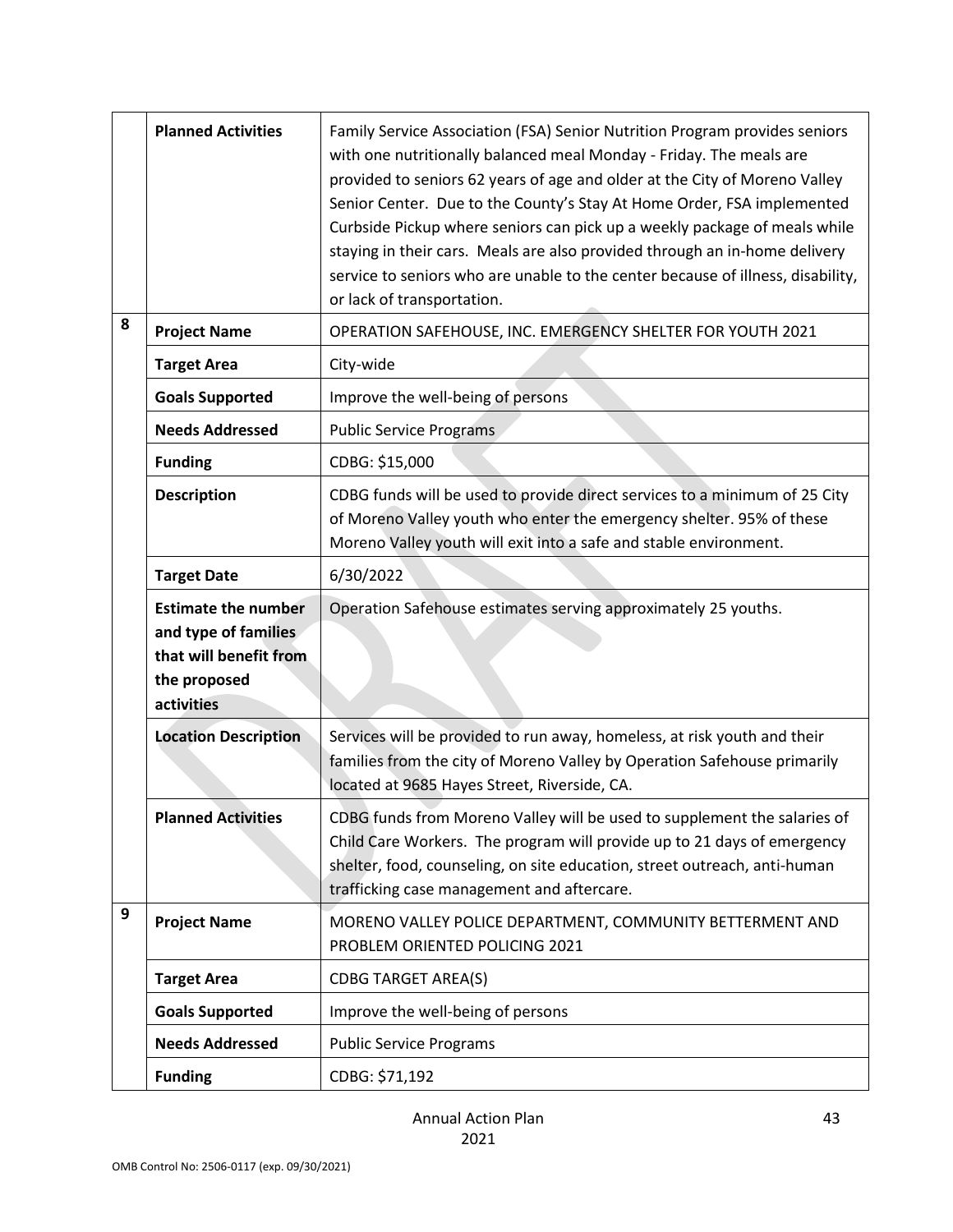|   | <b>Planned Activities</b>                                                                                  | Family Service Association (FSA) Senior Nutrition Program provides seniors<br>with one nutritionally balanced meal Monday - Friday. The meals are<br>provided to seniors 62 years of age and older at the City of Moreno Valley<br>Senior Center. Due to the County's Stay At Home Order, FSA implemented<br>Curbside Pickup where seniors can pick up a weekly package of meals while<br>staying in their cars. Meals are also provided through an in-home delivery<br>service to seniors who are unable to the center because of illness, disability,<br>or lack of transportation. |
|---|------------------------------------------------------------------------------------------------------------|---------------------------------------------------------------------------------------------------------------------------------------------------------------------------------------------------------------------------------------------------------------------------------------------------------------------------------------------------------------------------------------------------------------------------------------------------------------------------------------------------------------------------------------------------------------------------------------|
| 8 | <b>Project Name</b>                                                                                        | OPERATION SAFEHOUSE, INC. EMERGENCY SHELTER FOR YOUTH 2021                                                                                                                                                                                                                                                                                                                                                                                                                                                                                                                            |
|   | <b>Target Area</b>                                                                                         | City-wide                                                                                                                                                                                                                                                                                                                                                                                                                                                                                                                                                                             |
|   | <b>Goals Supported</b>                                                                                     | Improve the well-being of persons                                                                                                                                                                                                                                                                                                                                                                                                                                                                                                                                                     |
|   | <b>Needs Addressed</b>                                                                                     | <b>Public Service Programs</b>                                                                                                                                                                                                                                                                                                                                                                                                                                                                                                                                                        |
|   | <b>Funding</b>                                                                                             | CDBG: \$15,000                                                                                                                                                                                                                                                                                                                                                                                                                                                                                                                                                                        |
|   | <b>Description</b>                                                                                         | CDBG funds will be used to provide direct services to a minimum of 25 City<br>of Moreno Valley youth who enter the emergency shelter. 95% of these<br>Moreno Valley youth will exit into a safe and stable environment.                                                                                                                                                                                                                                                                                                                                                               |
|   | <b>Target Date</b>                                                                                         | 6/30/2022                                                                                                                                                                                                                                                                                                                                                                                                                                                                                                                                                                             |
|   | <b>Estimate the number</b><br>and type of families<br>that will benefit from<br>the proposed<br>activities | Operation Safehouse estimates serving approximately 25 youths.                                                                                                                                                                                                                                                                                                                                                                                                                                                                                                                        |
|   | <b>Location Description</b>                                                                                | Services will be provided to run away, homeless, at risk youth and their<br>families from the city of Moreno Valley by Operation Safehouse primarily<br>located at 9685 Hayes Street, Riverside, CA.                                                                                                                                                                                                                                                                                                                                                                                  |
|   | <b>Planned Activities</b>                                                                                  | CDBG funds from Moreno Valley will be used to supplement the salaries of<br>Child Care Workers. The program will provide up to 21 days of emergency<br>shelter, food, counseling, on site education, street outreach, anti-human<br>trafficking case management and aftercare.                                                                                                                                                                                                                                                                                                        |
| 9 | <b>Project Name</b>                                                                                        | MORENO VALLEY POLICE DEPARTMENT, COMMUNITY BETTERMENT AND<br>PROBLEM ORIENTED POLICING 2021                                                                                                                                                                                                                                                                                                                                                                                                                                                                                           |
|   | <b>Target Area</b>                                                                                         | <b>CDBG TARGET AREA(S)</b>                                                                                                                                                                                                                                                                                                                                                                                                                                                                                                                                                            |
|   | <b>Goals Supported</b>                                                                                     | Improve the well-being of persons                                                                                                                                                                                                                                                                                                                                                                                                                                                                                                                                                     |
|   | <b>Needs Addressed</b>                                                                                     | <b>Public Service Programs</b>                                                                                                                                                                                                                                                                                                                                                                                                                                                                                                                                                        |
|   | <b>Funding</b>                                                                                             | CDBG: \$71,192                                                                                                                                                                                                                                                                                                                                                                                                                                                                                                                                                                        |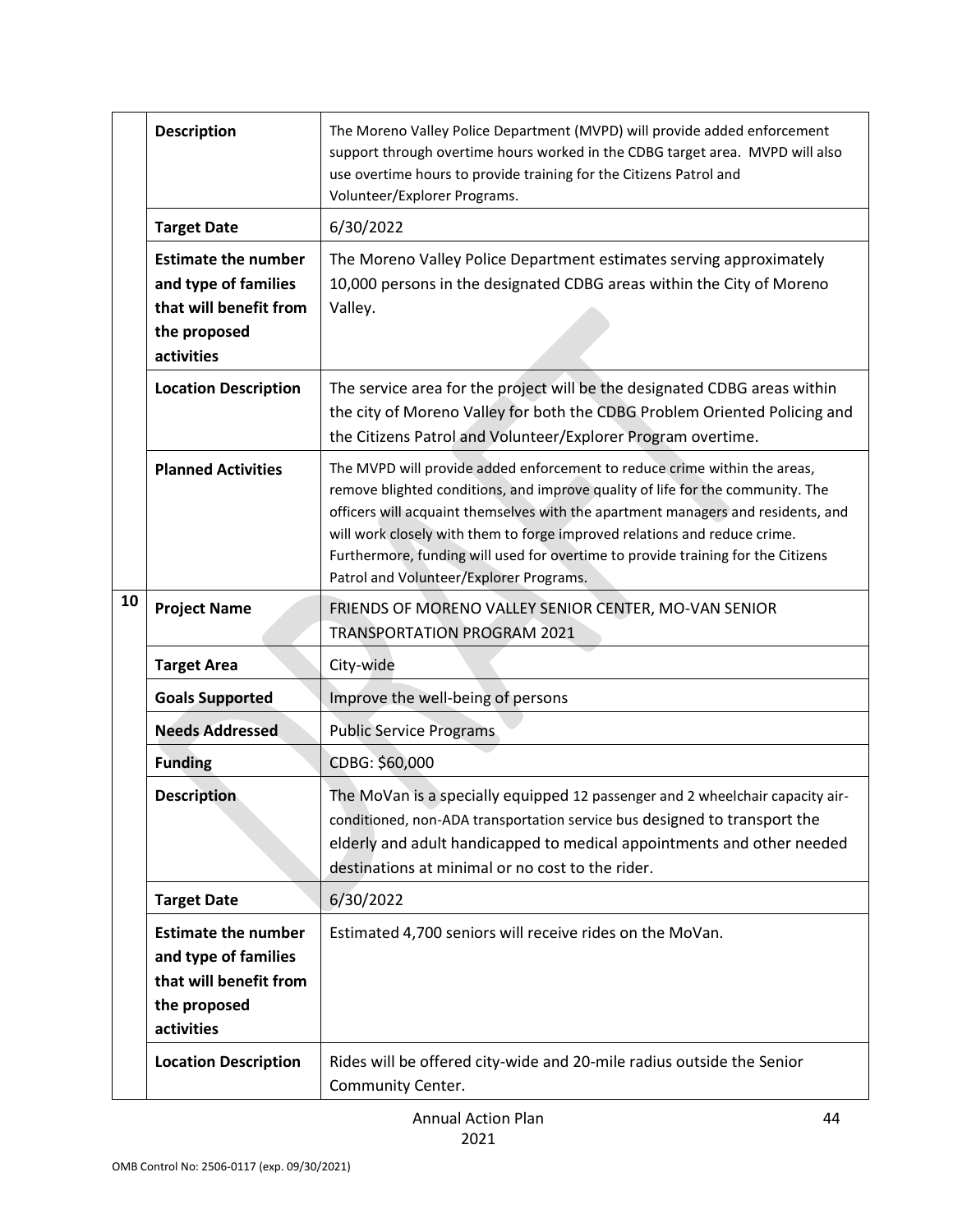|    | <b>Description</b>                                                                                         | The Moreno Valley Police Department (MVPD) will provide added enforcement<br>support through overtime hours worked in the CDBG target area. MVPD will also<br>use overtime hours to provide training for the Citizens Patrol and<br>Volunteer/Explorer Programs.                                                                                                                                                                                            |
|----|------------------------------------------------------------------------------------------------------------|-------------------------------------------------------------------------------------------------------------------------------------------------------------------------------------------------------------------------------------------------------------------------------------------------------------------------------------------------------------------------------------------------------------------------------------------------------------|
|    | <b>Target Date</b>                                                                                         | 6/30/2022                                                                                                                                                                                                                                                                                                                                                                                                                                                   |
|    | <b>Estimate the number</b><br>and type of families<br>that will benefit from<br>the proposed<br>activities | The Moreno Valley Police Department estimates serving approximately<br>10,000 persons in the designated CDBG areas within the City of Moreno<br>Valley.                                                                                                                                                                                                                                                                                                     |
|    | <b>Location Description</b>                                                                                | The service area for the project will be the designated CDBG areas within<br>the city of Moreno Valley for both the CDBG Problem Oriented Policing and<br>the Citizens Patrol and Volunteer/Explorer Program overtime.                                                                                                                                                                                                                                      |
|    | <b>Planned Activities</b>                                                                                  | The MVPD will provide added enforcement to reduce crime within the areas,<br>remove blighted conditions, and improve quality of life for the community. The<br>officers will acquaint themselves with the apartment managers and residents, and<br>will work closely with them to forge improved relations and reduce crime.<br>Furthermore, funding will used for overtime to provide training for the Citizens<br>Patrol and Volunteer/Explorer Programs. |
| 10 | <b>Project Name</b>                                                                                        | FRIENDS OF MORENO VALLEY SENIOR CENTER, MO-VAN SENIOR<br><b>TRANSPORTATION PROGRAM 2021</b>                                                                                                                                                                                                                                                                                                                                                                 |
|    | <b>Target Area</b>                                                                                         | City-wide                                                                                                                                                                                                                                                                                                                                                                                                                                                   |
|    | <b>Goals Supported</b>                                                                                     | Improve the well-being of persons                                                                                                                                                                                                                                                                                                                                                                                                                           |
|    | <b>Needs Addressed</b>                                                                                     | <b>Public Service Programs</b>                                                                                                                                                                                                                                                                                                                                                                                                                              |
|    | <b>Funding</b>                                                                                             | CDBG: \$60,000                                                                                                                                                                                                                                                                                                                                                                                                                                              |
|    | <b>Description</b>                                                                                         | The MoVan is a specially equipped 12 passenger and 2 wheelchair capacity air-<br>conditioned, non-ADA transportation service bus designed to transport the<br>elderly and adult handicapped to medical appointments and other needed<br>destinations at minimal or no cost to the rider.                                                                                                                                                                    |
|    | <b>Target Date</b>                                                                                         | 6/30/2022                                                                                                                                                                                                                                                                                                                                                                                                                                                   |
|    | <b>Estimate the number</b><br>and type of families<br>that will benefit from<br>the proposed<br>activities | Estimated 4,700 seniors will receive rides on the MoVan.                                                                                                                                                                                                                                                                                                                                                                                                    |
|    | <b>Location Description</b>                                                                                | Rides will be offered city-wide and 20-mile radius outside the Senior<br>Community Center.                                                                                                                                                                                                                                                                                                                                                                  |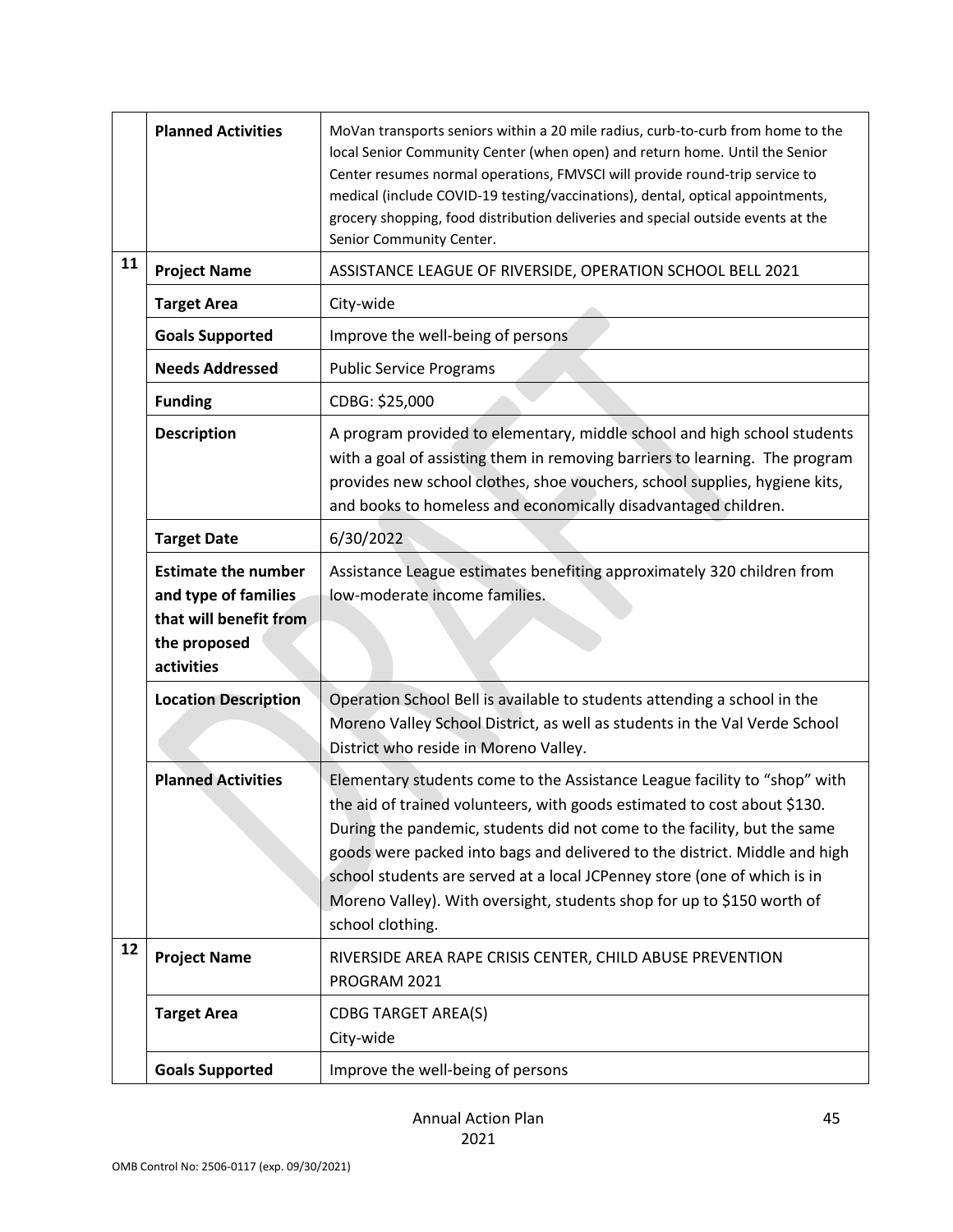|    | <b>Planned Activities</b>                                                                                  | MoVan transports seniors within a 20 mile radius, curb-to-curb from home to the<br>local Senior Community Center (when open) and return home. Until the Senior<br>Center resumes normal operations, FMVSCI will provide round-trip service to<br>medical (include COVID-19 testing/vaccinations), dental, optical appointments,<br>grocery shopping, food distribution deliveries and special outside events at the<br>Senior Community Center.                                           |
|----|------------------------------------------------------------------------------------------------------------|-------------------------------------------------------------------------------------------------------------------------------------------------------------------------------------------------------------------------------------------------------------------------------------------------------------------------------------------------------------------------------------------------------------------------------------------------------------------------------------------|
| 11 | <b>Project Name</b>                                                                                        | ASSISTANCE LEAGUE OF RIVERSIDE, OPERATION SCHOOL BELL 2021                                                                                                                                                                                                                                                                                                                                                                                                                                |
|    | <b>Target Area</b>                                                                                         | City-wide                                                                                                                                                                                                                                                                                                                                                                                                                                                                                 |
|    | <b>Goals Supported</b>                                                                                     | Improve the well-being of persons                                                                                                                                                                                                                                                                                                                                                                                                                                                         |
|    | <b>Needs Addressed</b>                                                                                     | <b>Public Service Programs</b>                                                                                                                                                                                                                                                                                                                                                                                                                                                            |
|    | <b>Funding</b>                                                                                             | CDBG: \$25,000                                                                                                                                                                                                                                                                                                                                                                                                                                                                            |
|    | <b>Description</b>                                                                                         | A program provided to elementary, middle school and high school students<br>with a goal of assisting them in removing barriers to learning. The program<br>provides new school clothes, shoe vouchers, school supplies, hygiene kits,<br>and books to homeless and economically disadvantaged children.                                                                                                                                                                                   |
|    | <b>Target Date</b>                                                                                         | 6/30/2022                                                                                                                                                                                                                                                                                                                                                                                                                                                                                 |
|    | <b>Estimate the number</b><br>and type of families<br>that will benefit from<br>the proposed<br>activities | Assistance League estimates benefiting approximately 320 children from<br>low-moderate income families.                                                                                                                                                                                                                                                                                                                                                                                   |
|    | <b>Location Description</b>                                                                                | Operation School Bell is available to students attending a school in the<br>Moreno Valley School District, as well as students in the Val Verde School<br>District who reside in Moreno Valley.                                                                                                                                                                                                                                                                                           |
|    | <b>Planned Activities</b>                                                                                  | Elementary students come to the Assistance League facility to "shop" with<br>the aid of trained volunteers, with goods estimated to cost about \$130.<br>During the pandemic, students did not come to the facility, but the same<br>goods were packed into bags and delivered to the district. Middle and high<br>school students are served at a local JCPenney store (one of which is in<br>Moreno Valley). With oversight, students shop for up to \$150 worth of<br>school clothing. |
| 12 | <b>Project Name</b>                                                                                        | RIVERSIDE AREA RAPE CRISIS CENTER, CHILD ABUSE PREVENTION<br>PROGRAM 2021                                                                                                                                                                                                                                                                                                                                                                                                                 |
|    | <b>Target Area</b>                                                                                         | <b>CDBG TARGET AREA(S)</b><br>City-wide                                                                                                                                                                                                                                                                                                                                                                                                                                                   |
|    | <b>Goals Supported</b>                                                                                     | Improve the well-being of persons                                                                                                                                                                                                                                                                                                                                                                                                                                                         |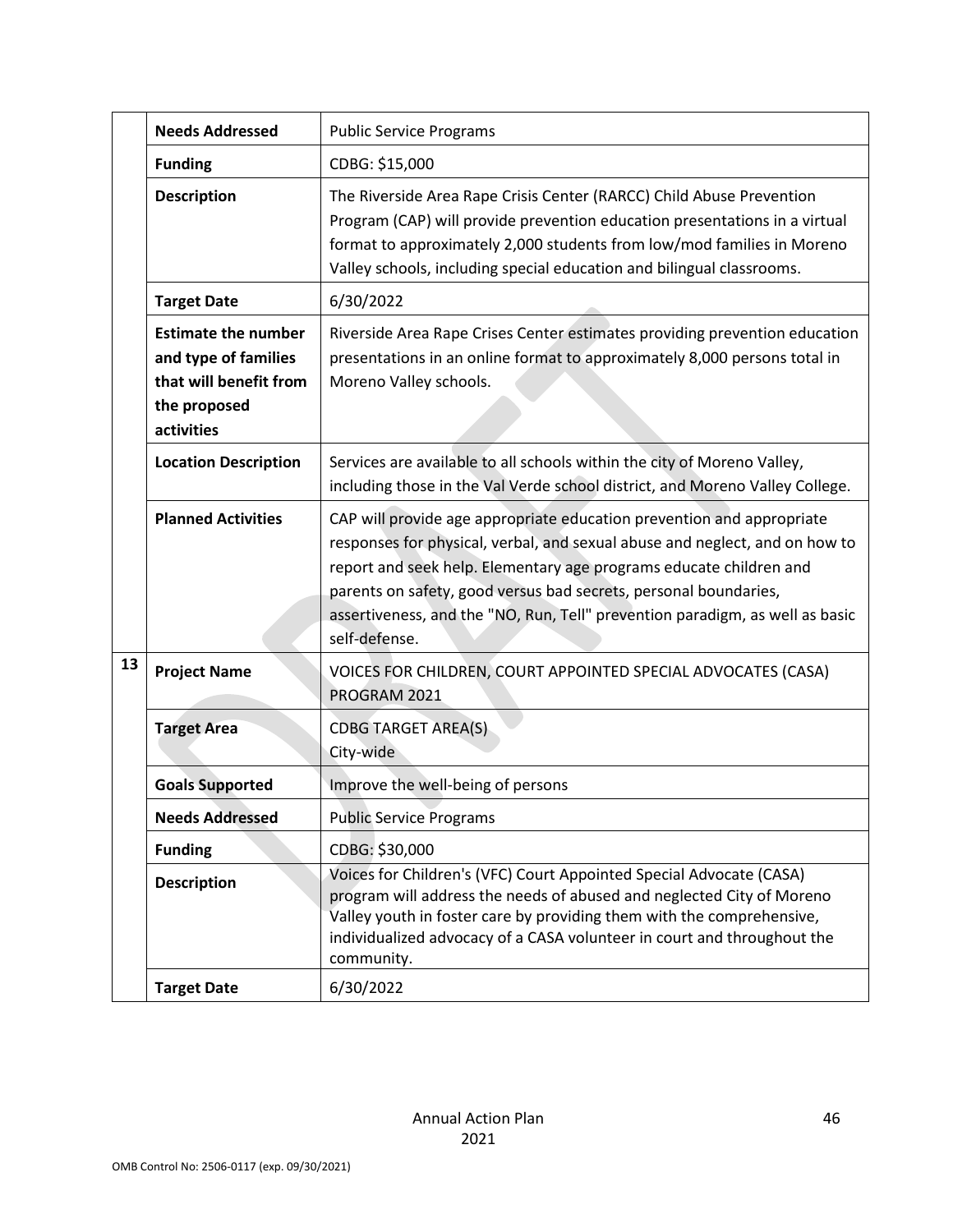|    | <b>Needs Addressed</b>                                                                                     | <b>Public Service Programs</b>                                                                                                                                                                                                                                                                                                                                                                  |
|----|------------------------------------------------------------------------------------------------------------|-------------------------------------------------------------------------------------------------------------------------------------------------------------------------------------------------------------------------------------------------------------------------------------------------------------------------------------------------------------------------------------------------|
|    | <b>Funding</b>                                                                                             | CDBG: \$15,000                                                                                                                                                                                                                                                                                                                                                                                  |
|    | <b>Description</b>                                                                                         | The Riverside Area Rape Crisis Center (RARCC) Child Abuse Prevention<br>Program (CAP) will provide prevention education presentations in a virtual<br>format to approximately 2,000 students from low/mod families in Moreno<br>Valley schools, including special education and bilingual classrooms.                                                                                           |
|    | <b>Target Date</b>                                                                                         | 6/30/2022                                                                                                                                                                                                                                                                                                                                                                                       |
|    | <b>Estimate the number</b><br>and type of families<br>that will benefit from<br>the proposed<br>activities | Riverside Area Rape Crises Center estimates providing prevention education<br>presentations in an online format to approximately 8,000 persons total in<br>Moreno Valley schools.                                                                                                                                                                                                               |
|    | <b>Location Description</b>                                                                                | Services are available to all schools within the city of Moreno Valley,<br>including those in the Val Verde school district, and Moreno Valley College.                                                                                                                                                                                                                                         |
|    | <b>Planned Activities</b>                                                                                  | CAP will provide age appropriate education prevention and appropriate<br>responses for physical, verbal, and sexual abuse and neglect, and on how to<br>report and seek help. Elementary age programs educate children and<br>parents on safety, good versus bad secrets, personal boundaries,<br>assertiveness, and the "NO, Run, Tell" prevention paradigm, as well as basic<br>self-defense. |
| 13 | <b>Project Name</b>                                                                                        | VOICES FOR CHILDREN, COURT APPOINTED SPECIAL ADVOCATES (CASA)<br>PROGRAM 2021                                                                                                                                                                                                                                                                                                                   |
|    | <b>Target Area</b>                                                                                         | <b>CDBG TARGET AREA(S)</b><br>City-wide                                                                                                                                                                                                                                                                                                                                                         |
|    | <b>Goals Supported</b>                                                                                     | Improve the well-being of persons                                                                                                                                                                                                                                                                                                                                                               |
|    | <b>Needs Addressed</b>                                                                                     | <b>Public Service Programs</b>                                                                                                                                                                                                                                                                                                                                                                  |
|    | <b>Funding</b>                                                                                             | CDBG: \$30,000                                                                                                                                                                                                                                                                                                                                                                                  |
|    | <b>Description</b>                                                                                         | Voices for Children's (VFC) Court Appointed Special Advocate (CASA)<br>program will address the needs of abused and neglected City of Moreno<br>Valley youth in foster care by providing them with the comprehensive,<br>individualized advocacy of a CASA volunteer in court and throughout the<br>community.                                                                                  |
|    | <b>Target Date</b>                                                                                         | 6/30/2022                                                                                                                                                                                                                                                                                                                                                                                       |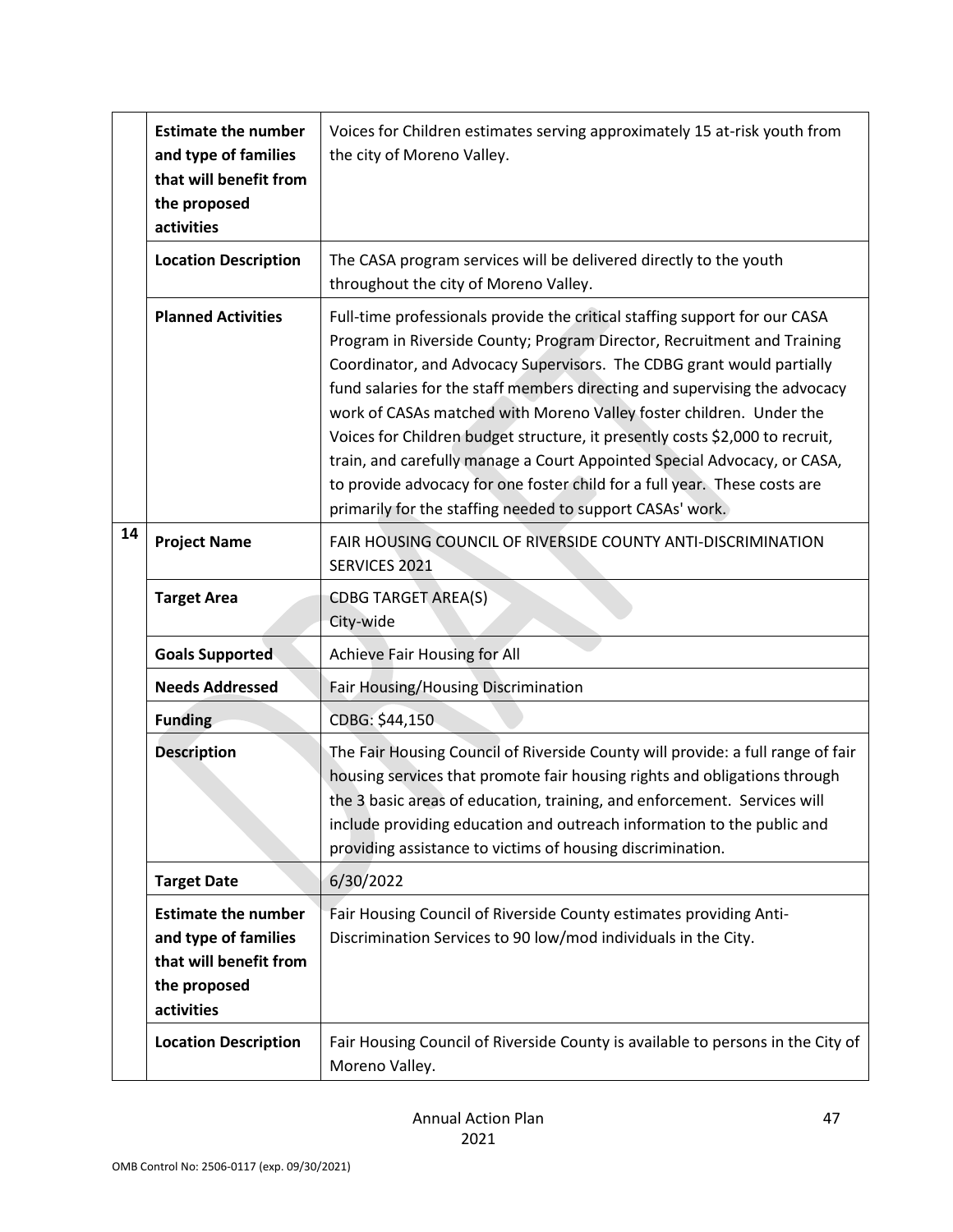|    | <b>Estimate the number</b><br>and type of families<br>that will benefit from<br>the proposed<br>activities | Voices for Children estimates serving approximately 15 at-risk youth from<br>the city of Moreno Valley.                                                                                                                                                                                                                                                                                                                                                                                                                                                                                                                                                                                   |
|----|------------------------------------------------------------------------------------------------------------|-------------------------------------------------------------------------------------------------------------------------------------------------------------------------------------------------------------------------------------------------------------------------------------------------------------------------------------------------------------------------------------------------------------------------------------------------------------------------------------------------------------------------------------------------------------------------------------------------------------------------------------------------------------------------------------------|
|    | <b>Location Description</b>                                                                                | The CASA program services will be delivered directly to the youth<br>throughout the city of Moreno Valley.                                                                                                                                                                                                                                                                                                                                                                                                                                                                                                                                                                                |
|    | <b>Planned Activities</b>                                                                                  | Full-time professionals provide the critical staffing support for our CASA<br>Program in Riverside County; Program Director, Recruitment and Training<br>Coordinator, and Advocacy Supervisors. The CDBG grant would partially<br>fund salaries for the staff members directing and supervising the advocacy<br>work of CASAs matched with Moreno Valley foster children. Under the<br>Voices for Children budget structure, it presently costs \$2,000 to recruit,<br>train, and carefully manage a Court Appointed Special Advocacy, or CASA,<br>to provide advocacy for one foster child for a full year. These costs are<br>primarily for the staffing needed to support CASAs' work. |
| 14 | <b>Project Name</b>                                                                                        | FAIR HOUSING COUNCIL OF RIVERSIDE COUNTY ANTI-DISCRIMINATION<br>SERVICES 2021                                                                                                                                                                                                                                                                                                                                                                                                                                                                                                                                                                                                             |
|    | <b>Target Area</b>                                                                                         | <b>CDBG TARGET AREA(S)</b><br>City-wide                                                                                                                                                                                                                                                                                                                                                                                                                                                                                                                                                                                                                                                   |
|    | <b>Goals Supported</b>                                                                                     | Achieve Fair Housing for All                                                                                                                                                                                                                                                                                                                                                                                                                                                                                                                                                                                                                                                              |
|    | <b>Needs Addressed</b>                                                                                     | Fair Housing/Housing Discrimination                                                                                                                                                                                                                                                                                                                                                                                                                                                                                                                                                                                                                                                       |
|    | <b>Funding</b>                                                                                             | CDBG: \$44,150                                                                                                                                                                                                                                                                                                                                                                                                                                                                                                                                                                                                                                                                            |
|    | <b>Description</b>                                                                                         | The Fair Housing Council of Riverside County will provide: a full range of fair<br>housing services that promote fair housing rights and obligations through<br>the 3 basic areas of education, training, and enforcement. Services will<br>include providing education and outreach information to the public and<br>providing assistance to victims of housing discrimination.                                                                                                                                                                                                                                                                                                          |
|    | <b>Target Date</b>                                                                                         | 6/30/2022                                                                                                                                                                                                                                                                                                                                                                                                                                                                                                                                                                                                                                                                                 |
|    | <b>Estimate the number</b><br>and type of families<br>that will benefit from<br>the proposed<br>activities | Fair Housing Council of Riverside County estimates providing Anti-<br>Discrimination Services to 90 low/mod individuals in the City.                                                                                                                                                                                                                                                                                                                                                                                                                                                                                                                                                      |
|    | <b>Location Description</b>                                                                                | Fair Housing Council of Riverside County is available to persons in the City of<br>Moreno Valley.                                                                                                                                                                                                                                                                                                                                                                                                                                                                                                                                                                                         |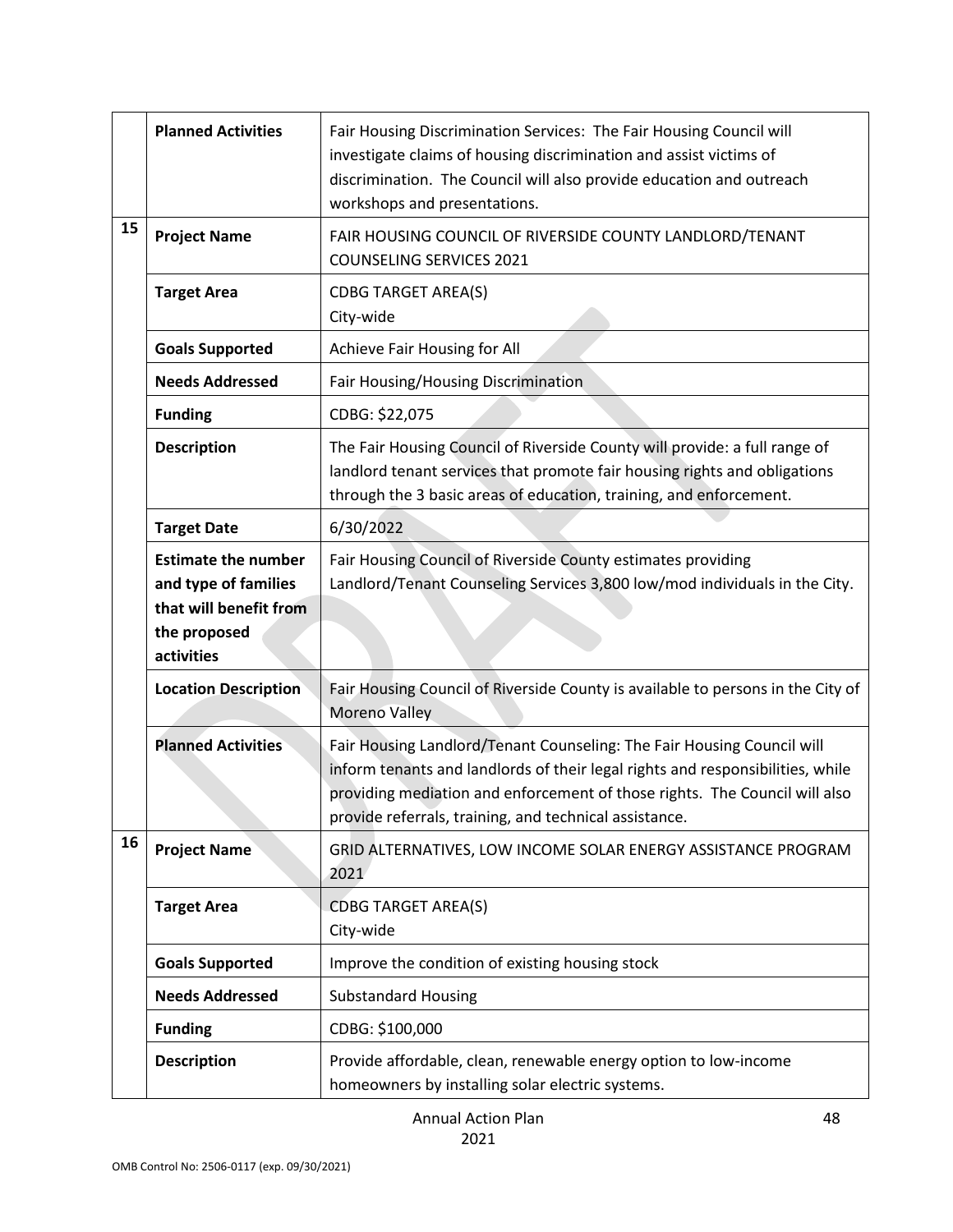|    | <b>Planned Activities</b>                                                                                  | Fair Housing Discrimination Services: The Fair Housing Council will<br>investigate claims of housing discrimination and assist victims of<br>discrimination. The Council will also provide education and outreach<br>workshops and presentations.                                                |
|----|------------------------------------------------------------------------------------------------------------|--------------------------------------------------------------------------------------------------------------------------------------------------------------------------------------------------------------------------------------------------------------------------------------------------|
| 15 | <b>Project Name</b>                                                                                        | FAIR HOUSING COUNCIL OF RIVERSIDE COUNTY LANDLORD/TENANT<br><b>COUNSELING SERVICES 2021</b>                                                                                                                                                                                                      |
|    | <b>Target Area</b>                                                                                         | <b>CDBG TARGET AREA(S)</b><br>City-wide                                                                                                                                                                                                                                                          |
|    | <b>Goals Supported</b>                                                                                     | Achieve Fair Housing for All                                                                                                                                                                                                                                                                     |
|    | <b>Needs Addressed</b>                                                                                     | Fair Housing/Housing Discrimination                                                                                                                                                                                                                                                              |
|    | <b>Funding</b>                                                                                             | CDBG: \$22,075                                                                                                                                                                                                                                                                                   |
|    | <b>Description</b>                                                                                         | The Fair Housing Council of Riverside County will provide: a full range of<br>landlord tenant services that promote fair housing rights and obligations<br>through the 3 basic areas of education, training, and enforcement.                                                                    |
|    | <b>Target Date</b>                                                                                         | 6/30/2022                                                                                                                                                                                                                                                                                        |
|    | <b>Estimate the number</b><br>and type of families<br>that will benefit from<br>the proposed<br>activities | Fair Housing Council of Riverside County estimates providing<br>Landlord/Tenant Counseling Services 3,800 low/mod individuals in the City.                                                                                                                                                       |
|    | <b>Location Description</b>                                                                                | Fair Housing Council of Riverside County is available to persons in the City of<br>Moreno Valley                                                                                                                                                                                                 |
|    | <b>Planned Activities</b>                                                                                  | Fair Housing Landlord/Tenant Counseling: The Fair Housing Council will<br>inform tenants and landlords of their legal rights and responsibilities, while<br>providing mediation and enforcement of those rights. The Council will also<br>provide referrals, training, and technical assistance. |
| 16 | <b>Project Name</b>                                                                                        | GRID ALTERNATIVES, LOW INCOME SOLAR ENERGY ASSISTANCE PROGRAM<br>2021                                                                                                                                                                                                                            |
|    | <b>Target Area</b>                                                                                         | <b>CDBG TARGET AREA(S)</b><br>City-wide                                                                                                                                                                                                                                                          |
|    | <b>Goals Supported</b>                                                                                     | Improve the condition of existing housing stock                                                                                                                                                                                                                                                  |
|    | <b>Needs Addressed</b>                                                                                     | <b>Substandard Housing</b>                                                                                                                                                                                                                                                                       |
|    | <b>Funding</b>                                                                                             | CDBG: \$100,000                                                                                                                                                                                                                                                                                  |
|    | <b>Description</b>                                                                                         | Provide affordable, clean, renewable energy option to low-income<br>homeowners by installing solar electric systems.                                                                                                                                                                             |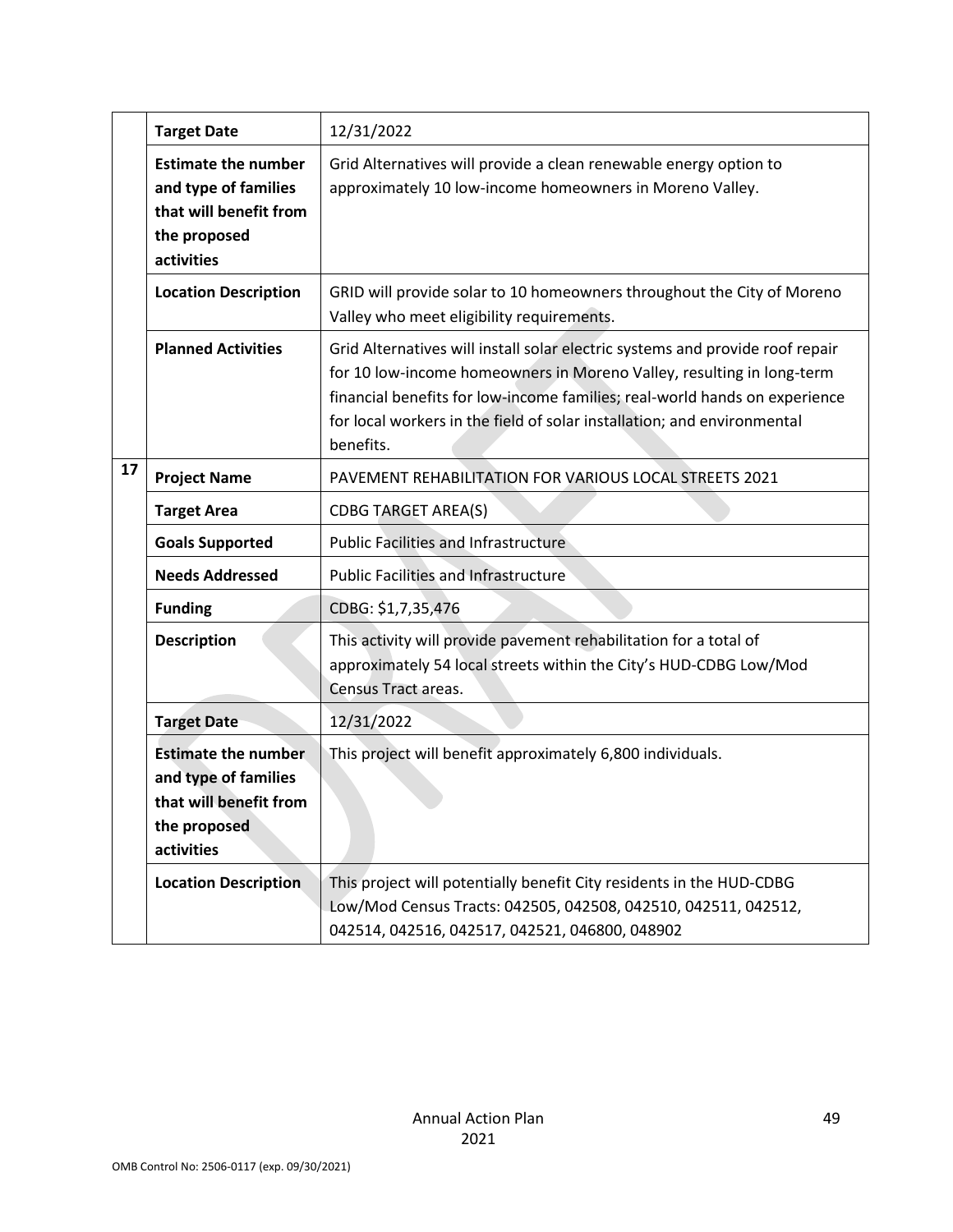|    | <b>Target Date</b>                                                                                         | 12/31/2022                                                                                                                                                                                                                                                                                                                   |
|----|------------------------------------------------------------------------------------------------------------|------------------------------------------------------------------------------------------------------------------------------------------------------------------------------------------------------------------------------------------------------------------------------------------------------------------------------|
|    | <b>Estimate the number</b><br>and type of families<br>that will benefit from<br>the proposed<br>activities | Grid Alternatives will provide a clean renewable energy option to<br>approximately 10 low-income homeowners in Moreno Valley.                                                                                                                                                                                                |
|    | <b>Location Description</b>                                                                                | GRID will provide solar to 10 homeowners throughout the City of Moreno<br>Valley who meet eligibility requirements.                                                                                                                                                                                                          |
|    | <b>Planned Activities</b>                                                                                  | Grid Alternatives will install solar electric systems and provide roof repair<br>for 10 low-income homeowners in Moreno Valley, resulting in long-term<br>financial benefits for low-income families; real-world hands on experience<br>for local workers in the field of solar installation; and environmental<br>benefits. |
| 17 | <b>Project Name</b>                                                                                        | PAVEMENT REHABILITATION FOR VARIOUS LOCAL STREETS 2021                                                                                                                                                                                                                                                                       |
|    | <b>Target Area</b>                                                                                         | <b>CDBG TARGET AREA(S)</b>                                                                                                                                                                                                                                                                                                   |
|    | <b>Goals Supported</b>                                                                                     | <b>Public Facilities and Infrastructure</b>                                                                                                                                                                                                                                                                                  |
|    | <b>Needs Addressed</b>                                                                                     | <b>Public Facilities and Infrastructure</b>                                                                                                                                                                                                                                                                                  |
|    | <b>Funding</b>                                                                                             | CDBG: \$1,7,35,476                                                                                                                                                                                                                                                                                                           |
|    | <b>Description</b>                                                                                         | This activity will provide pavement rehabilitation for a total of<br>approximately 54 local streets within the City's HUD-CDBG Low/Mod<br>Census Tract areas.                                                                                                                                                                |
|    | <b>Target Date</b>                                                                                         | 12/31/2022                                                                                                                                                                                                                                                                                                                   |
|    | <b>Estimate the number</b><br>and type of families<br>that will benefit from<br>the proposed<br>activities | This project will benefit approximately 6,800 individuals.                                                                                                                                                                                                                                                                   |
|    | <b>Location Description</b>                                                                                | This project will potentially benefit City residents in the HUD-CDBG<br>Low/Mod Census Tracts: 042505, 042508, 042510, 042511, 042512,<br>042514, 042516, 042517, 042521, 046800, 048902                                                                                                                                     |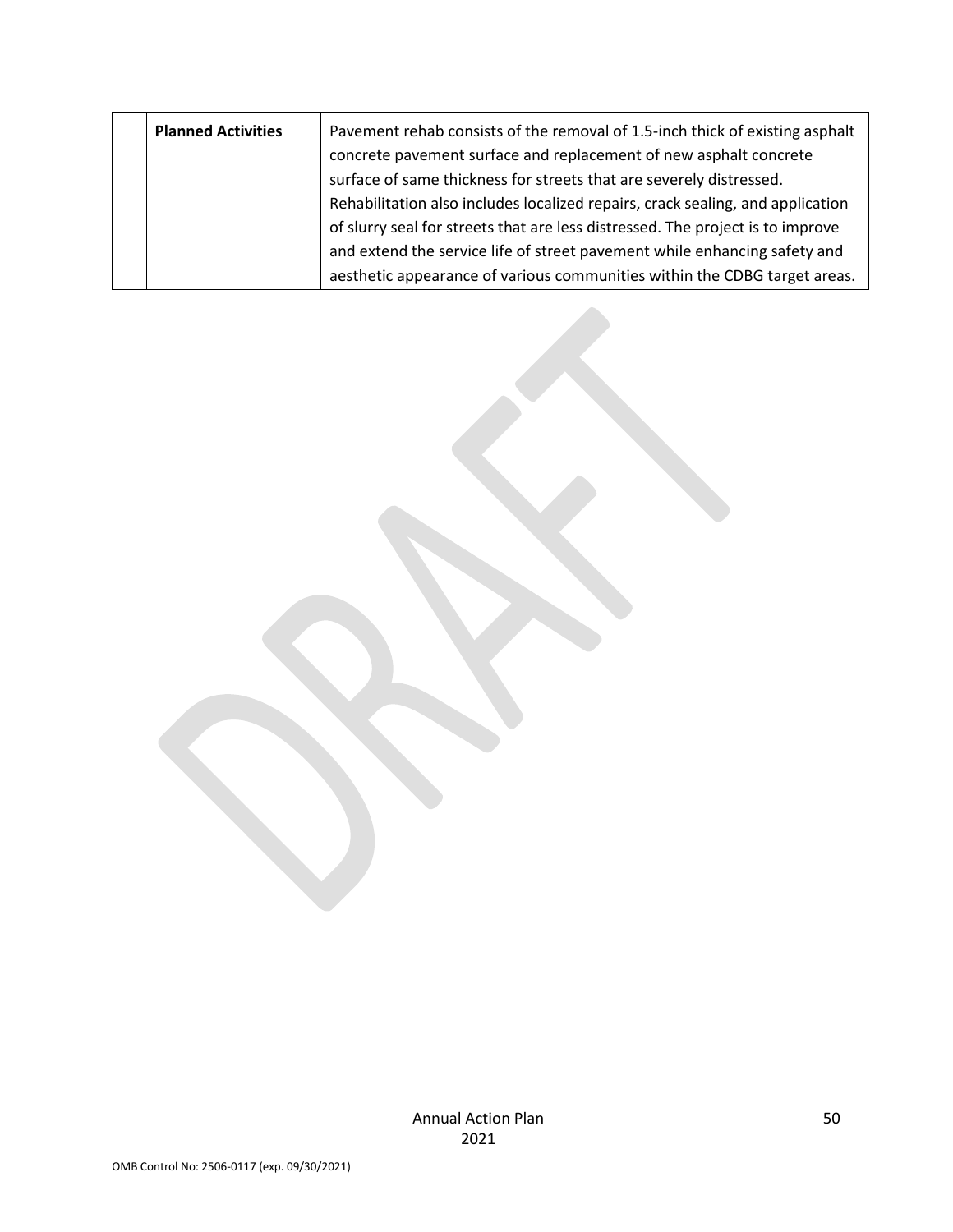| <b>Planned Activities</b> |  | Pavement rehab consists of the removal of 1.5-inch thick of existing asphalt<br>concrete pavement surface and replacement of new asphalt concrete |
|---------------------------|--|---------------------------------------------------------------------------------------------------------------------------------------------------|
|                           |  | surface of same thickness for streets that are severely distressed.                                                                               |
|                           |  | Rehabilitation also includes localized repairs, crack sealing, and application                                                                    |
|                           |  | of slurry seal for streets that are less distressed. The project is to improve                                                                    |
|                           |  | and extend the service life of street pavement while enhancing safety and                                                                         |
|                           |  | aesthetic appearance of various communities within the CDBG target areas.                                                                         |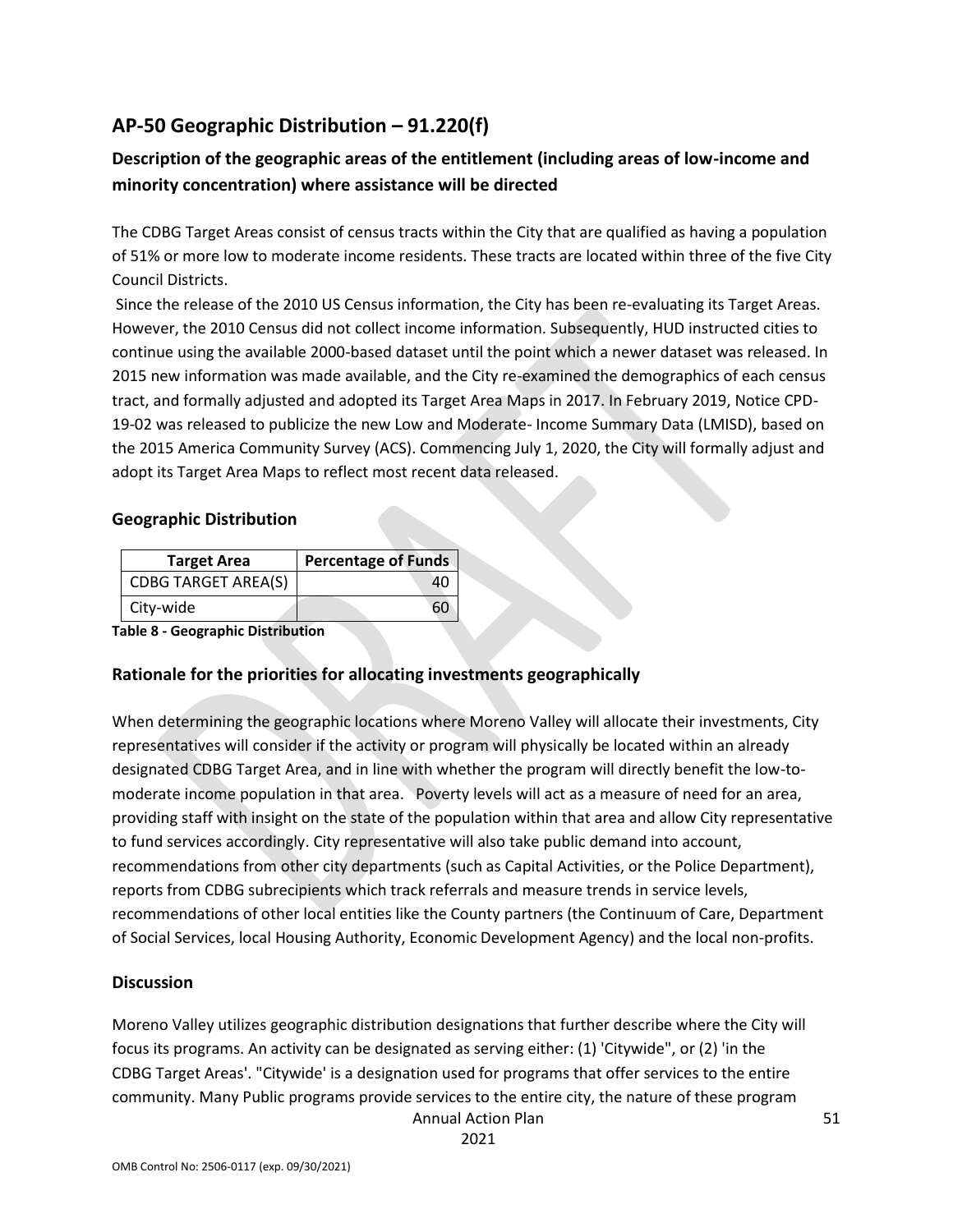## **AP-50 Geographic Distribution – 91.220(f)**

### **Description of the geographic areas of the entitlement (including areas of low-income and minority concentration) where assistance will be directed**

The CDBG Target Areas consist of census tracts within the City that are qualified as having a population of 51% or more low to moderate income residents. These tracts are located within three of the five City Council Districts.

Since the release of the 2010 US Census information, the City has been re-evaluating its Target Areas. However, the 2010 Census did not collect income information. Subsequently, HUD instructed cities to continue using the available 2000-based dataset until the point which a newer dataset was released. In 2015 new information was made available, and the City re-examined the demographics of each census tract, and formally adjusted and adopted its Target Area Maps in 2017. In February 2019, Notice CPD-19-02 was released to publicize the new Low and Moderate- Income Summary Data (LMISD), based on the 2015 America Community Survey (ACS). Commencing July 1, 2020, the City will formally adjust and adopt its Target Area Maps to reflect most recent data released.

#### **Geographic Distribution**

| <b>Target Area</b>         | <b>Percentage of Funds</b> |
|----------------------------|----------------------------|
| <b>CDBG TARGET AREA(S)</b> |                            |
| City-wide                  |                            |

**Table 8 - Geographic Distribution** 

#### **Rationale for the priorities for allocating investments geographically**

When determining the geographic locations where Moreno Valley will allocate their investments, City representatives will consider if the activity or program will physically be located within an already designated CDBG Target Area, and in line with whether the program will directly benefit the low-tomoderate income population in that area. Poverty levels will act as a measure of need for an area, providing staff with insight on the state of the population within that area and allow City representative to fund services accordingly. City representative will also take public demand into account, recommendations from other city departments (such as Capital Activities, or the Police Department), reports from CDBG subrecipients which track referrals and measure trends in service levels, recommendations of other local entities like the County partners (the Continuum of Care, Department of Social Services, local Housing Authority, Economic Development Agency) and the local non-profits.

#### **Discussion**

Annual Action Plan Moreno Valley utilizes geographic distribution designations that further describe where the City will focus its programs. An activity can be designated as serving either: (1) 'Citywide", or (2) 'in the CDBG Target Areas'. "Citywide' is a designation used for programs that offer services to the entire community. Many Public programs provide services to the entire city, the nature of these program

2021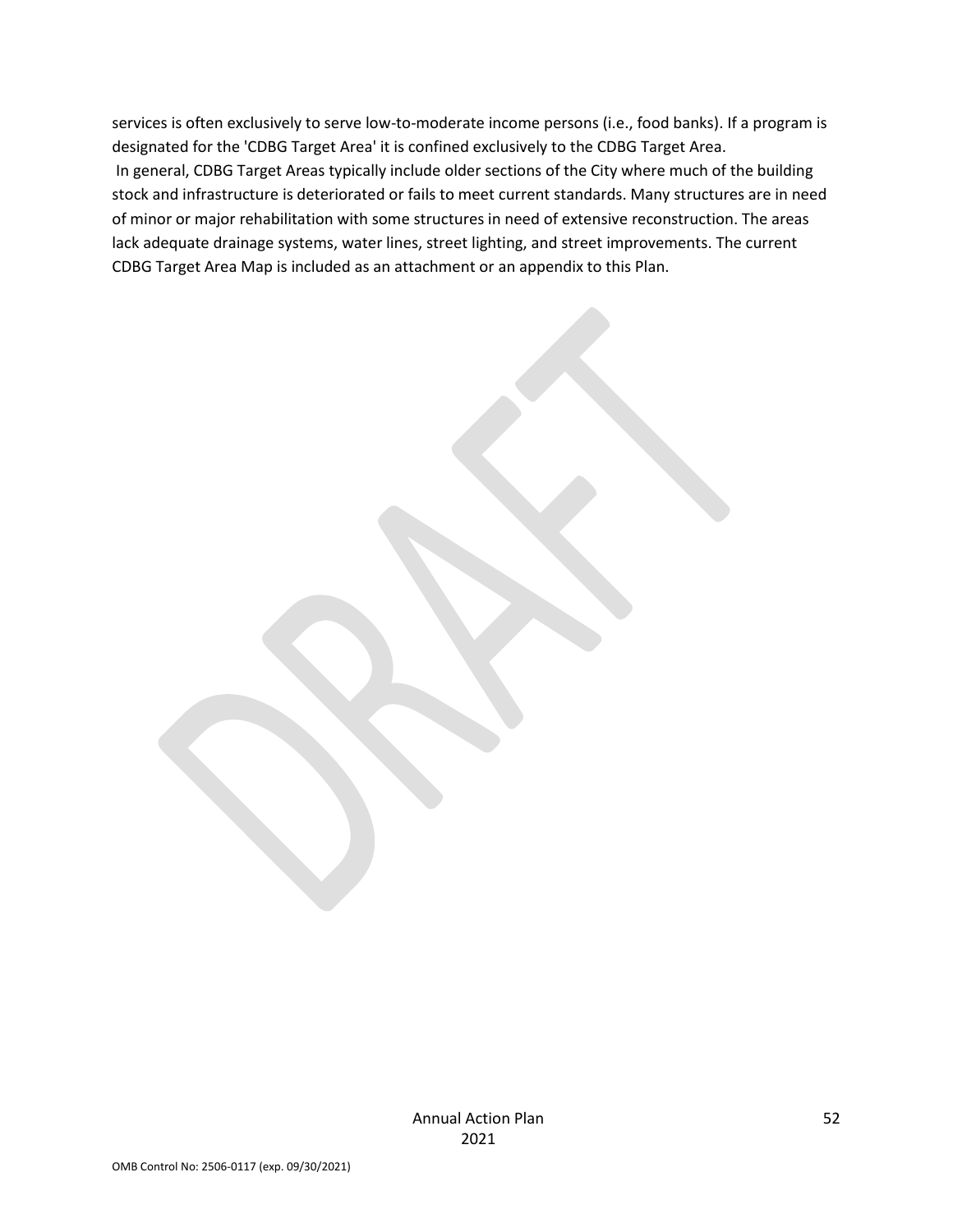services is often exclusively to serve low-to-moderate income persons (i.e., food banks). If a program is designated for the 'CDBG Target Area' it is confined exclusively to the CDBG Target Area. In general, CDBG Target Areas typically include older sections of the City where much of the building stock and infrastructure is deteriorated or fails to meet current standards. Many structures are in need of minor or major rehabilitation with some structures in need of extensive reconstruction. The areas lack adequate drainage systems, water lines, street lighting, and street improvements. The current CDBG Target Area Map is included as an attachment or an appendix to this Plan.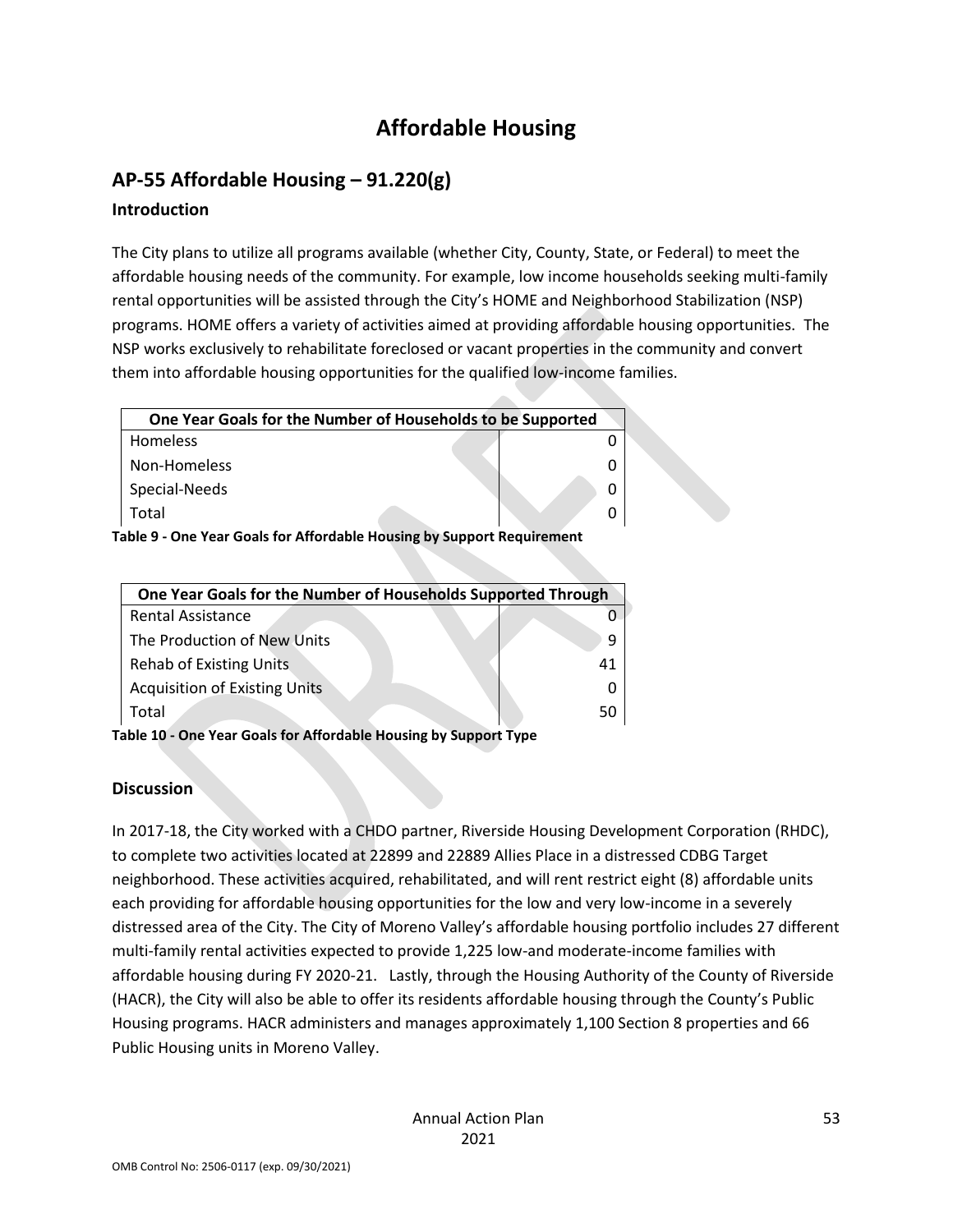# **Affordable Housing**

## **AP-55 Affordable Housing – 91.220(g)**

### **Introduction**

The City plans to utilize all programs available (whether City, County, State, or Federal) to meet the affordable housing needs of the community. For example, low income households seeking multi-family rental opportunities will be assisted through the City's HOME and Neighborhood Stabilization (NSP) programs. HOME offers a variety of activities aimed at providing affordable housing opportunities. The NSP works exclusively to rehabilitate foreclosed or vacant properties in the community and convert them into affordable housing opportunities for the qualified low-income families.

| One Year Goals for the Number of Households to be Supported |  |
|-------------------------------------------------------------|--|
| <b>Homeless</b>                                             |  |
| Non-Homeless                                                |  |
| Special-Needs                                               |  |
| Total                                                       |  |

**Table 9 - One Year Goals for Affordable Housing by Support Requirement**

| One Year Goals for the Number of Households Supported Through |    |  |  |  |  |
|---------------------------------------------------------------|----|--|--|--|--|
| <b>Rental Assistance</b>                                      |    |  |  |  |  |
| The Production of New Units                                   |    |  |  |  |  |
| <b>Rehab of Existing Units</b>                                | 41 |  |  |  |  |
| <b>Acquisition of Existing Units</b>                          |    |  |  |  |  |
| Total                                                         | 50 |  |  |  |  |
|                                                               |    |  |  |  |  |

**Table 10 - One Year Goals for Affordable Housing by Support Type**

### **Discussion**

In 2017-18, the City worked with a CHDO partner, Riverside Housing Development Corporation (RHDC), to complete two activities located at 22899 and 22889 Allies Place in a distressed CDBG Target neighborhood. These activities acquired, rehabilitated, and will rent restrict eight (8) affordable units each providing for affordable housing opportunities for the low and very low-income in a severely distressed area of the City. The City of Moreno Valley's affordable housing portfolio includes 27 different multi-family rental activities expected to provide 1,225 low-and moderate-income families with affordable housing during FY 2020-21. Lastly, through the Housing Authority of the County of Riverside (HACR), the City will also be able to offer its residents affordable housing through the County's Public Housing programs. HACR administers and manages approximately 1,100 Section 8 properties and 66 Public Housing units in Moreno Valley.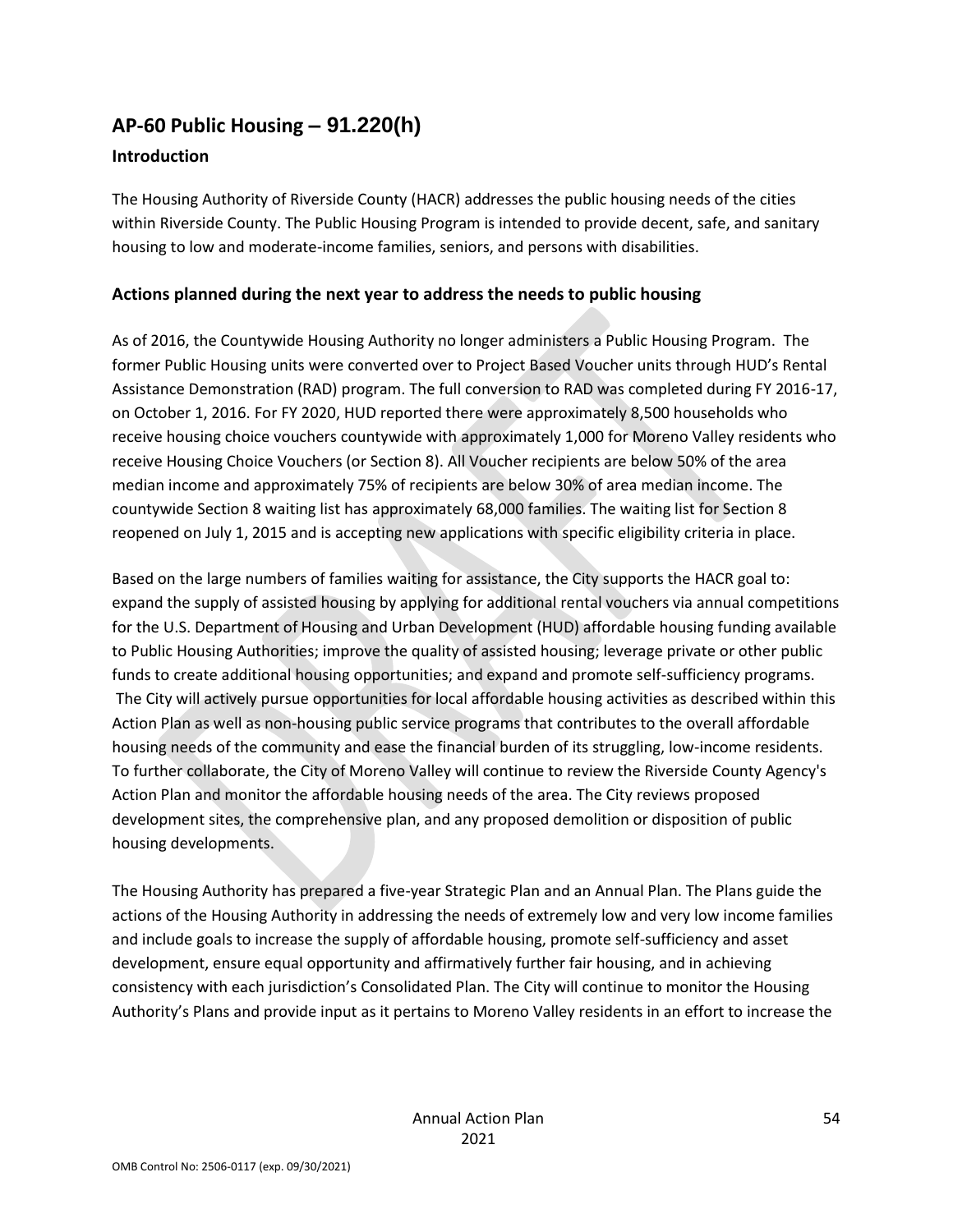## **AP-60 Public Housing** *–* **91.220(h)**

#### **Introduction**

The Housing Authority of Riverside County (HACR) addresses the public housing needs of the cities within Riverside County. The Public Housing Program is intended to provide decent, safe, and sanitary housing to low and moderate-income families, seniors, and persons with disabilities.

#### **Actions planned during the next year to address the needs to public housing**

As of 2016, the Countywide Housing Authority no longer administers a Public Housing Program. The former Public Housing units were converted over to Project Based Voucher units through HUD's Rental Assistance Demonstration (RAD) program. The full conversion to RAD was completed during FY 2016-17, on October 1, 2016. For FY 2020, HUD reported there were approximately 8,500 households who receive housing choice vouchers countywide with approximately 1,000 for Moreno Valley residents who receive Housing Choice Vouchers (or Section 8). All Voucher recipients are below 50% of the area median income and approximately 75% of recipients are below 30% of area median income. The countywide Section 8 waiting list has approximately 68,000 families. The waiting list for Section 8 reopened on July 1, 2015 and is accepting new applications with specific eligibility criteria in place.

Based on the large numbers of families waiting for assistance, the City supports the HACR goal to: expand the supply of assisted housing by applying for additional rental vouchers via annual competitions for the U.S. Department of Housing and Urban Development (HUD) affordable housing funding available to Public Housing Authorities; improve the quality of assisted housing; leverage private or other public funds to create additional housing opportunities; and expand and promote self-sufficiency programs. The City will actively pursue opportunities for local affordable housing activities as described within this Action Plan as well as non-housing public service programs that contributes to the overall affordable housing needs of the community and ease the financial burden of its struggling, low-income residents. To further collaborate, the City of Moreno Valley will continue to review the Riverside County Agency's Action Plan and monitor the affordable housing needs of the area. The City reviews proposed development sites, the comprehensive plan, and any proposed demolition or disposition of public housing developments.

The Housing Authority has prepared a five-year Strategic Plan and an Annual Plan. The Plans guide the actions of the Housing Authority in addressing the needs of extremely low and very low income families and include goals to increase the supply of affordable housing, promote self-sufficiency and asset development, ensure equal opportunity and affirmatively further fair housing, and in achieving consistency with each jurisdiction's Consolidated Plan. The City will continue to monitor the Housing Authority's Plans and provide input as it pertains to Moreno Valley residents in an effort to increase the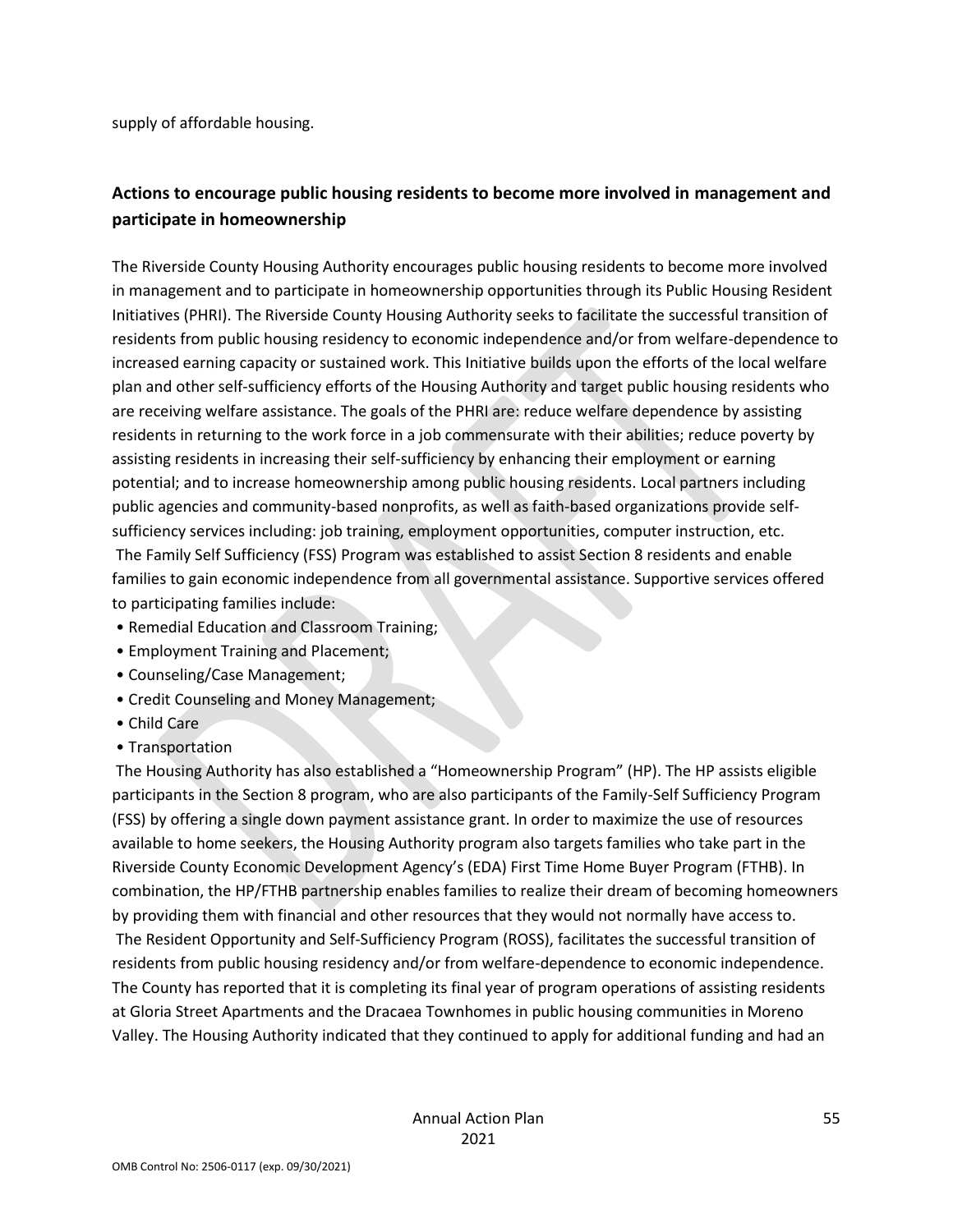supply of affordable housing.

### **Actions to encourage public housing residents to become more involved in management and participate in homeownership**

The Riverside County Housing Authority encourages public housing residents to become more involved in management and to participate in homeownership opportunities through its Public Housing Resident Initiatives (PHRI). The Riverside County Housing Authority seeks to facilitate the successful transition of residents from public housing residency to economic independence and/or from welfare-dependence to increased earning capacity or sustained work. This Initiative builds upon the efforts of the local welfare plan and other self-sufficiency efforts of the Housing Authority and target public housing residents who are receiving welfare assistance. The goals of the PHRI are: reduce welfare dependence by assisting residents in returning to the work force in a job commensurate with their abilities; reduce poverty by assisting residents in increasing their self-sufficiency by enhancing their employment or earning potential; and to increase homeownership among public housing residents. Local partners including public agencies and community-based nonprofits, as well as faith-based organizations provide selfsufficiency services including: job training, employment opportunities, computer instruction, etc. The Family Self Sufficiency (FSS) Program was established to assist Section 8 residents and enable families to gain economic independence from all governmental assistance. Supportive services offered

to participating families include:

- Remedial Education and Classroom Training;
- Employment Training and Placement;
- Counseling/Case Management;
- Credit Counseling and Money Management;
- Child Care
- Transportation

The Housing Authority has also established a "Homeownership Program" (HP). The HP assists eligible participants in the Section 8 program, who are also participants of the Family-Self Sufficiency Program (FSS) by offering a single down payment assistance grant. In order to maximize the use of resources available to home seekers, the Housing Authority program also targets families who take part in the Riverside County Economic Development Agency's (EDA) First Time Home Buyer Program (FTHB). In combination, the HP/FTHB partnership enables families to realize their dream of becoming homeowners by providing them with financial and other resources that they would not normally have access to.

The Resident Opportunity and Self-Sufficiency Program (ROSS), facilitates the successful transition of residents from public housing residency and/or from welfare-dependence to economic independence. The County has reported that it is completing its final year of program operations of assisting residents at Gloria Street Apartments and the Dracaea Townhomes in public housing communities in Moreno Valley. The Housing Authority indicated that they continued to apply for additional funding and had an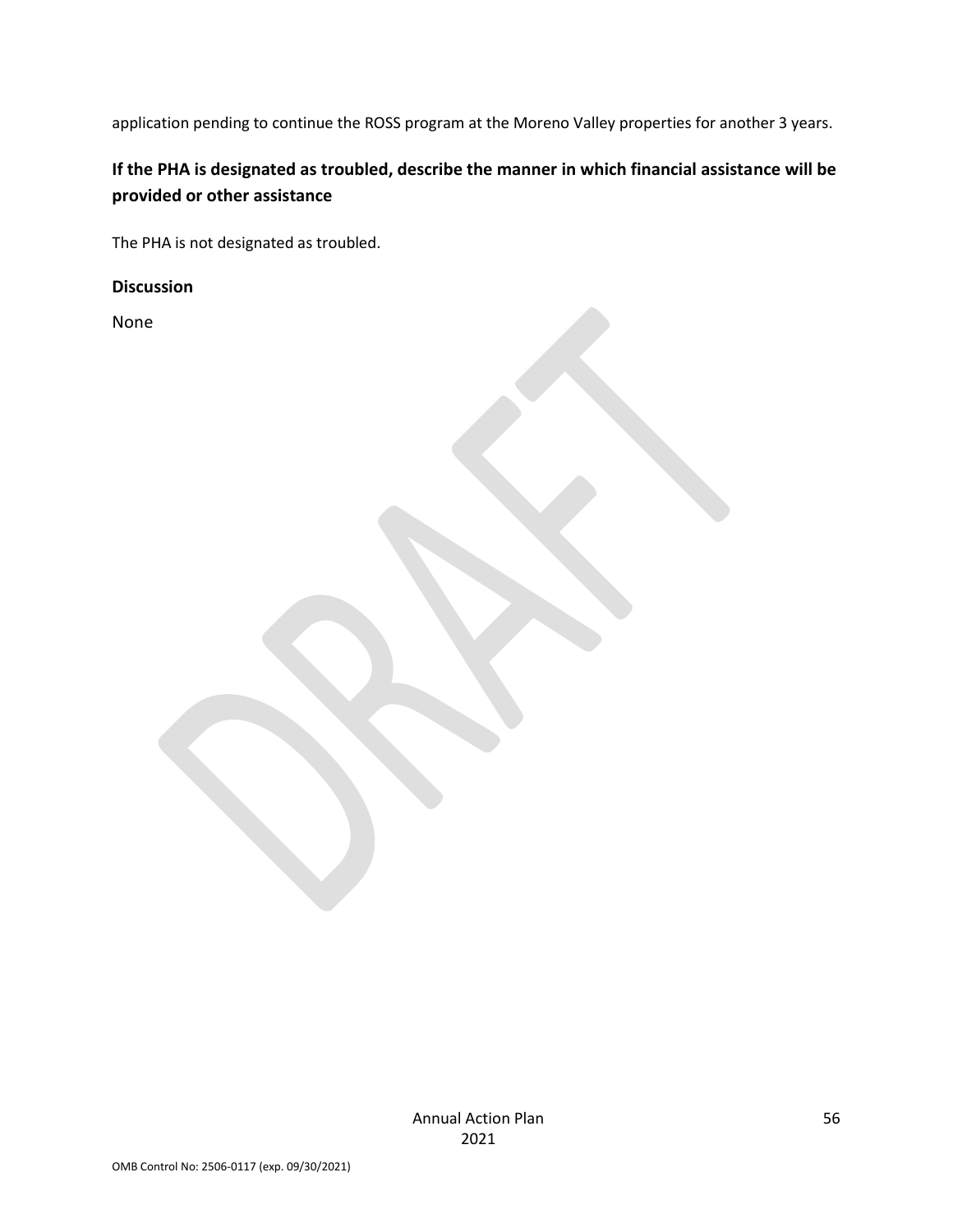application pending to continue the ROSS program at the Moreno Valley properties for another 3 years.

## **If the PHA is designated as troubled, describe the manner in which financial assistance will be provided or other assistance**

The PHA is not designated as troubled.

**Discussion**

None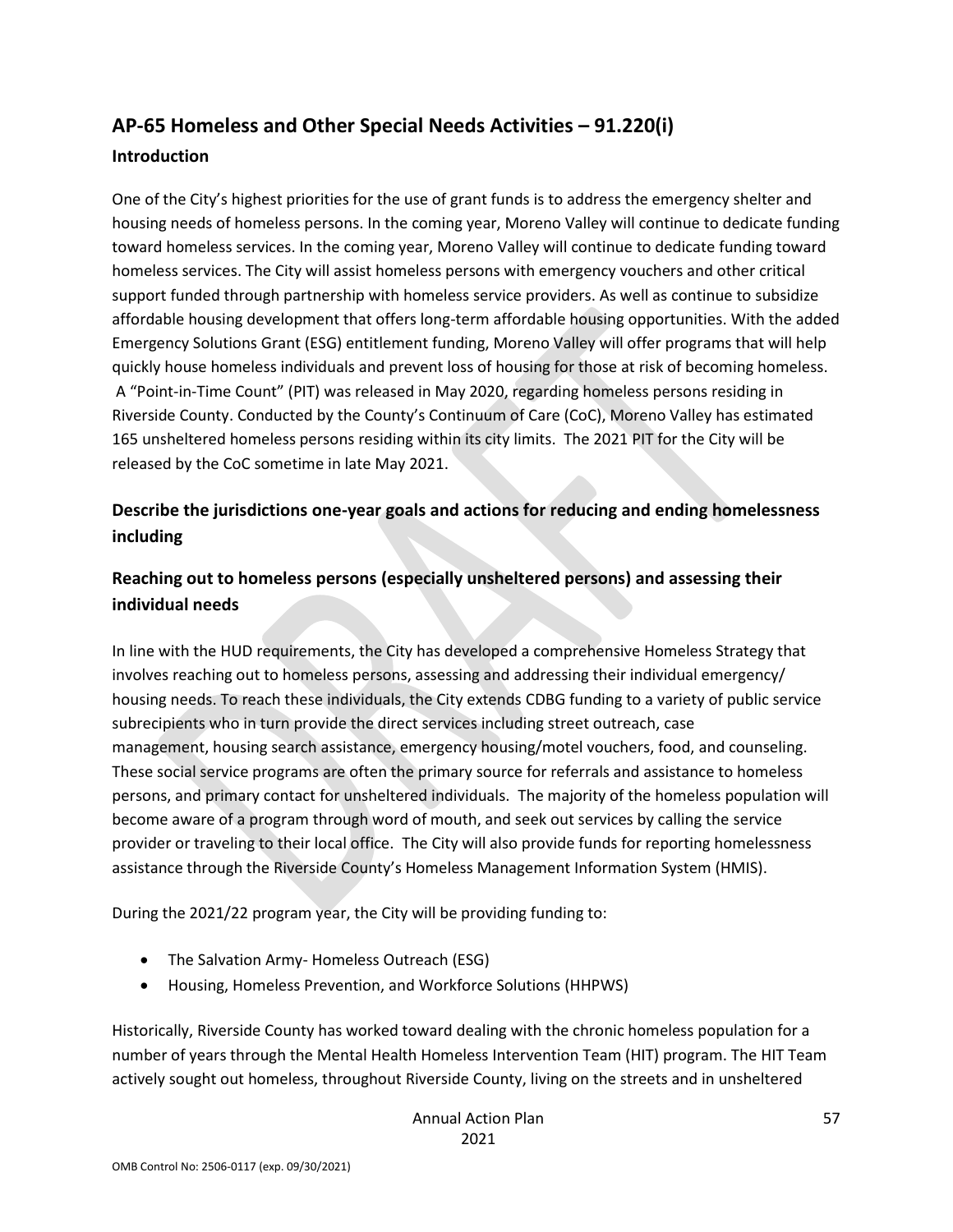# **AP-65 Homeless and Other Special Needs Activities – 91.220(i)**

#### **Introduction**

One of the City's highest priorities for the use of grant funds is to address the emergency shelter and housing needs of homeless persons. In the coming year, Moreno Valley will continue to dedicate funding toward homeless services. In the coming year, Moreno Valley will continue to dedicate funding toward homeless services. The City will assist homeless persons with emergency vouchers and other critical support funded through partnership with homeless service providers. As well as continue to subsidize affordable housing development that offers long-term affordable housing opportunities. With the added Emergency Solutions Grant (ESG) entitlement funding, Moreno Valley will offer programs that will help quickly house homeless individuals and prevent loss of housing for those at risk of becoming homeless. A "Point-in-Time Count" (PIT) was released in May 2020, regarding homeless persons residing in Riverside County. Conducted by the County's Continuum of Care (CoC), Moreno Valley has estimated 165 unsheltered homeless persons residing within its city limits. The 2021 PIT for the City will be released by the CoC sometime in late May 2021.

### **Describe the jurisdictions one-year goals and actions for reducing and ending homelessness including**

## **Reaching out to homeless persons (especially unsheltered persons) and assessing their individual needs**

In line with the HUD requirements, the City has developed a comprehensive Homeless Strategy that involves reaching out to homeless persons, assessing and addressing their individual emergency/ housing needs. To reach these individuals, the City extends CDBG funding to a variety of public service subrecipients who in turn provide the direct services including street outreach, case management, housing search assistance, emergency housing/motel vouchers, food, and counseling. These social service programs are often the primary source for referrals and assistance to homeless persons, and primary contact for unsheltered individuals. The majority of the homeless population will become aware of a program through word of mouth, and seek out services by calling the service provider or traveling to their local office. The City will also provide funds for reporting homelessness assistance through the Riverside County's Homeless Management Information System (HMIS).

During the 2021/22 program year, the City will be providing funding to:

- The Salvation Army- Homeless Outreach (ESG)
- Housing, Homeless Prevention, and Workforce Solutions (HHPWS)

Historically, Riverside County has worked toward dealing with the chronic homeless population for a number of years through the Mental Health Homeless Intervention Team (HIT) program. The HIT Team actively sought out homeless, throughout Riverside County, living on the streets and in unsheltered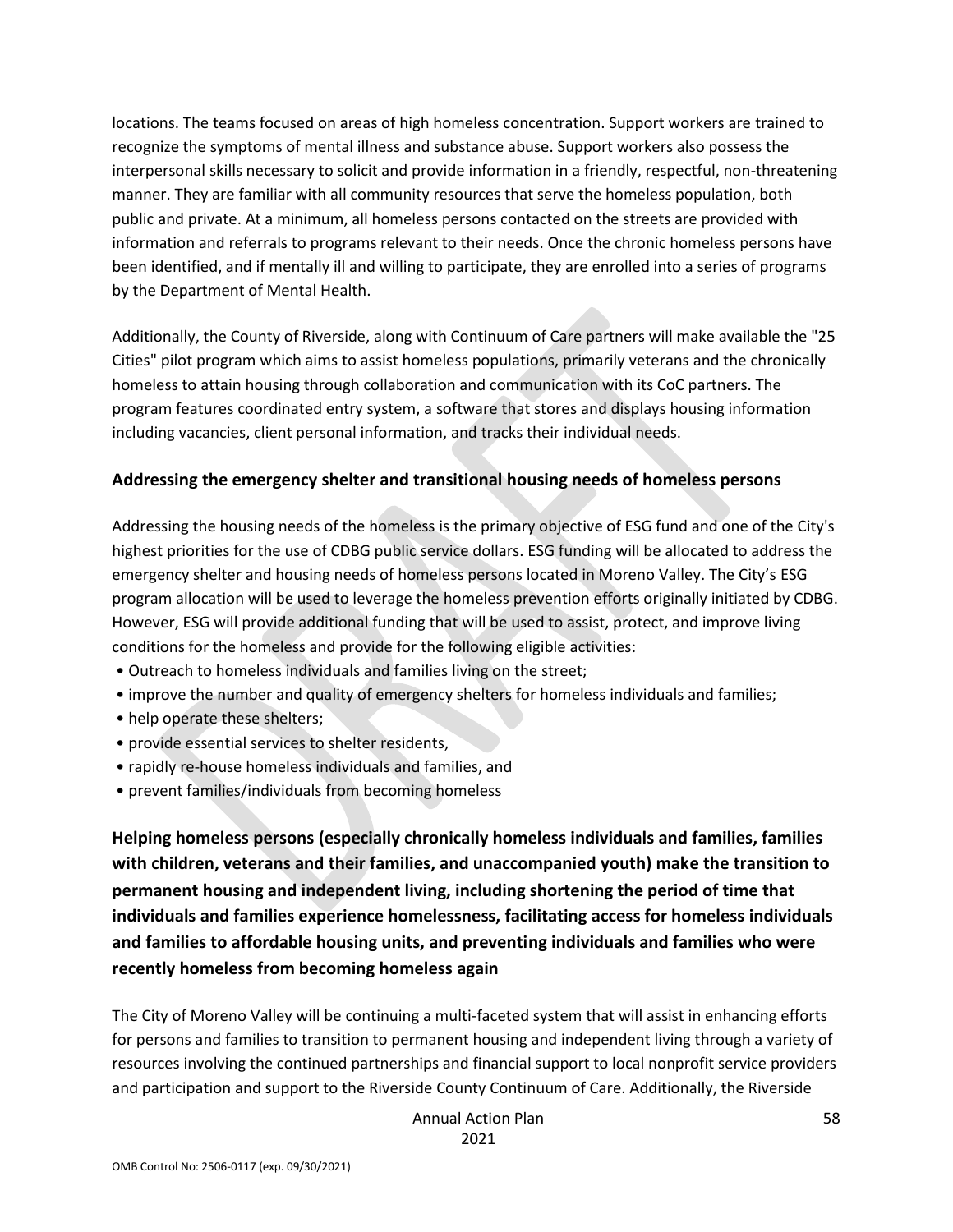locations. The teams focused on areas of high homeless concentration. Support workers are trained to recognize the symptoms of mental illness and substance abuse. Support workers also possess the interpersonal skills necessary to solicit and provide information in a friendly, respectful, non-threatening manner. They are familiar with all community resources that serve the homeless population, both public and private. At a minimum, all homeless persons contacted on the streets are provided with information and referrals to programs relevant to their needs. Once the chronic homeless persons have been identified, and if mentally ill and willing to participate, they are enrolled into a series of programs by the Department of Mental Health.

Additionally, the County of Riverside, along with Continuum of Care partners will make available the "25 Cities" pilot program which aims to assist homeless populations, primarily veterans and the chronically homeless to attain housing through collaboration and communication with its CoC partners. The program features coordinated entry system, a software that stores and displays housing information including vacancies, client personal information, and tracks their individual needs.

#### **Addressing the emergency shelter and transitional housing needs of homeless persons**

Addressing the housing needs of the homeless is the primary objective of ESG fund and one of the City's highest priorities for the use of CDBG public service dollars. ESG funding will be allocated to address the emergency shelter and housing needs of homeless persons located in Moreno Valley. The City's ESG program allocation will be used to leverage the homeless prevention efforts originally initiated by CDBG. However, ESG will provide additional funding that will be used to assist, protect, and improve living conditions for the homeless and provide for the following eligible activities:

- Outreach to homeless individuals and families living on the street;
- improve the number and quality of emergency shelters for homeless individuals and families;
- help operate these shelters;
- provide essential services to shelter residents,
- rapidly re-house homeless individuals and families, and
- prevent families/individuals from becoming homeless

**Helping homeless persons (especially chronically homeless individuals and families, families with children, veterans and their families, and unaccompanied youth) make the transition to permanent housing and independent living, including shortening the period of time that individuals and families experience homelessness, facilitating access for homeless individuals and families to affordable housing units, and preventing individuals and families who were recently homeless from becoming homeless again**

The City of Moreno Valley will be continuing a multi-faceted system that will assist in enhancing efforts for persons and families to transition to permanent housing and independent living through a variety of resources involving the continued partnerships and financial support to local nonprofit service providers and participation and support to the Riverside County Continuum of Care. Additionally, the Riverside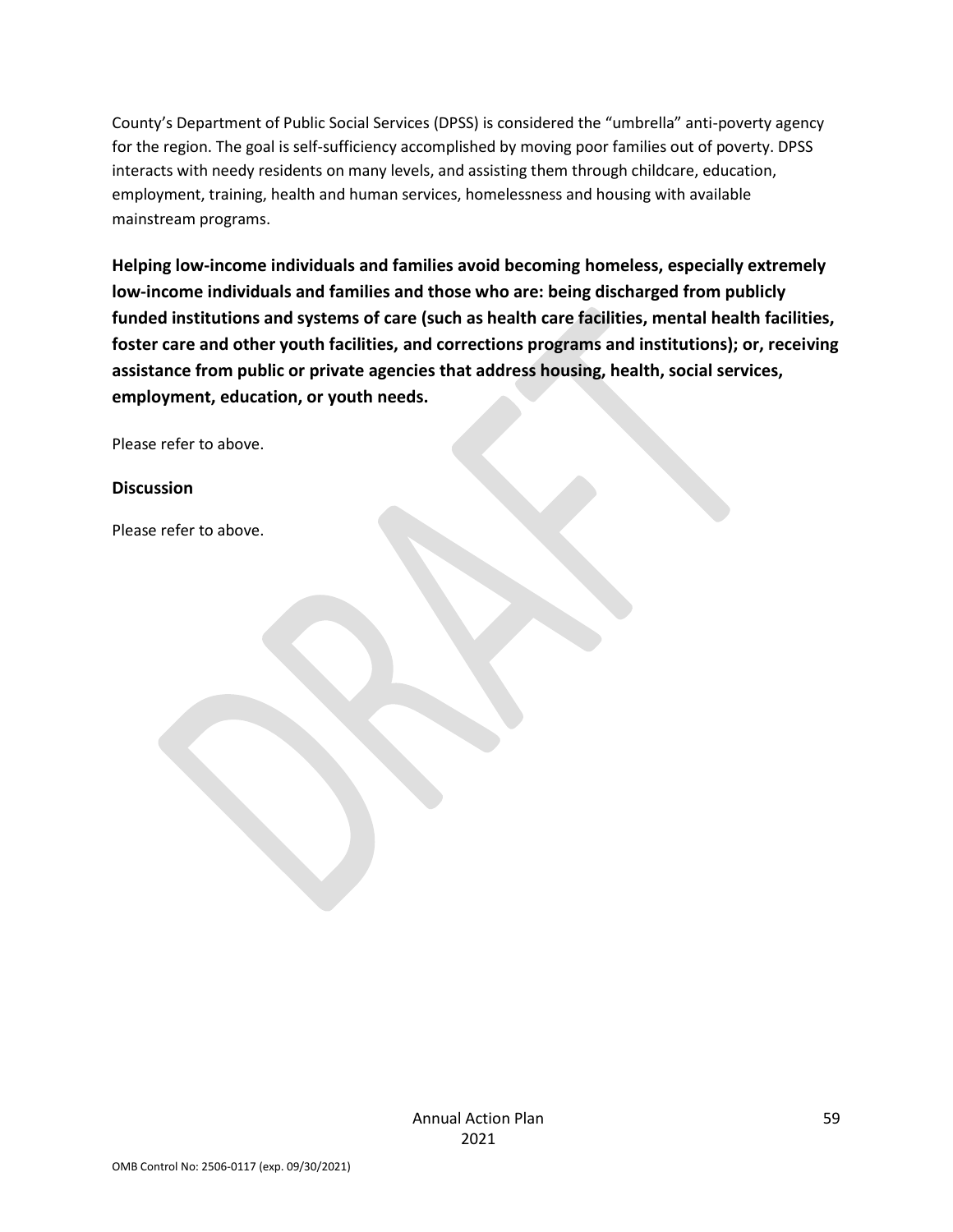County's Department of Public Social Services (DPSS) is considered the "umbrella" anti-poverty agency for the region. The goal is self-sufficiency accomplished by moving poor families out of poverty. DPSS interacts with needy residents on many levels, and assisting them through childcare, education, employment, training, health and human services, homelessness and housing with available mainstream programs.

**Helping low-income individuals and families avoid becoming homeless, especially extremely low-income individuals and families and those who are: being discharged from publicly funded institutions and systems of care (such as health care facilities, mental health facilities, foster care and other youth facilities, and corrections programs and institutions); or, receiving assistance from public or private agencies that address housing, health, social services, employment, education, or youth needs.**

Please refer to above.

#### **Discussion**

Please refer to above.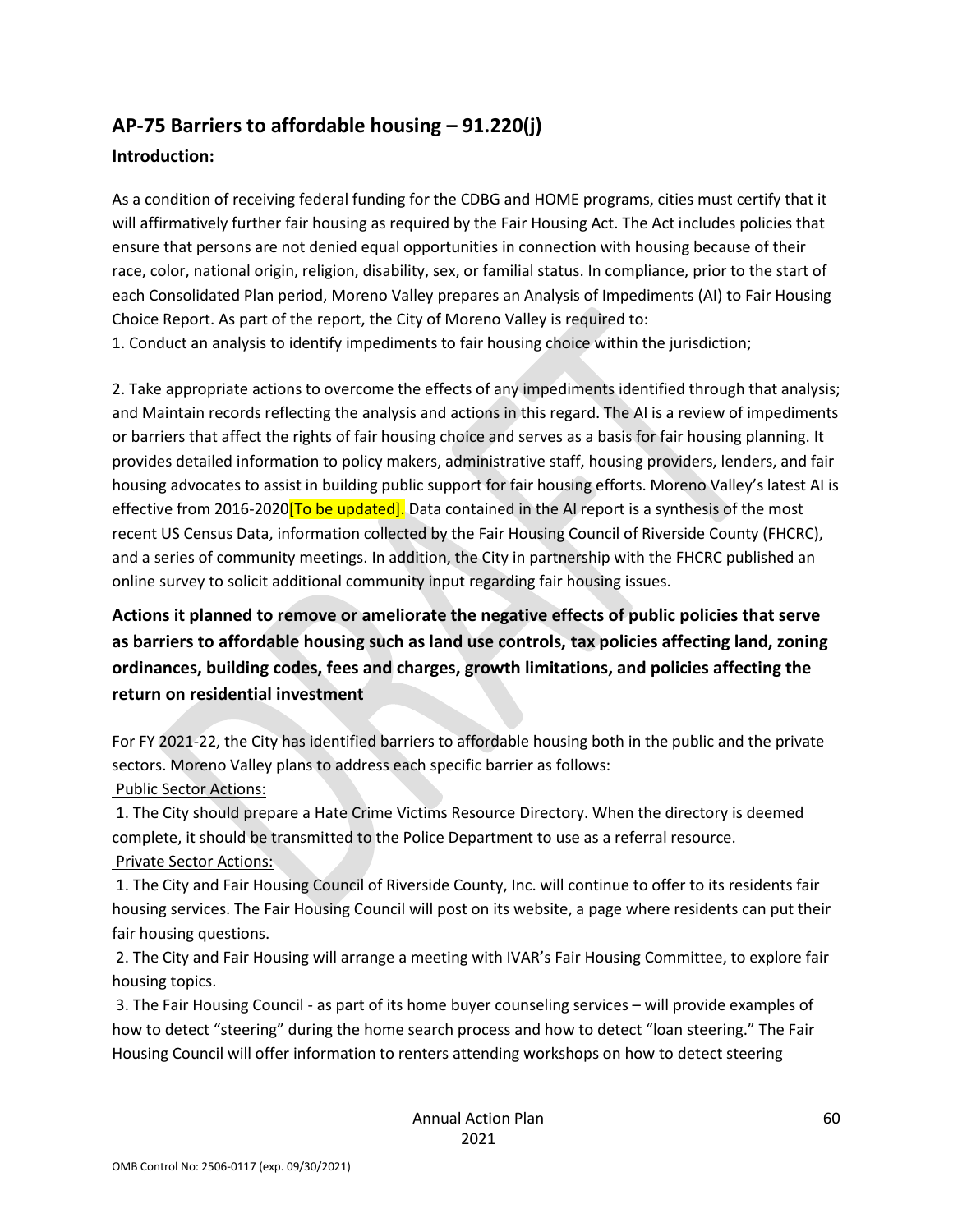## **AP-75 Barriers to affordable housing – 91.220(j)**

#### **Introduction:**

As a condition of receiving federal funding for the CDBG and HOME programs, cities must certify that it will affirmatively further fair housing as required by the Fair Housing Act. The Act includes policies that ensure that persons are not denied equal opportunities in connection with housing because of their race, color, national origin, religion, disability, sex, or familial status. In compliance, prior to the start of each Consolidated Plan period, Moreno Valley prepares an Analysis of Impediments (AI) to Fair Housing Choice Report. As part of the report, the City of Moreno Valley is required to:

1. Conduct an analysis to identify impediments to fair housing choice within the jurisdiction;

2. Take appropriate actions to overcome the effects of any impediments identified through that analysis; and Maintain records reflecting the analysis and actions in this regard. The AI is a review of impediments or barriers that affect the rights of fair housing choice and serves as a basis for fair housing planning. It provides detailed information to policy makers, administrative staff, housing providers, lenders, and fair housing advocates to assist in building public support for fair housing efforts. Moreno Valley's latest AI is effective from 2016-2020<sup>[To be updated].</sup> Data contained in the AI report is a synthesis of the most recent US Census Data, information collected by the Fair Housing Council of Riverside County (FHCRC), and a series of community meetings. In addition, the City in partnership with the FHCRC published an online survey to solicit additional community input regarding fair housing issues.

## **Actions it planned to remove or ameliorate the negative effects of public policies that serve as barriers to affordable housing such as land use controls, tax policies affecting land, zoning ordinances, building codes, fees and charges, growth limitations, and policies affecting the return on residential investment**

For FY 2021-22, the City has identified barriers to affordable housing both in the public and the private sectors. Moreno Valley plans to address each specific barrier as follows: Public Sector Actions:

1. The City should prepare a Hate Crime Victims Resource Directory. When the directory is deemed complete, it should be transmitted to the Police Department to use as a referral resource. Private Sector Actions:

1. The City and Fair Housing Council of Riverside County, Inc. will continue to offer to its residents fair housing services. The Fair Housing Council will post on its website, a page where residents can put their fair housing questions.

2. The City and Fair Housing will arrange a meeting with IVAR's Fair Housing Committee, to explore fair housing topics.

3. The Fair Housing Council - as part of its home buyer counseling services – will provide examples of how to detect "steering" during the home search process and how to detect "loan steering." The Fair Housing Council will offer information to renters attending workshops on how to detect steering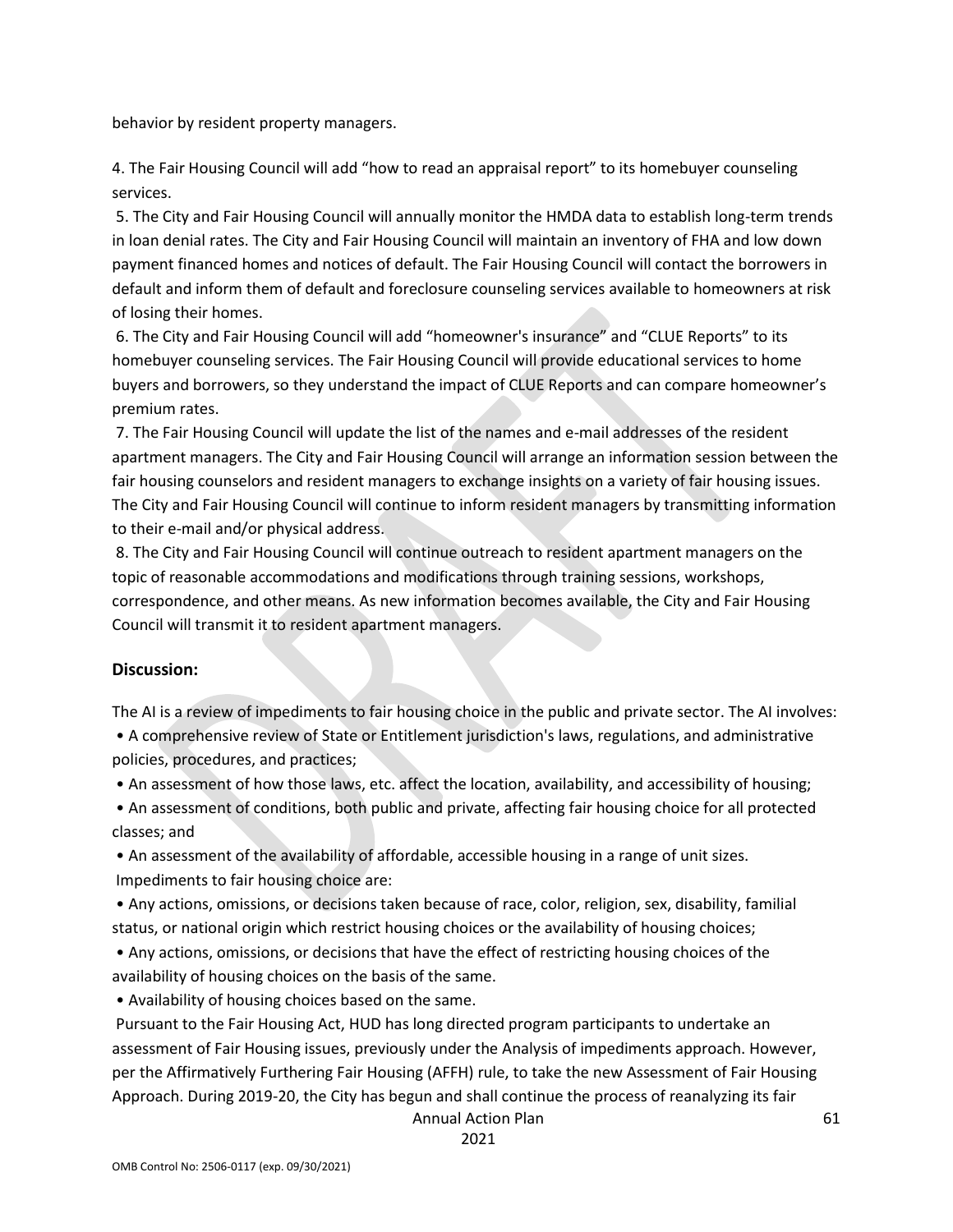behavior by resident property managers.

4. The Fair Housing Council will add "how to read an appraisal report" to its homebuyer counseling services.

5. The City and Fair Housing Council will annually monitor the HMDA data to establish long-term trends in loan denial rates. The City and Fair Housing Council will maintain an inventory of FHA and low down payment financed homes and notices of default. The Fair Housing Council will contact the borrowers in default and inform them of default and foreclosure counseling services available to homeowners at risk of losing their homes.

6. The City and Fair Housing Council will add "homeowner's insurance" and "CLUE Reports" to its homebuyer counseling services. The Fair Housing Council will provide educational services to home buyers and borrowers, so they understand the impact of CLUE Reports and can compare homeowner's premium rates.

7. The Fair Housing Council will update the list of the names and e-mail addresses of the resident apartment managers. The City and Fair Housing Council will arrange an information session between the fair housing counselors and resident managers to exchange insights on a variety of fair housing issues. The City and Fair Housing Council will continue to inform resident managers by transmitting information to their e-mail and/or physical address.

8. The City and Fair Housing Council will continue outreach to resident apartment managers on the topic of reasonable accommodations and modifications through training sessions, workshops, correspondence, and other means. As new information becomes available, the City and Fair Housing Council will transmit it to resident apartment managers.

#### **Discussion:**

The AI is a review of impediments to fair housing choice in the public and private sector. The AI involves:

• A comprehensive review of State or Entitlement jurisdiction's laws, regulations, and administrative policies, procedures, and practices;

• An assessment of how those laws, etc. affect the location, availability, and accessibility of housing;

• An assessment of conditions, both public and private, affecting fair housing choice for all protected classes; and

• An assessment of the availability of affordable, accessible housing in a range of unit sizes. Impediments to fair housing choice are:

• Any actions, omissions, or decisions taken because of race, color, religion, sex, disability, familial status, or national origin which restrict housing choices or the availability of housing choices;

• Any actions, omissions, or decisions that have the effect of restricting housing choices of the availability of housing choices on the basis of the same.

• Availability of housing choices based on the same.

Pursuant to the Fair Housing Act, HUD has long directed program participants to undertake an assessment of Fair Housing issues, previously under the Analysis of impediments approach. However, per the Affirmatively Furthering Fair Housing (AFFH) rule, to take the new Assessment of Fair Housing Approach. During 2019-20, the City has begun and shall continue the process of reanalyzing its fair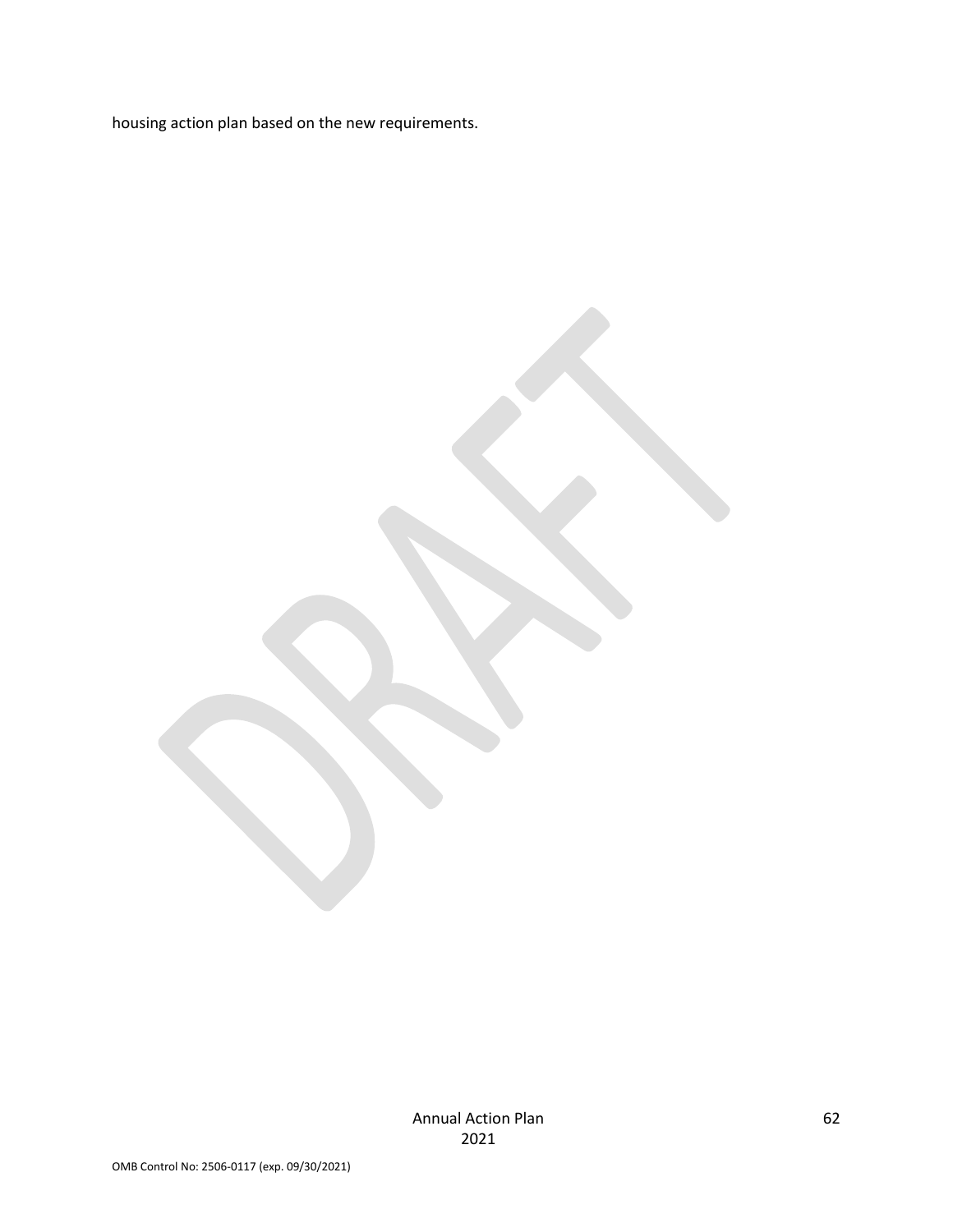housing action plan based on the new requirements.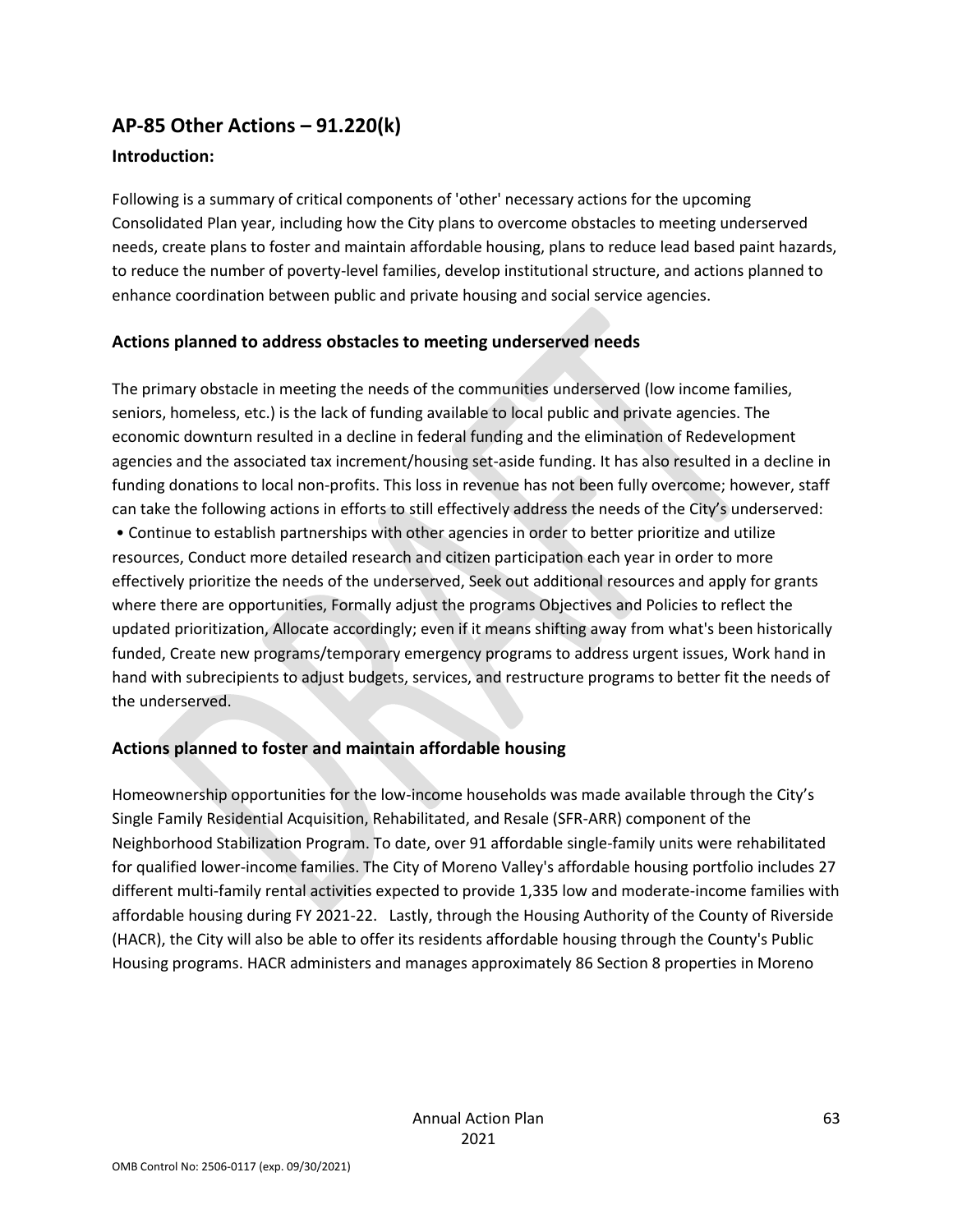## **AP-85 Other Actions – 91.220(k)**

#### **Introduction:**

Following is a summary of critical components of 'other' necessary actions for the upcoming Consolidated Plan year, including how the City plans to overcome obstacles to meeting underserved needs, create plans to foster and maintain affordable housing, plans to reduce lead based paint hazards, to reduce the number of poverty-level families, develop institutional structure, and actions planned to enhance coordination between public and private housing and social service agencies.

#### **Actions planned to address obstacles to meeting underserved needs**

The primary obstacle in meeting the needs of the communities underserved (low income families, seniors, homeless, etc.) is the lack of funding available to local public and private agencies. The economic downturn resulted in a decline in federal funding and the elimination of Redevelopment agencies and the associated tax increment/housing set-aside funding. It has also resulted in a decline in funding donations to local non-profits. This loss in revenue has not been fully overcome; however, staff can take the following actions in efforts to still effectively address the needs of the City's underserved: • Continue to establish partnerships with other agencies in order to better prioritize and utilize resources, Conduct more detailed research and citizen participation each year in order to more effectively prioritize the needs of the underserved, Seek out additional resources and apply for grants where there are opportunities, Formally adjust the programs Objectives and Policies to reflect the updated prioritization, Allocate accordingly; even if it means shifting away from what's been historically funded, Create new programs/temporary emergency programs to address urgent issues, Work hand in hand with subrecipients to adjust budgets, services, and restructure programs to better fit the needs of the underserved.

#### **Actions planned to foster and maintain affordable housing**

Homeownership opportunities for the low-income households was made available through the City's Single Family Residential Acquisition, Rehabilitated, and Resale (SFR-ARR) component of the Neighborhood Stabilization Program. To date, over 91 affordable single-family units were rehabilitated for qualified lower-income families. The City of Moreno Valley's affordable housing portfolio includes 27 different multi-family rental activities expected to provide 1,335 low and moderate-income families with affordable housing during FY 2021-22. Lastly, through the Housing Authority of the County of Riverside (HACR), the City will also be able to offer its residents affordable housing through the County's Public Housing programs. HACR administers and manages approximately 86 Section 8 properties in Moreno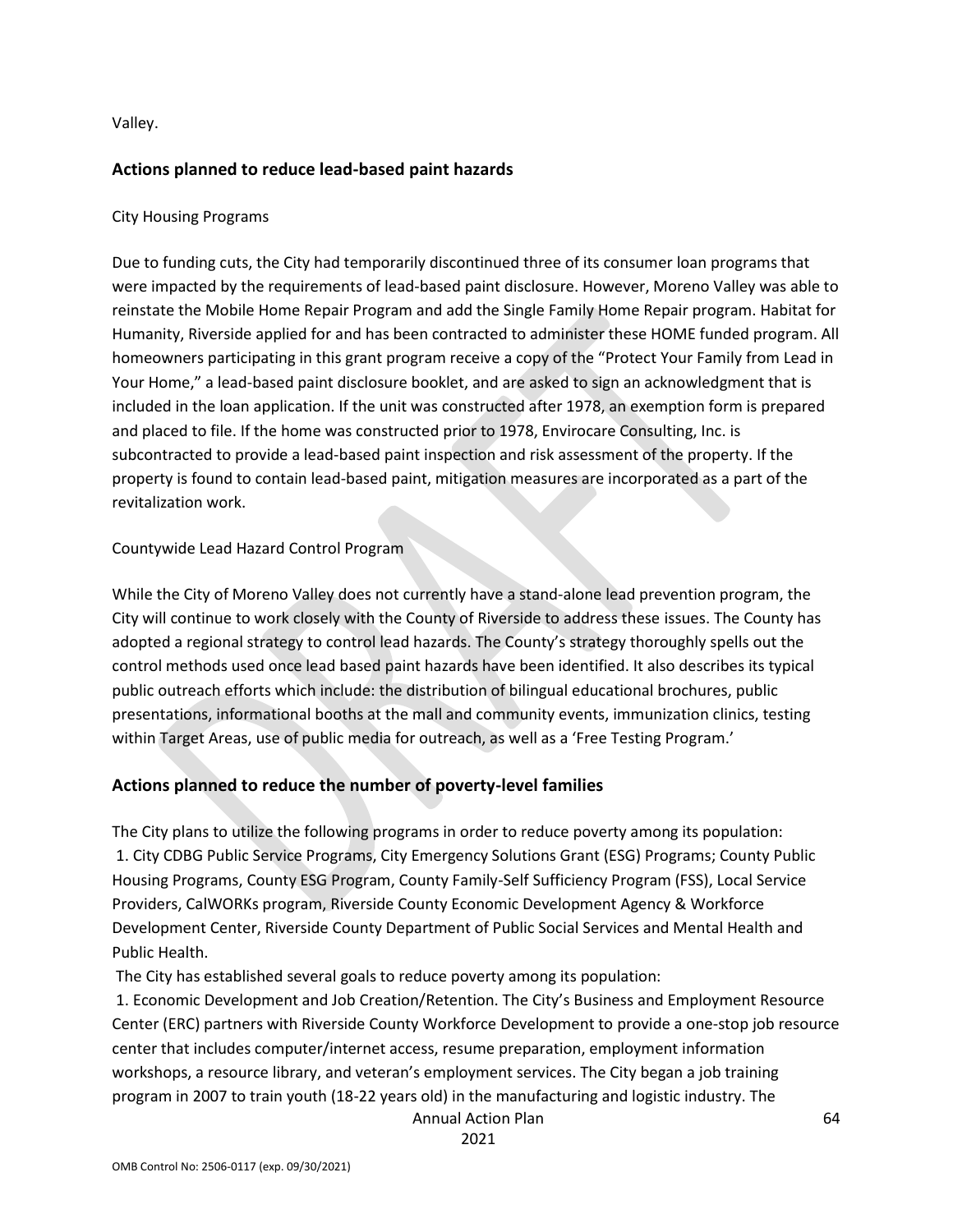Valley.

#### **Actions planned to reduce lead-based paint hazards**

#### City Housing Programs

Due to funding cuts, the City had temporarily discontinued three of its consumer loan programs that were impacted by the requirements of lead-based paint disclosure. However, Moreno Valley was able to reinstate the Mobile Home Repair Program and add the Single Family Home Repair program. Habitat for Humanity, Riverside applied for and has been contracted to administer these HOME funded program. All homeowners participating in this grant program receive a copy of the "Protect Your Family from Lead in Your Home," a lead-based paint disclosure booklet, and are asked to sign an acknowledgment that is included in the loan application. If the unit was constructed after 1978, an exemption form is prepared and placed to file. If the home was constructed prior to 1978, Envirocare Consulting, Inc. is subcontracted to provide a lead-based paint inspection and risk assessment of the property. If the property is found to contain lead-based paint, mitigation measures are incorporated as a part of the revitalization work.

#### Countywide Lead Hazard Control Program

While the City of Moreno Valley does not currently have a stand-alone lead prevention program, the City will continue to work closely with the County of Riverside to address these issues. The County has adopted a regional strategy to control lead hazards. The County's strategy thoroughly spells out the control methods used once lead based paint hazards have been identified. It also describes its typical public outreach efforts which include: the distribution of bilingual educational brochures, public presentations, informational booths at the mall and community events, immunization clinics, testing within Target Areas, use of public media for outreach, as well as a 'Free Testing Program.'

#### **Actions planned to reduce the number of poverty-level families**

The City plans to utilize the following programs in order to reduce poverty among its population: 1. City CDBG Public Service Programs, City Emergency Solutions Grant (ESG) Programs; County Public Housing Programs, County ESG Program, County Family-Self Sufficiency Program (FSS), Local Service Providers, CalWORKs program, Riverside County Economic Development Agency & Workforce Development Center, Riverside County Department of Public Social Services and Mental Health and Public Health.

The City has established several goals to reduce poverty among its population:

1. Economic Development and Job Creation/Retention. The City's Business and Employment Resource Center (ERC) partners with Riverside County Workforce Development to provide a one-stop job resource center that includes computer/internet access, resume preparation, employment information workshops, a resource library, and veteran's employment services. The City began a job training program in 2007 to train youth (18-22 years old) in the manufacturing and logistic industry. The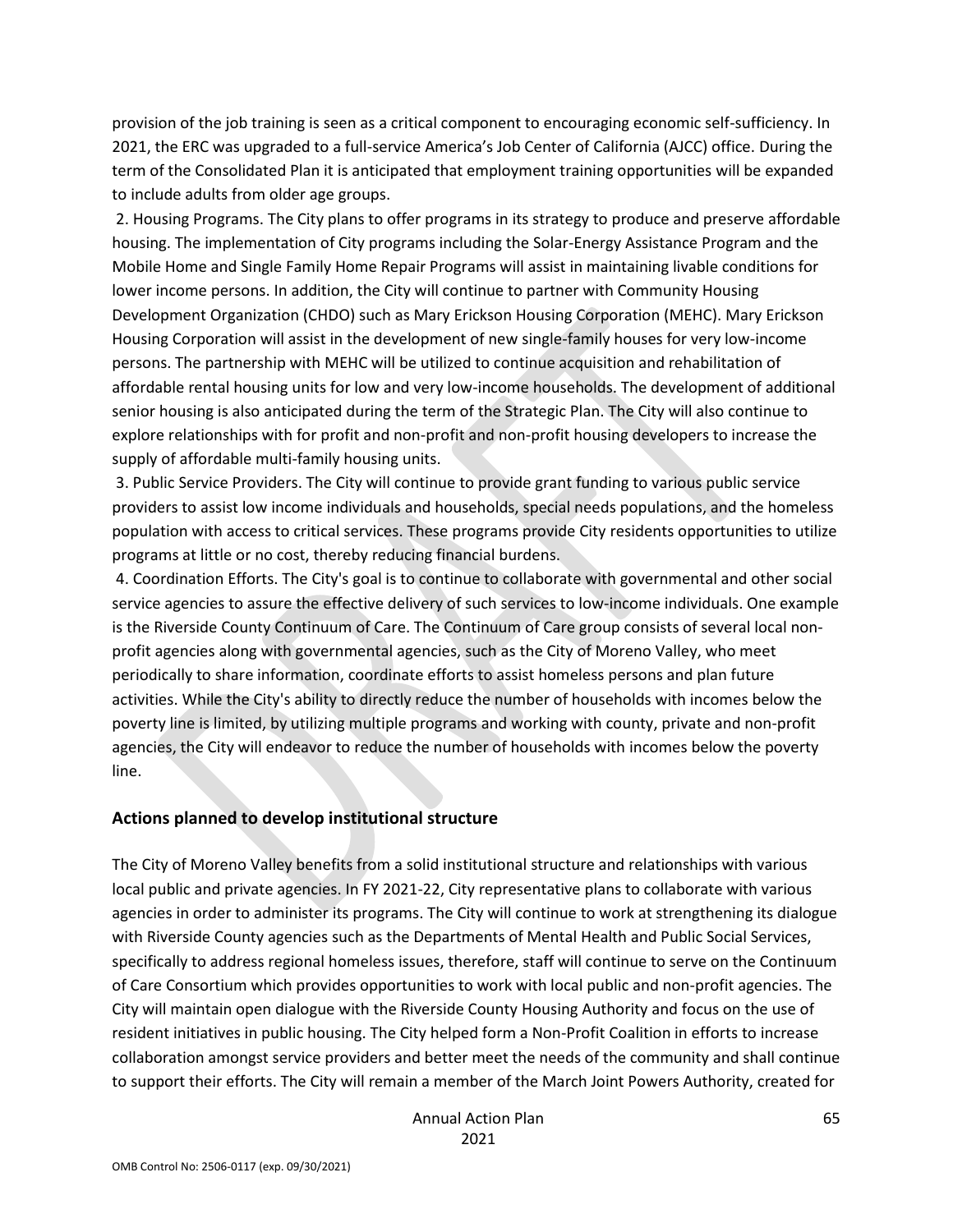provision of the job training is seen as a critical component to encouraging economic self-sufficiency. In 2021, the ERC was upgraded to a full-service America's Job Center of California (AJCC) office. During the term of the Consolidated Plan it is anticipated that employment training opportunities will be expanded to include adults from older age groups.

2. Housing Programs. The City plans to offer programs in its strategy to produce and preserve affordable housing. The implementation of City programs including the Solar-Energy Assistance Program and the Mobile Home and Single Family Home Repair Programs will assist in maintaining livable conditions for lower income persons. In addition, the City will continue to partner with Community Housing Development Organization (CHDO) such as Mary Erickson Housing Corporation (MEHC). Mary Erickson Housing Corporation will assist in the development of new single-family houses for very low-income persons. The partnership with MEHC will be utilized to continue acquisition and rehabilitation of affordable rental housing units for low and very low-income households. The development of additional senior housing is also anticipated during the term of the Strategic Plan. The City will also continue to explore relationships with for profit and non-profit and non-profit housing developers to increase the supply of affordable multi-family housing units.

3. Public Service Providers. The City will continue to provide grant funding to various public service providers to assist low income individuals and households, special needs populations, and the homeless population with access to critical services. These programs provide City residents opportunities to utilize programs at little or no cost, thereby reducing financial burdens.

4. Coordination Efforts. The City's goal is to continue to collaborate with governmental and other social service agencies to assure the effective delivery of such services to low-income individuals. One example is the Riverside County Continuum of Care. The Continuum of Care group consists of several local nonprofit agencies along with governmental agencies, such as the City of Moreno Valley, who meet periodically to share information, coordinate efforts to assist homeless persons and plan future activities. While the City's ability to directly reduce the number of households with incomes below the poverty line is limited, by utilizing multiple programs and working with county, private and non-profit agencies, the City will endeavor to reduce the number of households with incomes below the poverty line.

#### **Actions planned to develop institutional structure**

The City of Moreno Valley benefits from a solid institutional structure and relationships with various local public and private agencies. In FY 2021-22, City representative plans to collaborate with various agencies in order to administer its programs. The City will continue to work at strengthening its dialogue with Riverside County agencies such as the Departments of Mental Health and Public Social Services, specifically to address regional homeless issues, therefore, staff will continue to serve on the Continuum of Care Consortium which provides opportunities to work with local public and non-profit agencies. The City will maintain open dialogue with the Riverside County Housing Authority and focus on the use of resident initiatives in public housing. The City helped form a Non-Profit Coalition in efforts to increase collaboration amongst service providers and better meet the needs of the community and shall continue to support their efforts. The City will remain a member of the March Joint Powers Authority, created for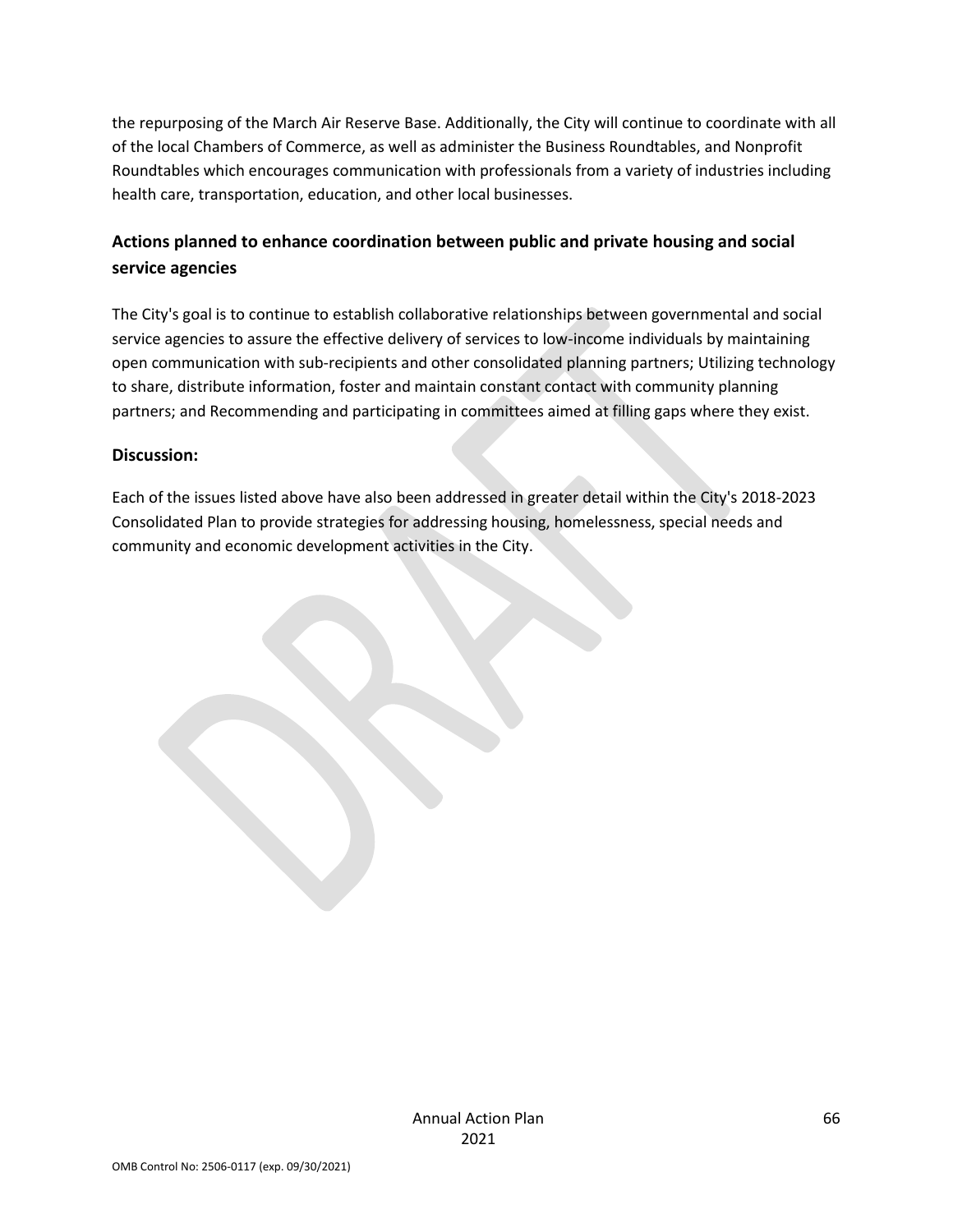the repurposing of the March Air Reserve Base. Additionally, the City will continue to coordinate with all of the local Chambers of Commerce, as well as administer the Business Roundtables, and Nonprofit Roundtables which encourages communication with professionals from a variety of industries including health care, transportation, education, and other local businesses.

## **Actions planned to enhance coordination between public and private housing and social service agencies**

The City's goal is to continue to establish collaborative relationships between governmental and social service agencies to assure the effective delivery of services to low-income individuals by maintaining open communication with sub-recipients and other consolidated planning partners; Utilizing technology to share, distribute information, foster and maintain constant contact with community planning partners; and Recommending and participating in committees aimed at filling gaps where they exist.

#### **Discussion:**

Each of the issues listed above have also been addressed in greater detail within the City's 2018-2023 Consolidated Plan to provide strategies for addressing housing, homelessness, special needs and community and economic development activities in the City.

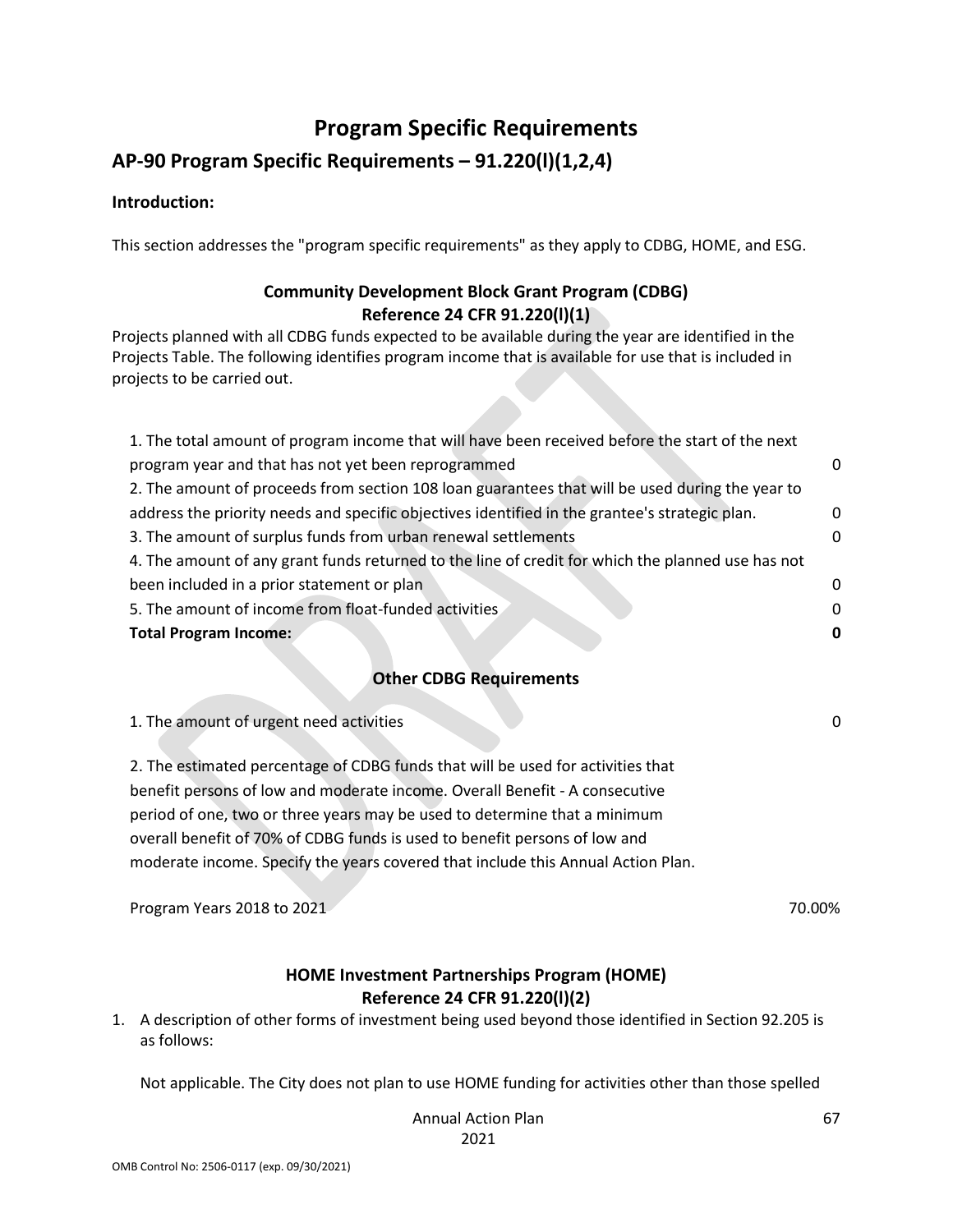## **Program Specific Requirements**

## **AP-90 Program Specific Requirements – 91.220(l)(1,2,4)**

#### **Introduction:**

This section addresses the "program specific requirements" as they apply to CDBG, HOME, and ESG.

### **Community Development Block Grant Program (CDBG) Reference 24 CFR 91.220(l)(1)**

Projects planned with all CDBG funds expected to be available during the year are identified in the Projects Table. The following identifies program income that is available for use that is included in projects to be carried out.

| 1. The total amount of program income that will have been received before the start of the next   |              |
|---------------------------------------------------------------------------------------------------|--------------|
| program year and that has not yet been reprogrammed                                               | <sup>0</sup> |
| 2. The amount of proceeds from section 108 loan guarantees that will be used during the year to   |              |
| address the priority needs and specific objectives identified in the grantee's strategic plan.    | $\Omega$     |
| 3. The amount of surplus funds from urban renewal settlements                                     | $\Omega$     |
| 4. The amount of any grant funds returned to the line of credit for which the planned use has not |              |
| been included in a prior statement or plan                                                        | $\Omega$     |
| 5. The amount of income from float-funded activities                                              | $\Omega$     |
| <b>Total Program Income:</b>                                                                      | 0            |
|                                                                                                   |              |

#### **Other CDBG Requirements**

1. The amount of urgent need activities 0

2. The estimated percentage of CDBG funds that will be used for activities that benefit persons of low and moderate income. Overall Benefit - A consecutive period of one, two or three years may be used to determine that a minimum overall benefit of 70% of CDBG funds is used to benefit persons of low and moderate income. Specify the years covered that include this Annual Action Plan.

Program Years 2018 to 2021 70.00%

#### **HOME Investment Partnerships Program (HOME) Reference 24 CFR 91.220(l)(2)**

1. A description of other forms of investment being used beyond those identified in Section 92.205 is as follows:

Not applicable. The City does not plan to use HOME funding for activities other than those spelled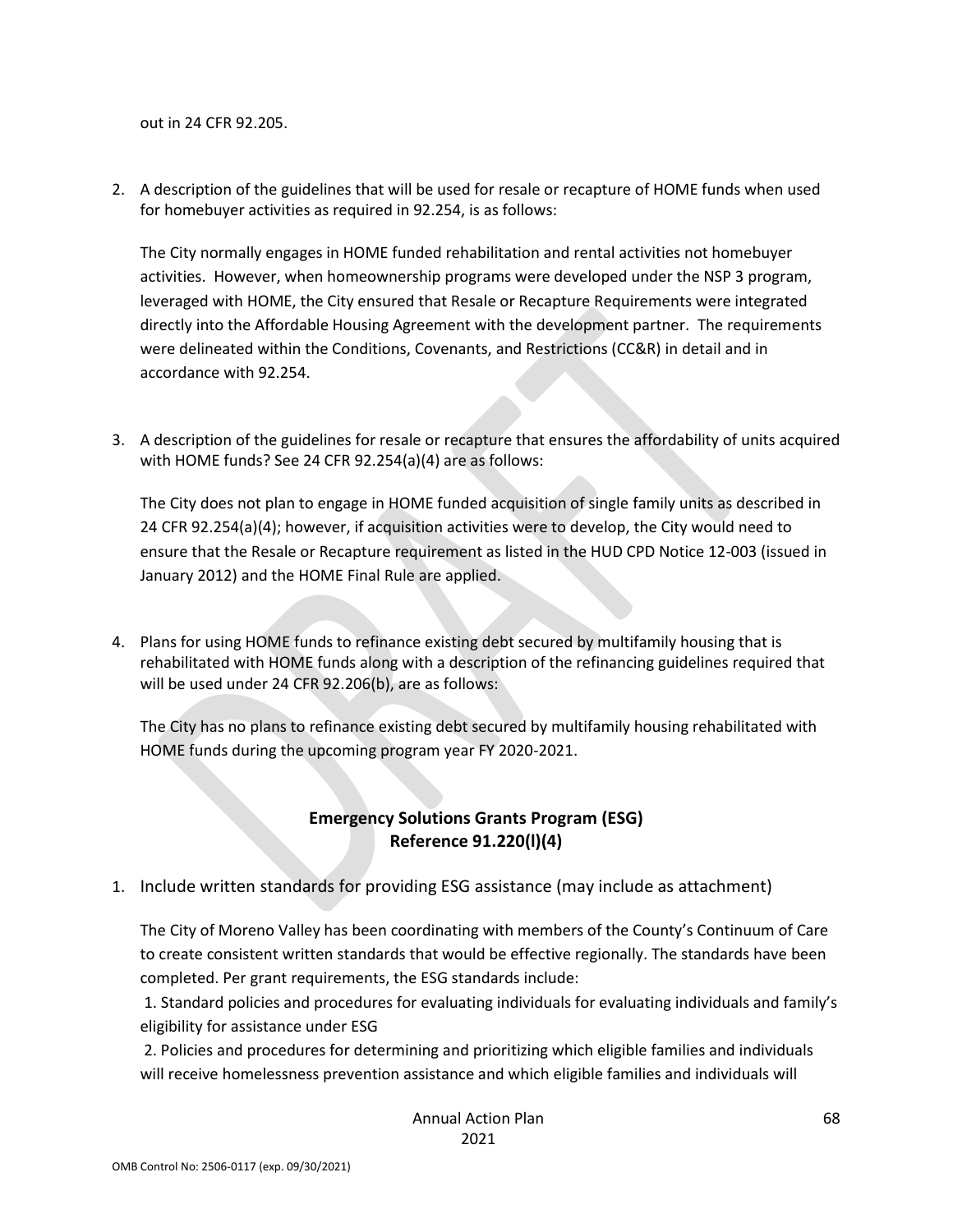out in 24 CFR 92.205.

2. A description of the guidelines that will be used for resale or recapture of HOME funds when used for homebuyer activities as required in 92.254, is as follows:

The City normally engages in HOME funded rehabilitation and rental activities not homebuyer activities. However, when homeownership programs were developed under the NSP 3 program, leveraged with HOME, the City ensured that Resale or Recapture Requirements were integrated directly into the Affordable Housing Agreement with the development partner. The requirements were delineated within the Conditions, Covenants, and Restrictions (CC&R) in detail and in accordance with 92.254.

3. A description of the guidelines for resale or recapture that ensures the affordability of units acquired with HOME funds? See 24 CFR 92.254(a)(4) are as follows:

The City does not plan to engage in HOME funded acquisition of single family units as described in 24 CFR 92.254(a)(4); however, if acquisition activities were to develop, the City would need to ensure that the Resale or Recapture requirement as listed in the HUD CPD Notice 12-003 (issued in January 2012) and the HOME Final Rule are applied.

4. Plans for using HOME funds to refinance existing debt secured by multifamily housing that is rehabilitated with HOME funds along with a description of the refinancing guidelines required that will be used under 24 CFR 92.206(b), are as follows:

The City has no plans to refinance existing debt secured by multifamily housing rehabilitated with HOME funds during the upcoming program year FY 2020-2021.

#### **Emergency Solutions Grants Program (ESG) Reference 91.220(l)(4)**

1. Include written standards for providing ESG assistance (may include as attachment)

The City of Moreno Valley has been coordinating with members of the County's Continuum of Care to create consistent written standards that would be effective regionally. The standards have been completed. Per grant requirements, the ESG standards include:

1. Standard policies and procedures for evaluating individuals for evaluating individuals and family's eligibility for assistance under ESG

2. Policies and procedures for determining and prioritizing which eligible families and individuals will receive homelessness prevention assistance and which eligible families and individuals will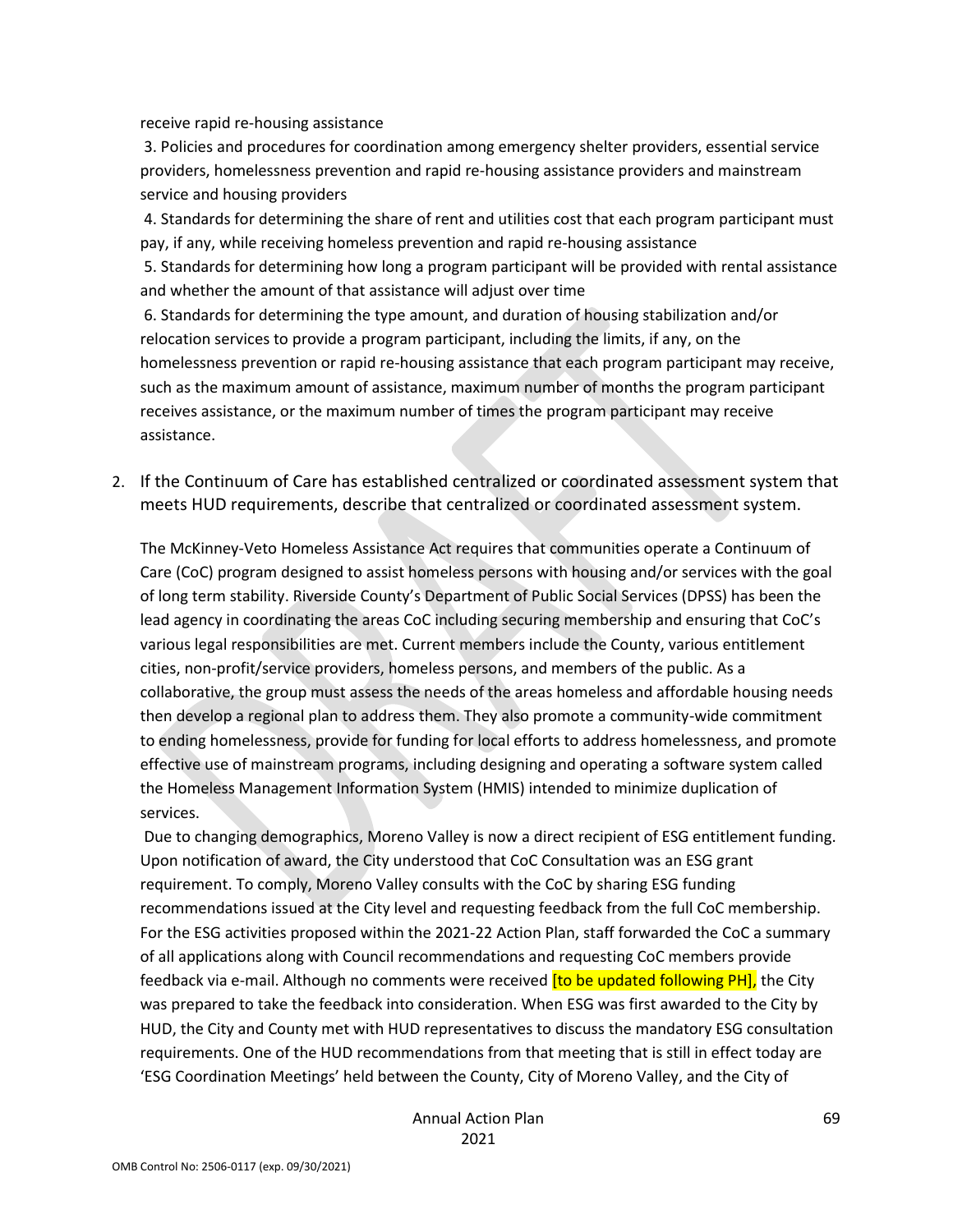receive rapid re-housing assistance

3. Policies and procedures for coordination among emergency shelter providers, essential service providers, homelessness prevention and rapid re-housing assistance providers and mainstream service and housing providers

4. Standards for determining the share of rent and utilities cost that each program participant must pay, if any, while receiving homeless prevention and rapid re-housing assistance

5. Standards for determining how long a program participant will be provided with rental assistance and whether the amount of that assistance will adjust over time

6. Standards for determining the type amount, and duration of housing stabilization and/or relocation services to provide a program participant, including the limits, if any, on the homelessness prevention or rapid re-housing assistance that each program participant may receive, such as the maximum amount of assistance, maximum number of months the program participant receives assistance, or the maximum number of times the program participant may receive assistance.

2. If the Continuum of Care has established centralized or coordinated assessment system that meets HUD requirements, describe that centralized or coordinated assessment system.

The McKinney-Veto Homeless Assistance Act requires that communities operate a Continuum of Care (CoC) program designed to assist homeless persons with housing and/or services with the goal of long term stability. Riverside County's Department of Public Social Services (DPSS) has been the lead agency in coordinating the areas CoC including securing membership and ensuring that CoC's various legal responsibilities are met. Current members include the County, various entitlement cities, non-profit/service providers, homeless persons, and members of the public. As a collaborative, the group must assess the needs of the areas homeless and affordable housing needs then develop a regional plan to address them. They also promote a community-wide commitment to ending homelessness, provide for funding for local efforts to address homelessness, and promote effective use of mainstream programs, including designing and operating a software system called the Homeless Management Information System (HMIS) intended to minimize duplication of services.

Due to changing demographics, Moreno Valley is now a direct recipient of ESG entitlement funding. Upon notification of award, the City understood that CoC Consultation was an ESG grant requirement. To comply, Moreno Valley consults with the CoC by sharing ESG funding recommendations issued at the City level and requesting feedback from the full CoC membership. For the ESG activities proposed within the 2021-22 Action Plan, staff forwarded the CoC a summary of all applications along with Council recommendations and requesting CoC members provide feedback via e-mail. Although no comments were received *[to be updated following PH]*, the City was prepared to take the feedback into consideration. When ESG was first awarded to the City by HUD, the City and County met with HUD representatives to discuss the mandatory ESG consultation requirements. One of the HUD recommendations from that meeting that is still in effect today are 'ESG Coordination Meetings' held between the County, City of Moreno Valley, and the City of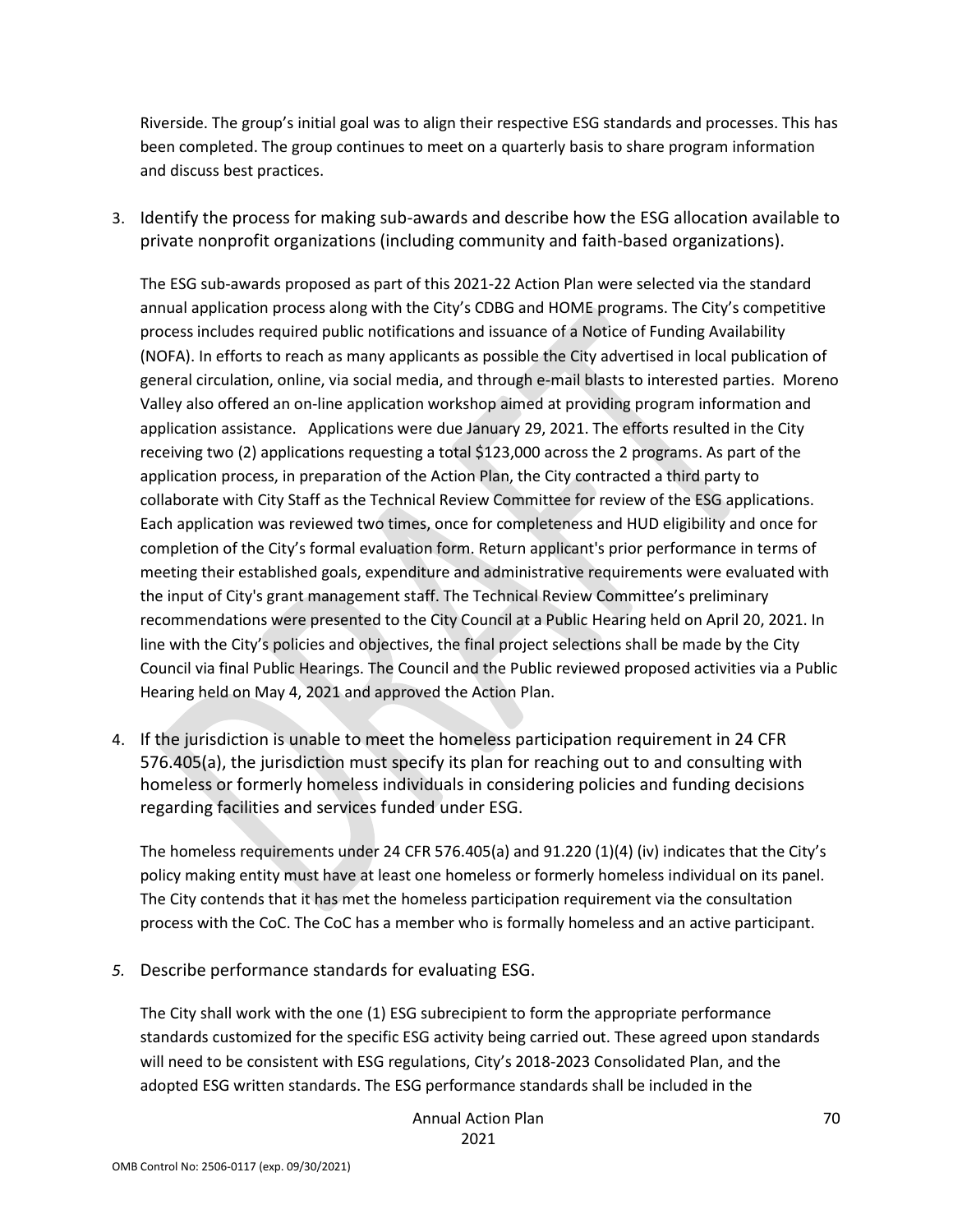Riverside. The group's initial goal was to align their respective ESG standards and processes. This has been completed. The group continues to meet on a quarterly basis to share program information and discuss best practices.

3. Identify the process for making sub-awards and describe how the ESG allocation available to private nonprofit organizations (including community and faith-based organizations).

The ESG sub-awards proposed as part of this 2021-22 Action Plan were selected via the standard annual application process along with the City's CDBG and HOME programs. The City's competitive process includes required public notifications and issuance of a Notice of Funding Availability (NOFA). In efforts to reach as many applicants as possible the City advertised in local publication of general circulation, online, via social media, and through e-mail blasts to interested parties. Moreno Valley also offered an on-line application workshop aimed at providing program information and application assistance. Applications were due January 29, 2021. The efforts resulted in the City receiving two (2) applications requesting a total \$123,000 across the 2 programs. As part of the application process, in preparation of the Action Plan, the City contracted a third party to collaborate with City Staff as the Technical Review Committee for review of the ESG applications. Each application was reviewed two times, once for completeness and HUD eligibility and once for completion of the City's formal evaluation form. Return applicant's prior performance in terms of meeting their established goals, expenditure and administrative requirements were evaluated with the input of City's grant management staff. The Technical Review Committee's preliminary recommendations were presented to the City Council at a Public Hearing held on April 20, 2021. In line with the City's policies and objectives, the final project selections shall be made by the City Council via final Public Hearings. The Council and the Public reviewed proposed activities via a Public Hearing held on May 4, 2021 and approved the Action Plan.

4. If the jurisdiction is unable to meet the homeless participation requirement in 24 CFR 576.405(a), the jurisdiction must specify its plan for reaching out to and consulting with homeless or formerly homeless individuals in considering policies and funding decisions regarding facilities and services funded under ESG.

The homeless requirements under 24 CFR 576.405(a) and 91.220 (1)(4) (iv) indicates that the City's policy making entity must have at least one homeless or formerly homeless individual on its panel. The City contends that it has met the homeless participation requirement via the consultation process with the CoC. The CoC has a member who is formally homeless and an active participant.

*5.* Describe performance standards for evaluating ESG.

The City shall work with the one (1) ESG subrecipient to form the appropriate performance standards customized for the specific ESG activity being carried out. These agreed upon standards will need to be consistent with ESG regulations, City's 2018-2023 Consolidated Plan, and the adopted ESG written standards. The ESG performance standards shall be included in the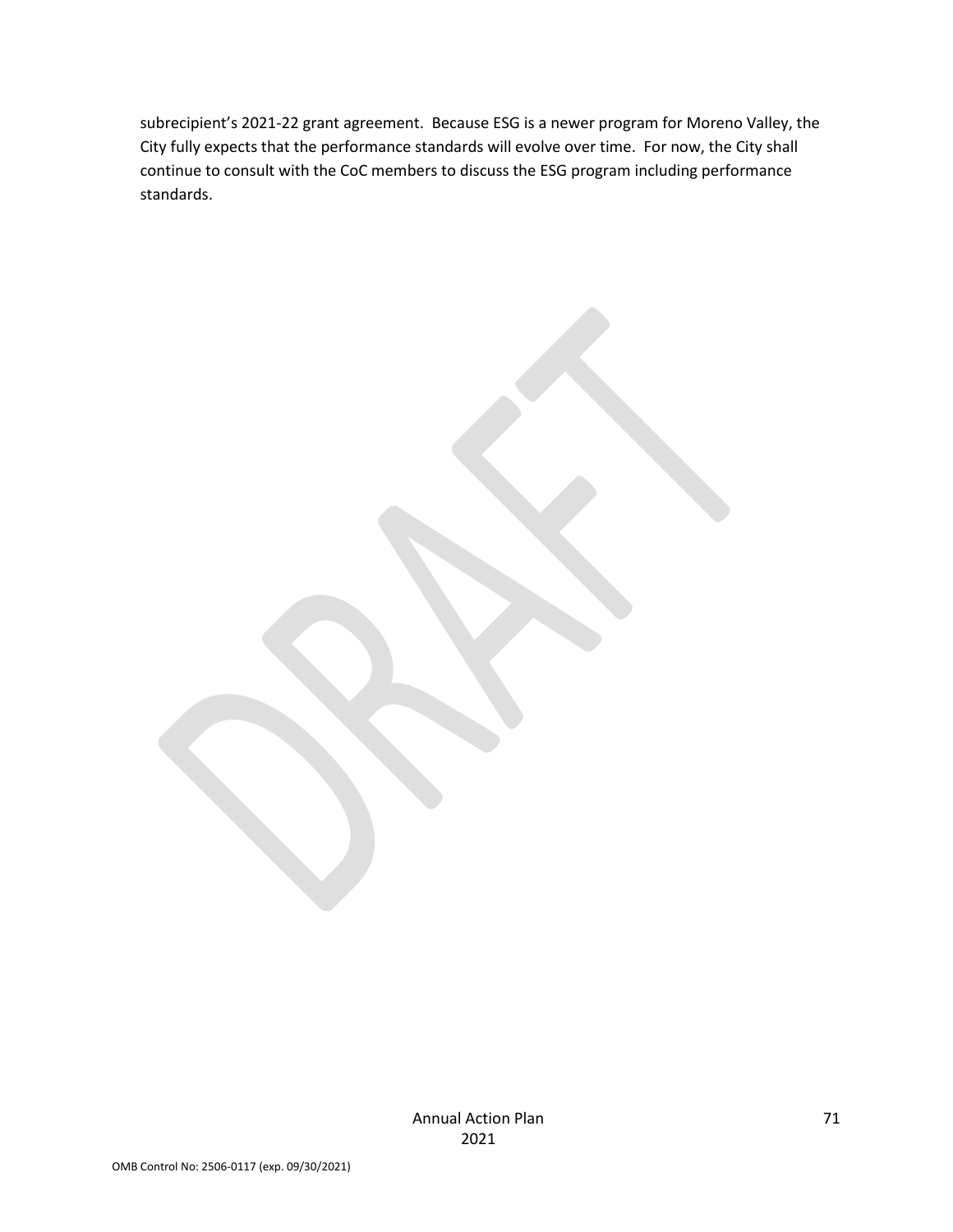subrecipient's 2021-22 grant agreement. Because ESG is a newer program for Moreno Valley, the City fully expects that the performance standards will evolve over time. For now, the City shall continue to consult with the CoC members to discuss the ESG program including performance standards.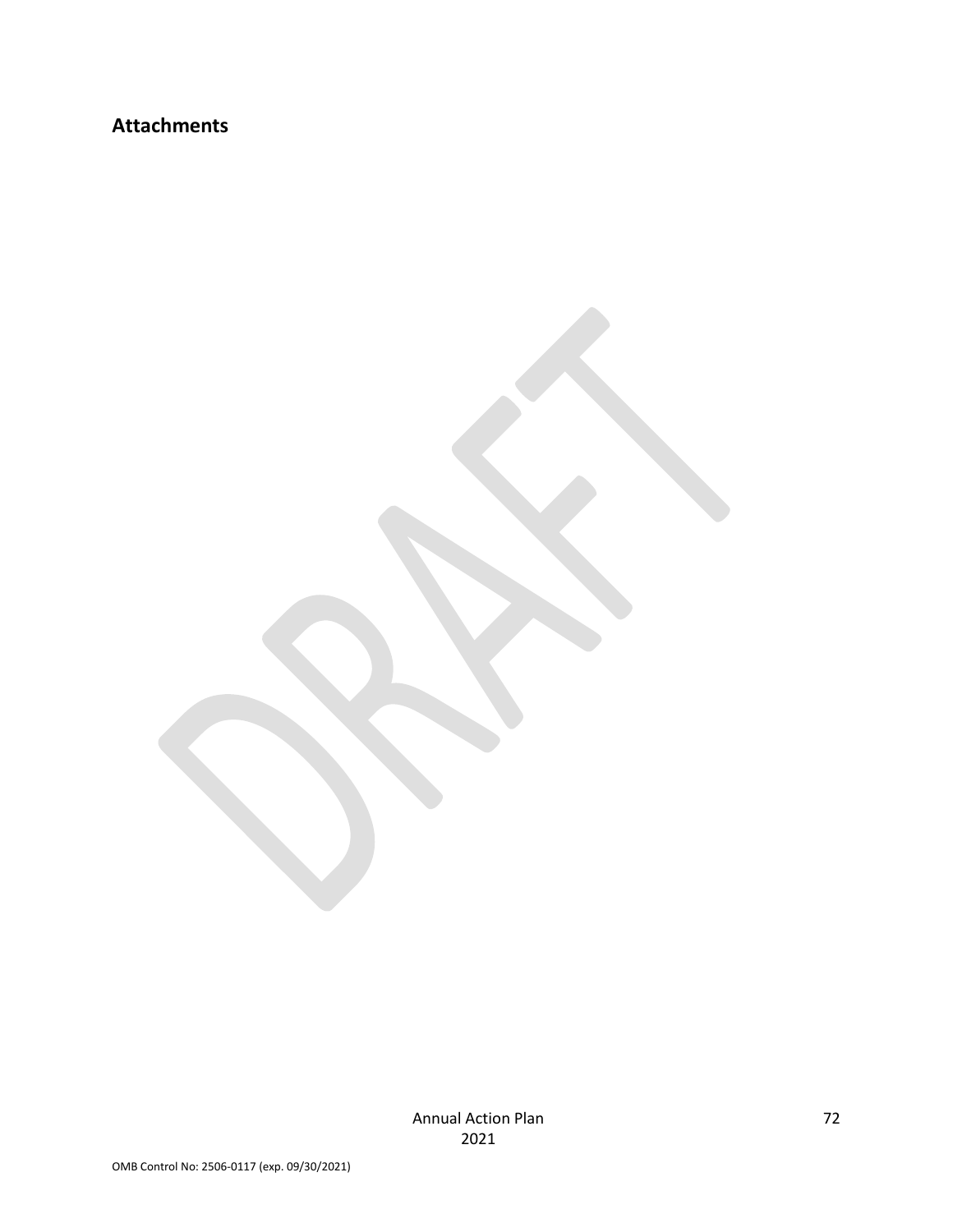## **Attachments**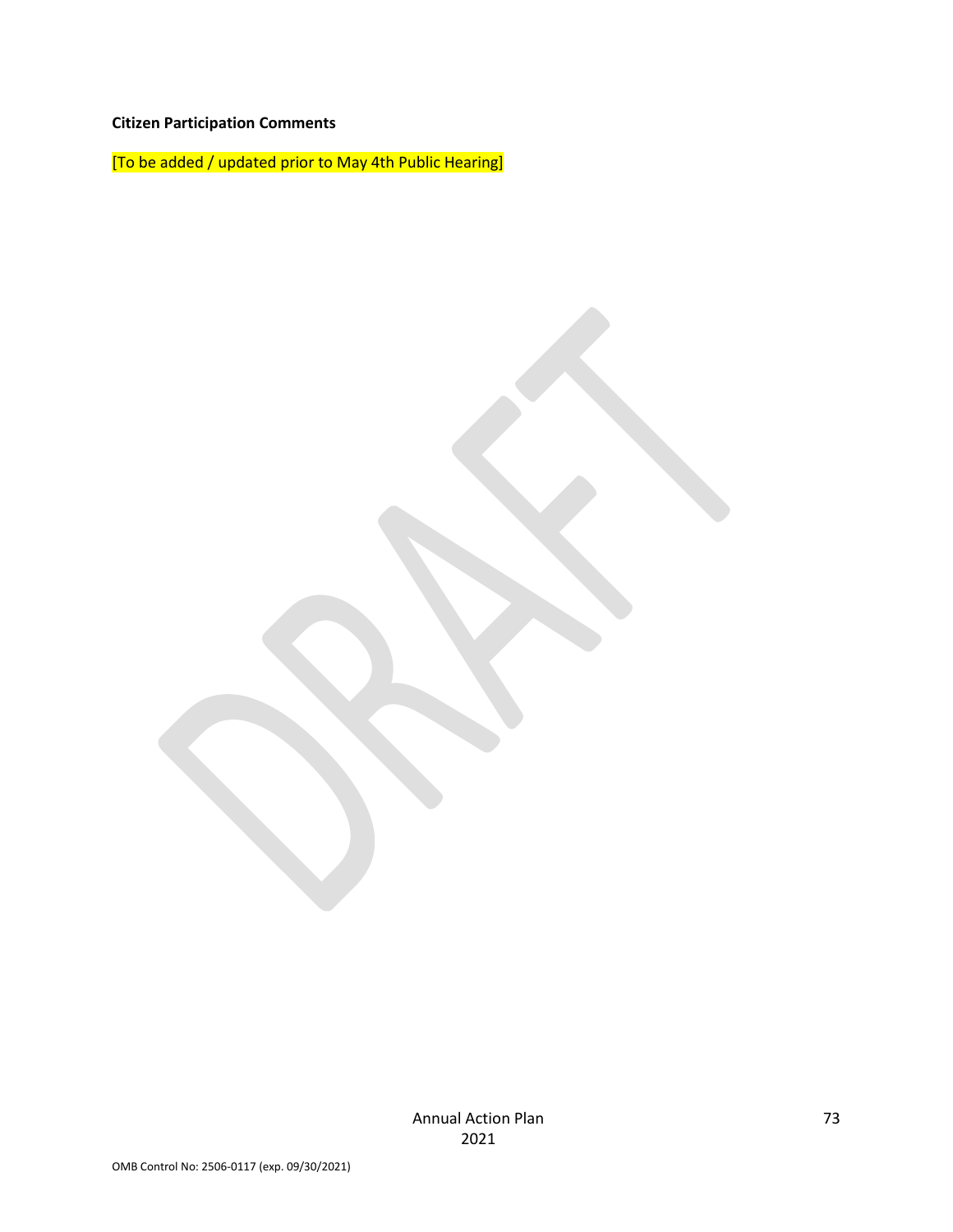# **Citizen Participation Comments**

[To be added / updated prior to May 4th Public Hearing]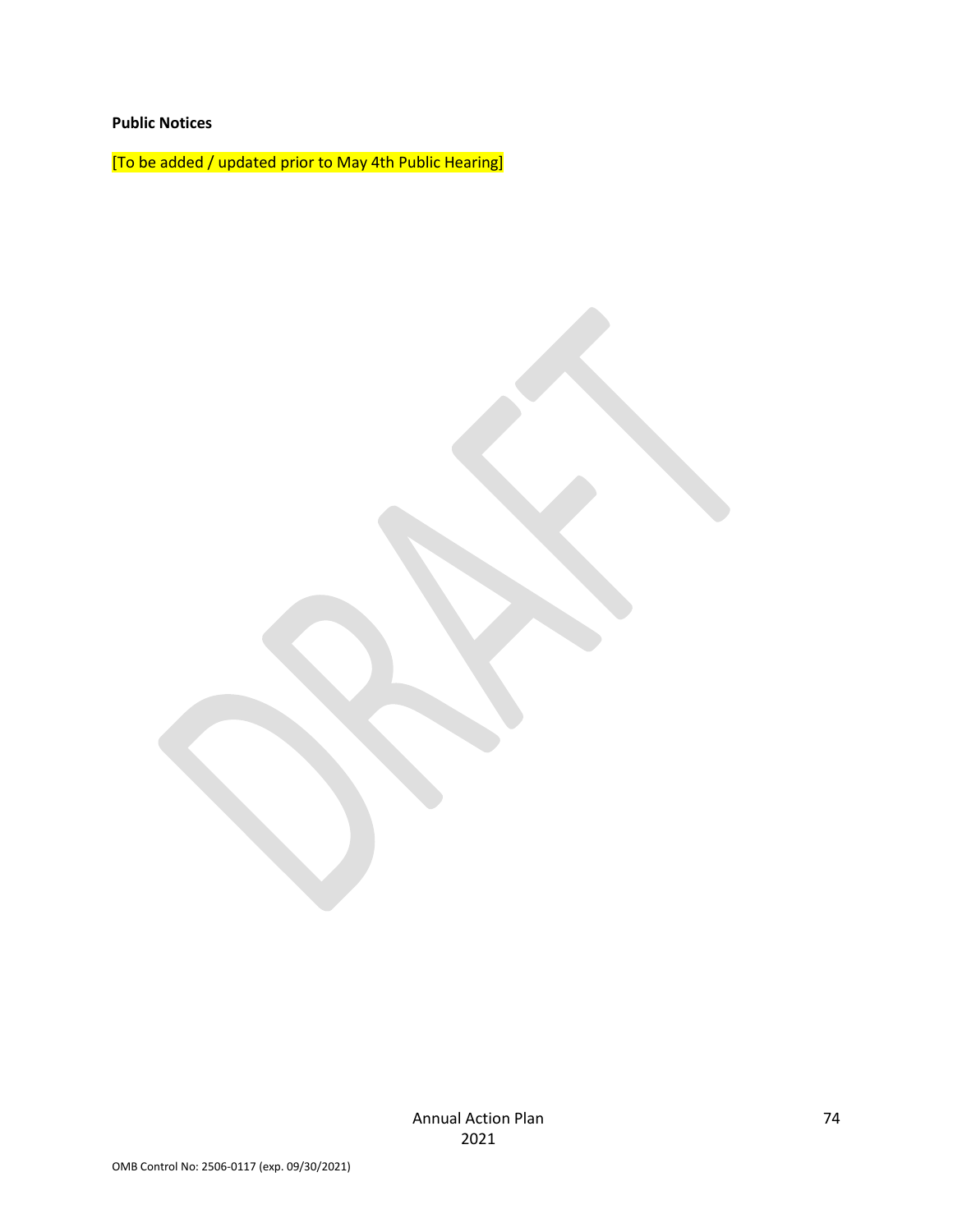### **Public Notices**

[To be added / updated prior to May 4th Public Hearing]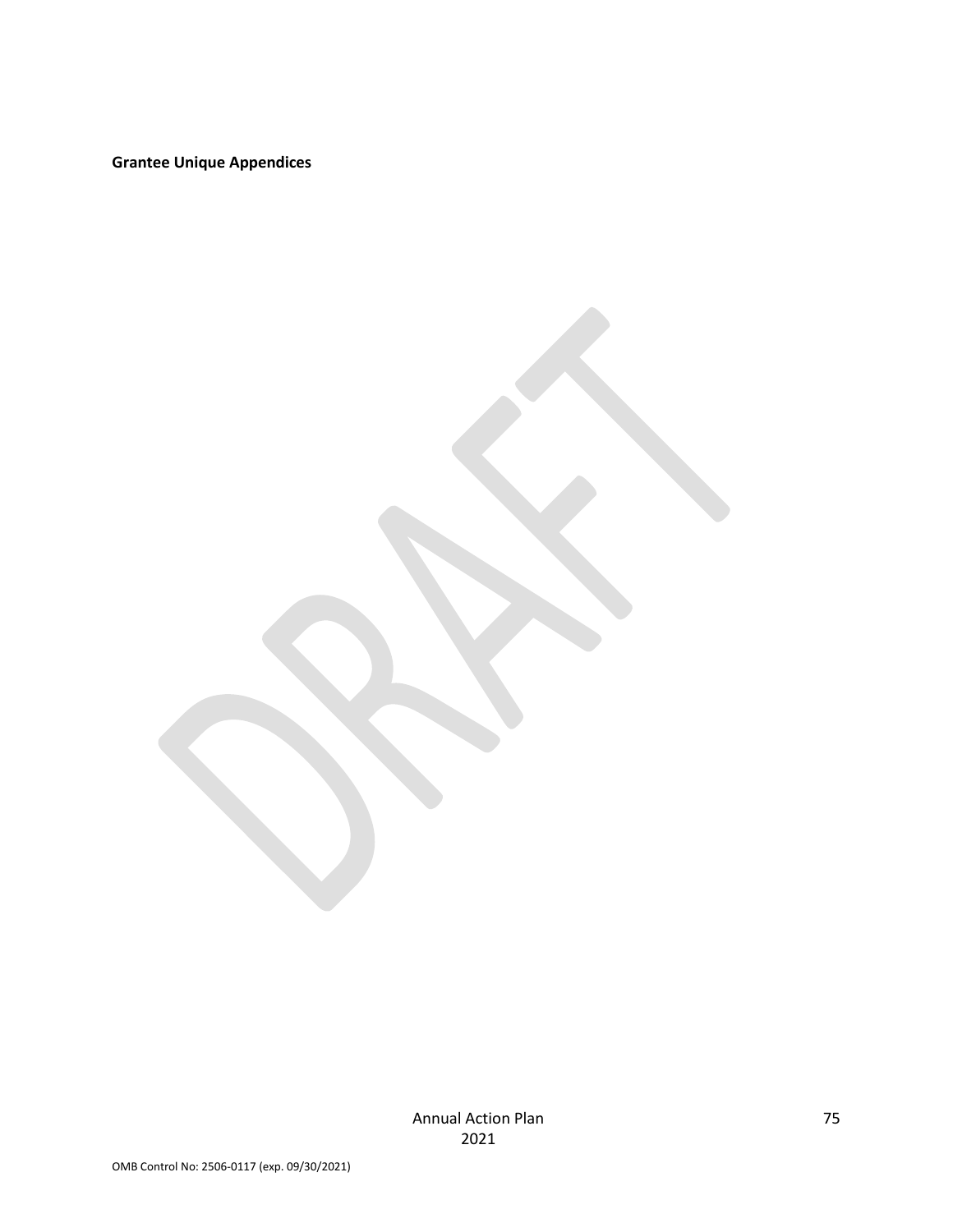**Grantee Unique Appendices**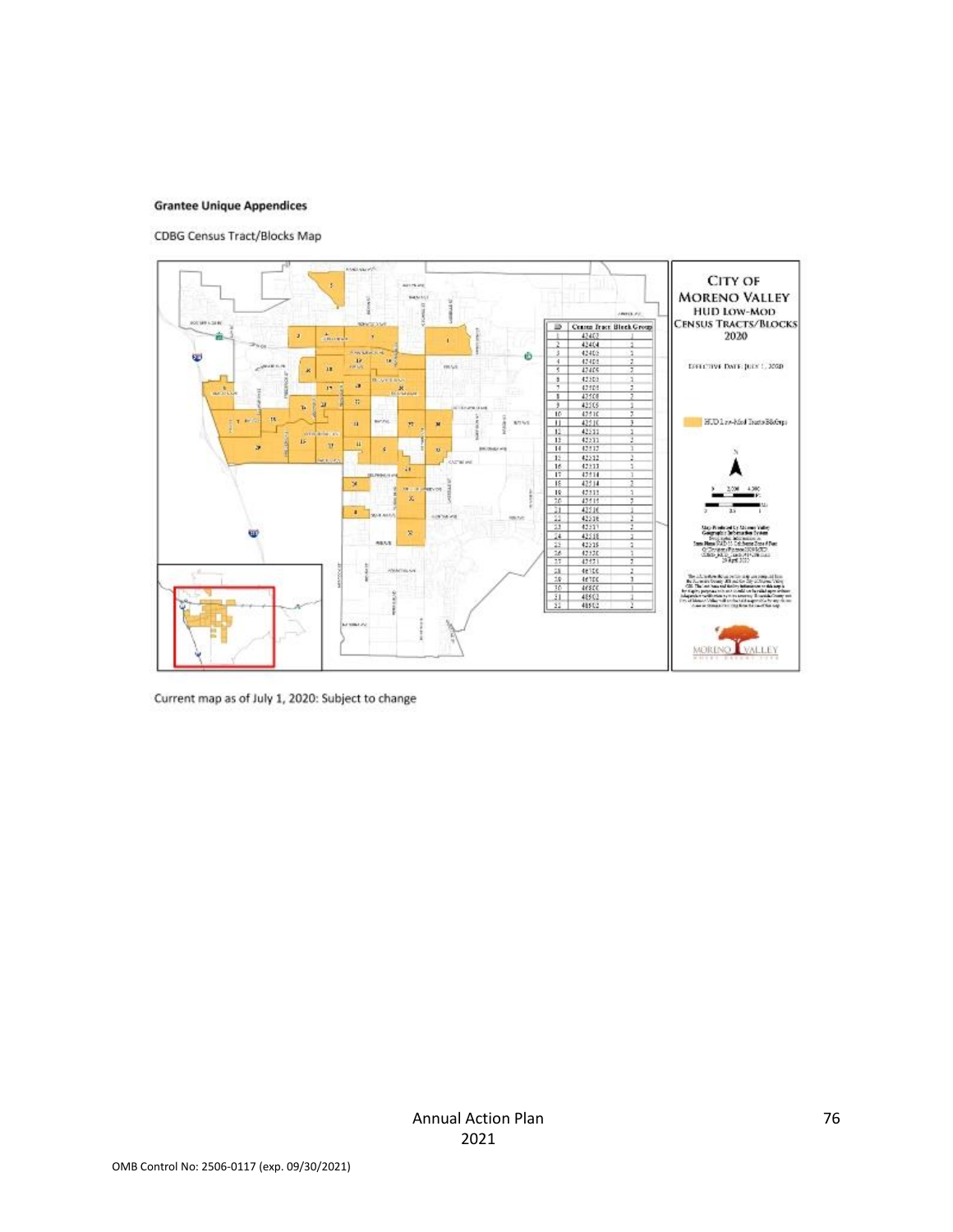#### **Grantee Unique Appendices**

CDBG Census Tract/Blocks Map



Current map as of July 1, 2020: Subject to change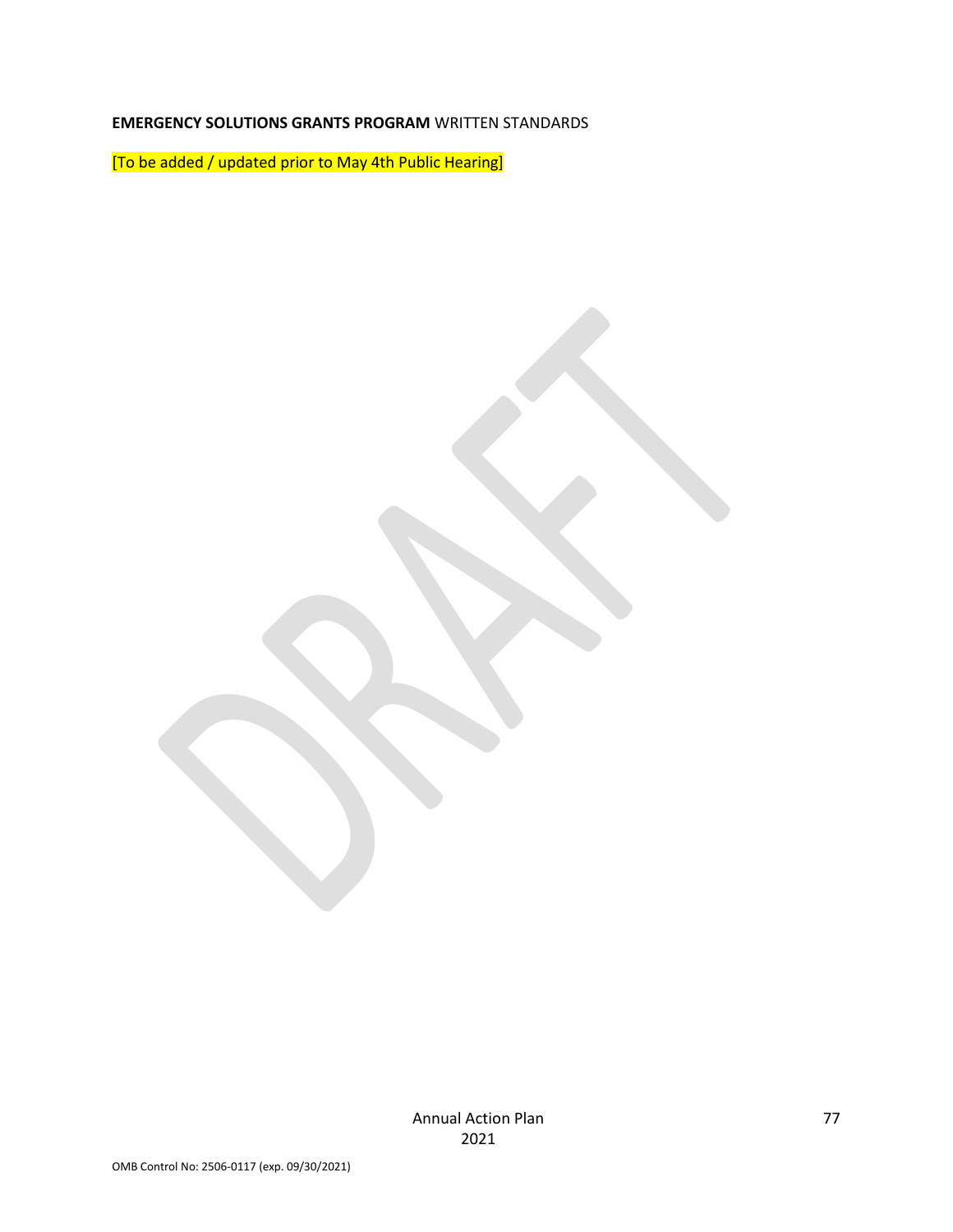## **EMERGENCY SOLUTIONS GRANTS PROGRAM** WRITTEN STANDARDS

[To be added / updated prior to May 4th Public Hearing]